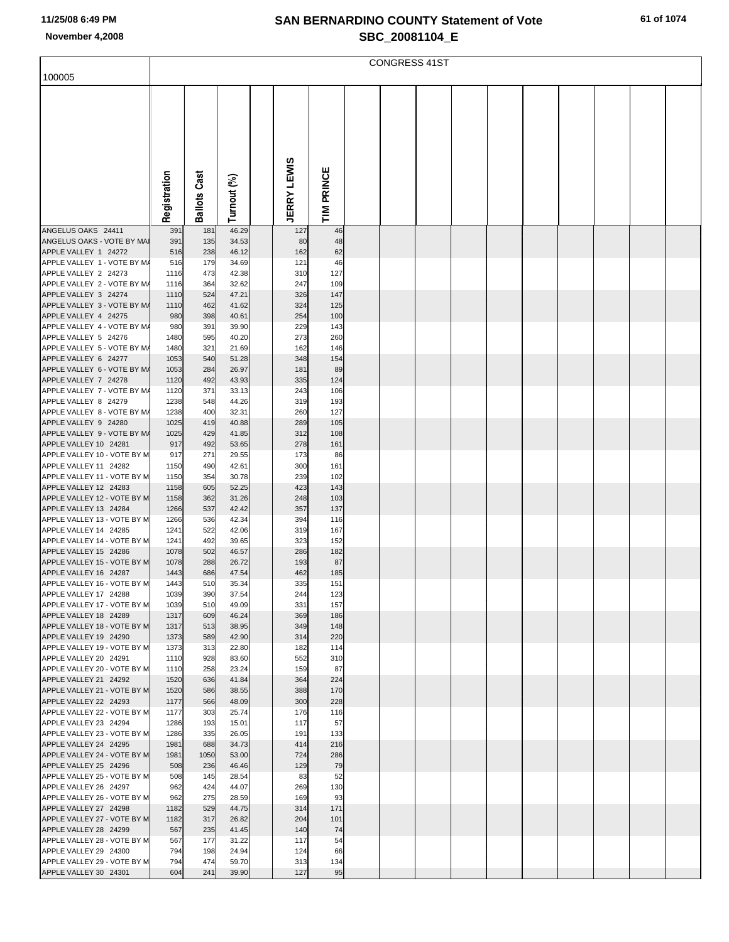| 100005                                               |              |            |                |                    |            | <b>CONGRESS 41ST</b> |  |  |  |  |
|------------------------------------------------------|--------------|------------|----------------|--------------------|------------|----------------------|--|--|--|--|
|                                                      |              |            |                |                    |            |                      |  |  |  |  |
|                                                      |              |            |                |                    |            |                      |  |  |  |  |
|                                                      |              |            |                |                    |            |                      |  |  |  |  |
|                                                      |              |            |                |                    |            |                      |  |  |  |  |
|                                                      |              |            |                |                    |            |                      |  |  |  |  |
|                                                      |              |            |                |                    |            |                      |  |  |  |  |
|                                                      |              |            |                |                    |            |                      |  |  |  |  |
|                                                      |              | Cast       |                |                    |            |                      |  |  |  |  |
|                                                      |              |            |                |                    |            |                      |  |  |  |  |
|                                                      | Registration | Ballots    | Turnout (%)    | <b>JERRY LEWIS</b> | TIM PRINCE |                      |  |  |  |  |
|                                                      |              |            |                |                    |            |                      |  |  |  |  |
| ANGELUS OAKS 24411<br>ANGELUS OAKS - VOTE BY MAI     | 391<br>391   | 181<br>135 | 46.29<br>34.53 | 127<br>80          | 46<br>48   |                      |  |  |  |  |
| APPLE VALLEY 1 24272                                 | 516          | 238        | 46.12          | 162                | 62         |                      |  |  |  |  |
| APPLE VALLEY 1 - VOTE BY M/                          | 516          | 179        | 34.69          | 121                | 46         |                      |  |  |  |  |
| APPLE VALLEY 2 24273                                 | 1116         | 473        | 42.38          | 310                | 127        |                      |  |  |  |  |
| APPLE VALLEY 2 - VOTE BY M/<br>APPLE VALLEY 3 24274  | 1116<br>1110 | 364<br>524 | 32.62<br>47.21 | 247<br>326         | 109<br>147 |                      |  |  |  |  |
| APPLE VALLEY 3 - VOTE BY M/                          | 1110         | 462        | 41.62          | 324                | 125        |                      |  |  |  |  |
| APPLE VALLEY 4 24275                                 | 980          | 398        | 40.61          | 254                | 100        |                      |  |  |  |  |
| APPLE VALLEY 4 - VOTE BY M/                          | 980          | 391        | 39.90          | 229                | 143        |                      |  |  |  |  |
| APPLE VALLEY 5 24276<br>APPLE VALLEY 5 - VOTE BY M/  | 1480<br>1480 | 595<br>321 | 40.20<br>21.69 | 273<br>162         | 260<br>146 |                      |  |  |  |  |
| APPLE VALLEY 6 24277                                 | 1053         | 540        | 51.28          | 348                | 154        |                      |  |  |  |  |
| APPLE VALLEY 6 - VOTE BY M/                          | 1053         | 284        | 26.97          | 181                | 89         |                      |  |  |  |  |
| APPLE VALLEY 7 24278<br>APPLE VALLEY 7 - VOTE BY M/  | 1120<br>1120 | 492<br>371 | 43.93<br>33.13 | 335<br>243         | 124<br>106 |                      |  |  |  |  |
| APPLE VALLEY 8 24279                                 | 1238         | 548        | 44.26          | 319                | 193        |                      |  |  |  |  |
| APPLE VALLEY 8 - VOTE BY M/                          | 1238         | 400        | 32.31          | 260                | 127        |                      |  |  |  |  |
| APPLE VALLEY 9 24280                                 | 1025         | 419        | 40.88          | 289                | 105        |                      |  |  |  |  |
| APPLE VALLEY 9 - VOTE BY M/<br>APPLE VALLEY 10 24281 | 1025<br>917  | 429<br>492 | 41.85<br>53.65 | 312<br>278         | 108<br>161 |                      |  |  |  |  |
| APPLE VALLEY 10 - VOTE BY M                          | 917          | 271        | 29.55          | 173                | 86         |                      |  |  |  |  |
| APPLE VALLEY 11 24282                                | 1150         | 490        | 42.61          | 300                | 161        |                      |  |  |  |  |
| APPLE VALLEY 11 - VOTE BY M<br>APPLE VALLEY 12 24283 | 1150         | 354        | 30.78          | 239                | 102        |                      |  |  |  |  |
| APPLE VALLEY 12 - VOTE BY M                          | 1158<br>1158 | 605<br>362 | 52.25<br>31.26 | 423<br>248         | 143<br>103 |                      |  |  |  |  |
| APPLE VALLEY 13 24284                                | 1266         | 537        | 42.42          | 357                | 137        |                      |  |  |  |  |
| APPLE VALLEY 13 - VOTE BY M                          | 1266         | 536        | 42.34          | 394                | 116        |                      |  |  |  |  |
| APPLE VALLEY 14 24285<br>APPLE VALLEY 14 - VOTE BY M | 1241<br>1241 | 522<br>492 | 42.06<br>39.65 | 319<br>323         | 167<br>152 |                      |  |  |  |  |
| APPLE VALLEY 15 24286                                | 1078         | 502        | 46.57          | 286                | 182        |                      |  |  |  |  |
| APPLE VALLEY 15 - VOTE BY M                          | 1078         | 288        | 26.72          | 193                | 87         |                      |  |  |  |  |
| APPLE VALLEY 16 24287<br>APPLE VALLEY 16 - VOTE BY M | 1443<br>1443 | 686<br>510 | 47.54<br>35.34 | 462<br>335         | 185<br>151 |                      |  |  |  |  |
| APPLE VALLEY 17 24288                                | 1039         | 390        | 37.54          | 244                | 123        |                      |  |  |  |  |
| APPLE VALLEY 17 - VOTE BY M                          | 1039         | 510        | 49.09          | 331                | 157        |                      |  |  |  |  |
| APPLE VALLEY 18 24289                                | 1317         | 609        | 46.24          | 369                | 186        |                      |  |  |  |  |
| APPLE VALLEY 18 - VOTE BY M<br>APPLE VALLEY 19 24290 | 1317<br>1373 | 513<br>589 | 38.95<br>42.90 | 349<br>314         | 148<br>220 |                      |  |  |  |  |
| APPLE VALLEY 19 - VOTE BY M                          | 1373         | 313        | 22.80          | 182                | 114        |                      |  |  |  |  |
| APPLE VALLEY 20 24291                                | 1110         | 928        | 83.60          | 552                | 310        |                      |  |  |  |  |
| APPLE VALLEY 20 - VOTE BY M<br>APPLE VALLEY 21 24292 | 1110<br>1520 | 258<br>636 | 23.24<br>41.84 | 159<br>364         | 87<br>224  |                      |  |  |  |  |
| APPLE VALLEY 21 - VOTE BY M                          | 1520         | 586        | 38.55          | 388                | 170        |                      |  |  |  |  |
| APPLE VALLEY 22 24293                                | 1177         | 566        | 48.09          | 300                | 228        |                      |  |  |  |  |
| APPLE VALLEY 22 - VOTE BY M                          | 1177         | 303        | 25.74          | 176                | 116        |                      |  |  |  |  |
| APPLE VALLEY 23 24294<br>APPLE VALLEY 23 - VOTE BY M | 1286<br>1286 | 193<br>335 | 15.01<br>26.05 | 117<br>191         | 57<br>133  |                      |  |  |  |  |
| APPLE VALLEY 24 24295                                | 1981         | 688        | 34.73          | 414                | 216        |                      |  |  |  |  |
| APPLE VALLEY 24 - VOTE BY M                          | 1981         | 1050       | 53.00          | 724                | 286        |                      |  |  |  |  |
| APPLE VALLEY 25 24296<br>APPLE VALLEY 25 - VOTE BY M | 508<br>508   | 236<br>145 | 46.46<br>28.54 | 129<br>83          | 79<br>52   |                      |  |  |  |  |
| APPLE VALLEY 26 24297                                | 962          | 424        | 44.07          | 269                | 130        |                      |  |  |  |  |
| APPLE VALLEY 26 - VOTE BY M                          | 962          | 275        | 28.59          | 169                | 93         |                      |  |  |  |  |
| APPLE VALLEY 27 24298                                | 1182         | 529        | 44.75          | 314                | 171        |                      |  |  |  |  |
| APPLE VALLEY 27 - VOTE BY M<br>APPLE VALLEY 28 24299 | 1182<br>567  | 317<br>235 | 26.82<br>41.45 | 204<br>140         | 101<br>74  |                      |  |  |  |  |
| APPLE VALLEY 28 - VOTE BY M                          | 567          | 177        | 31.22          | 117                | 54         |                      |  |  |  |  |
| APPLE VALLEY 29 24300                                | 794          | 198        | 24.94          | 124                | 66         |                      |  |  |  |  |
| APPLE VALLEY 29 - VOTE BY M<br>APPLE VALLEY 30 24301 | 794<br>604   | 474<br>241 | 59.70<br>39.90 | 313<br>127         | 134<br>95  |                      |  |  |  |  |
|                                                      |              |            |                |                    |            |                      |  |  |  |  |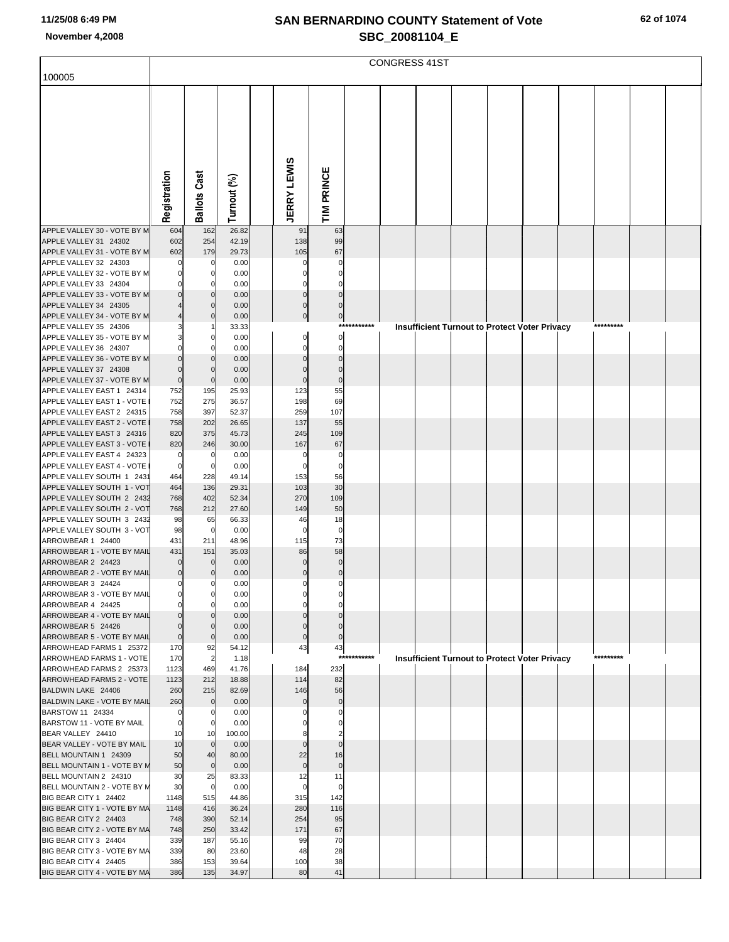|                                                         |                  |                         |                |                    |                         |             | <b>CONGRESS 41ST</b> |                                                      |  |           |  |
|---------------------------------------------------------|------------------|-------------------------|----------------|--------------------|-------------------------|-------------|----------------------|------------------------------------------------------|--|-----------|--|
| 100005                                                  |                  |                         |                |                    |                         |             |                      |                                                      |  |           |  |
|                                                         |                  |                         |                |                    |                         |             |                      |                                                      |  |           |  |
|                                                         |                  |                         |                |                    |                         |             |                      |                                                      |  |           |  |
|                                                         |                  |                         |                |                    |                         |             |                      |                                                      |  |           |  |
|                                                         |                  |                         |                |                    |                         |             |                      |                                                      |  |           |  |
|                                                         |                  |                         |                |                    |                         |             |                      |                                                      |  |           |  |
|                                                         |                  |                         |                |                    |                         |             |                      |                                                      |  |           |  |
|                                                         |                  |                         |                |                    |                         |             |                      |                                                      |  |           |  |
|                                                         |                  |                         |                |                    |                         |             |                      |                                                      |  |           |  |
|                                                         | Registration     | <b>Ballots Cast</b>     |                |                    | TIM PRINCE              |             |                      |                                                      |  |           |  |
|                                                         |                  |                         | Turnout (%)    | <b>JERRY LEWIS</b> |                         |             |                      |                                                      |  |           |  |
| APPLE VALLEY 30 - VOTE BY M                             | 604              | 162                     | 26.82          | 91                 | 63                      |             |                      |                                                      |  |           |  |
| APPLE VALLEY 31 24302                                   | 602              | 254                     | 42.19          | 138                | 99                      |             |                      |                                                      |  |           |  |
| APPLE VALLEY 31 - VOTE BY M<br>APPLE VALLEY 32 24303    | 602              | 179<br>$\Omega$         | 29.73<br>0.00  | 105<br>0           | 67<br>$\Omega$          |             |                      |                                                      |  |           |  |
| APPLE VALLEY 32 - VOTE BY M                             | 0                | 0                       | 0.00           | 0                  |                         |             |                      |                                                      |  |           |  |
| APPLE VALLEY 33 24304                                   |                  | $\Omega$                | 0.00           | 0                  |                         |             |                      |                                                      |  |           |  |
| APPLE VALLEY 33 - VOTE BY M                             |                  | $\Omega$                | 0.00           | $\mathbf 0$        | $\Omega$                |             |                      |                                                      |  |           |  |
| APPLE VALLEY 34 24305                                   |                  | $\Omega$                | 0.00           | $\Omega$           | $\Omega$                |             |                      |                                                      |  |           |  |
| APPLE VALLEY 34 - VOTE BY M<br>APPLE VALLEY 35 24306    |                  | $\Omega$                | 0.00<br>33.33  | $\mathbf 0$        | $\overline{0}$          | *********** |                      | <b>Insufficient Turnout to Protect Voter Privacy</b> |  | ********* |  |
| APPLE VALLEY 35 - VOTE BY M                             | 3                | $\Omega$                | 0.00           | 0                  | $\mathbf{0}$            |             |                      |                                                      |  |           |  |
| APPLE VALLEY 36 24307                                   | 0                | $\Omega$                | 0.00           | 0                  | $\mathbf 0$             |             |                      |                                                      |  |           |  |
| APPLE VALLEY 36 - VOTE BY M                             | $\Omega$         | $\Omega$                | 0.00           | 0                  | $\Omega$                |             |                      |                                                      |  |           |  |
| APPLE VALLEY 37 24308<br>APPLE VALLEY 37 - VOTE BY M    | 0<br>$\mathbf 0$ | $\Omega$<br>$\mathbf 0$ | 0.00<br>0.00   | $\Omega$<br>0      | $\Omega$<br>$\mathbf 0$ |             |                      |                                                      |  |           |  |
| APPLE VALLEY EAST 1 24314                               | 752              | 195                     | 25.93          | 123                | 55                      |             |                      |                                                      |  |           |  |
| APPLE VALLEY EAST 1 - VOTE                              | 752              | 275                     | 36.57          | 198                | 69                      |             |                      |                                                      |  |           |  |
| APPLE VALLEY EAST 2 24315                               | 758              | 397                     | 52.37          | 259                | 107                     |             |                      |                                                      |  |           |  |
| APPLE VALLEY EAST 2 - VOTE                              | 758              | 202                     | 26.65          | 137                | 55                      |             |                      |                                                      |  |           |  |
| APPLE VALLEY EAST 3 24316<br>APPLE VALLEY EAST 3 - VOTE | 820<br>820       | 375<br>246              | 45.73<br>30.00 | 245<br>167         | 109<br>67               |             |                      |                                                      |  |           |  |
| APPLE VALLEY EAST 4 24323                               | 0                | $\mathbf 0$             | 0.00           | 0                  | $\mathbf 0$             |             |                      |                                                      |  |           |  |
| APPLE VALLEY EAST 4 - VOTE                              | $\mathbf 0$      | $\mathbf 0$             | 0.00           | $\mathbf 0$        | 0                       |             |                      |                                                      |  |           |  |
| APPLE VALLEY SOUTH 1 2431                               | 464              | 228                     | 49.14          | 153                | 56                      |             |                      |                                                      |  |           |  |
| APPLE VALLEY SOUTH 1 - VOT<br>APPLE VALLEY SOUTH 2 2432 | 464<br>768       | 136<br>402              | 29.31<br>52.34 | 103<br>270         | 30<br>109               |             |                      |                                                      |  |           |  |
| APPLE VALLEY SOUTH 2 - VOT                              | 768              | 212                     | 27.60          | 149                | 50                      |             |                      |                                                      |  |           |  |
| APPLE VALLEY SOUTH 3 2432                               | 98               | 65                      | 66.33          | 46                 | 18                      |             |                      |                                                      |  |           |  |
| APPLE VALLEY SOUTH 3 - VOT                              | 98               | $\mathbf 0$             | 0.00           | $\Omega$           | $\mathbf 0$             |             |                      |                                                      |  |           |  |
| ARROWBEAR 1 24400<br>ARROWBEAR 1 - VOTE BY MAIL         | 431<br>431       | 211<br>151              | 48.96<br>35.03 | 115<br>86          | 73<br>58                |             |                      |                                                      |  |           |  |
| ARROWBEAR 2 24423                                       | $\Omega$         | $\Omega$                | 0.00           | $\Omega$           | $\mathbf 0$             |             |                      |                                                      |  |           |  |
| ARROWBEAR 2 - VOTE BY MAIL                              | $\overline{0}$   | $\Omega$                | 0.00           | $\mathbf 0$        | $\mathbf 0$             |             |                      |                                                      |  |           |  |
| ARROWBEAR 3 24424                                       |                  |                         | 0.00           |                    |                         |             |                      |                                                      |  |           |  |
| ARROWBEAR 3 - VOTE BY MAIL                              | $\mathbf 0$      | $\mathbf 0$             | 0.00           |                    |                         |             |                      |                                                      |  |           |  |
| ARROWBEAR 4 24425<br>ARROWBEAR 4 - VOTE BY MAIL         |                  |                         | 0.00<br>0.00   |                    |                         |             |                      |                                                      |  |           |  |
| ARROWBEAR 5 24426                                       | $\mathbf 0$      | $\Omega$                | 0.00           | $\Omega$           |                         |             |                      |                                                      |  |           |  |
| ARROWBEAR 5 - VOTE BY MAIL                              | $\mathbf 0$      | $\mathbf 0$             | 0.00           | $\mathbf 0$        | $\overline{0}$          |             |                      |                                                      |  |           |  |
| ARROWHEAD FARMS 1 25372                                 | 170              | 92                      | 54.12          | 43                 | 43                      | *********** |                      |                                                      |  | ********* |  |
| ARROWHEAD FARMS 1 - VOTE<br>ARROWHEAD FARMS 2 25373     | 170<br>1123      | $\overline{2}$<br>469   | 1.18<br>41.76  | 184                | 232                     |             |                      | Insufficient Turnout to Protect Voter Privacy        |  |           |  |
| ARROWHEAD FARMS 2 - VOTE                                | 1123             | 212                     | 18.88          | 114                | 82                      |             |                      |                                                      |  |           |  |
| BALDWIN LAKE 24406                                      | 260              | 215                     | 82.69          | 146                | 56                      |             |                      |                                                      |  |           |  |
| BALDWIN LAKE - VOTE BY MAIL                             | 260              | $\mathbf 0$             | 0.00           | $\Omega$           | $\overline{0}$          |             |                      |                                                      |  |           |  |
| BARSTOW 11 24334<br>BARSTOW 11 - VOTE BY MAIL           | 0<br>$\mathbf 0$ | 0<br>0                  | 0.00<br>0.00   |                    |                         |             |                      |                                                      |  |           |  |
| BEAR VALLEY 24410                                       | 10               | 10                      | 100.00         |                    |                         |             |                      |                                                      |  |           |  |
| BEAR VALLEY - VOTE BY MAIL                              | 10               | $\mathbf 0$             | 0.00           | $\mathbf 0$        | $\mathbf{0}$            |             |                      |                                                      |  |           |  |
| BELL MOUNTAIN 1 24309                                   | 50               | 40                      | 80.00          | 22                 | 16                      |             |                      |                                                      |  |           |  |
| BELL MOUNTAIN 1 - VOTE BY M                             | 50               | $\mathbf 0$             | 0.00           | $\mathbf 0$        | $\overline{0}$          |             |                      |                                                      |  |           |  |
| BELL MOUNTAIN 2 24310<br>BELL MOUNTAIN 2 - VOTE BY M    | 30<br>30         | 25<br>$\mathbf 0$       | 83.33<br>0.00  | 12<br>$\mathbf 0$  | 11<br>$\mathbf 0$       |             |                      |                                                      |  |           |  |
| BIG BEAR CITY 1 24402                                   | 1148             | 515                     | 44.86          | 315                | 142                     |             |                      |                                                      |  |           |  |
| BIG BEAR CITY 1 - VOTE BY MA                            | 1148             | 416                     | 36.24          | 280                | 116                     |             |                      |                                                      |  |           |  |
| BIG BEAR CITY 2 24403                                   | 748              | 390                     | 52.14          | 254                | 95                      |             |                      |                                                      |  |           |  |
| BIG BEAR CITY 2 - VOTE BY MA                            | 748<br>339       | 250<br>187              | 33.42<br>55.16 | 171<br>99          | 67                      |             |                      |                                                      |  |           |  |
| BIG BEAR CITY 3 24404<br>BIG BEAR CITY 3 - VOTE BY MA   | 339              | 80                      | 23.60          | 48                 | 70<br>28                |             |                      |                                                      |  |           |  |
| BIG BEAR CITY 4 24405                                   | 386              | 153                     | 39.64          | 100                | 38                      |             |                      |                                                      |  |           |  |
| BIG BEAR CITY 4 - VOTE BY MA                            | 386              | 135                     | 34.97          | 80                 | 41                      |             |                      |                                                      |  |           |  |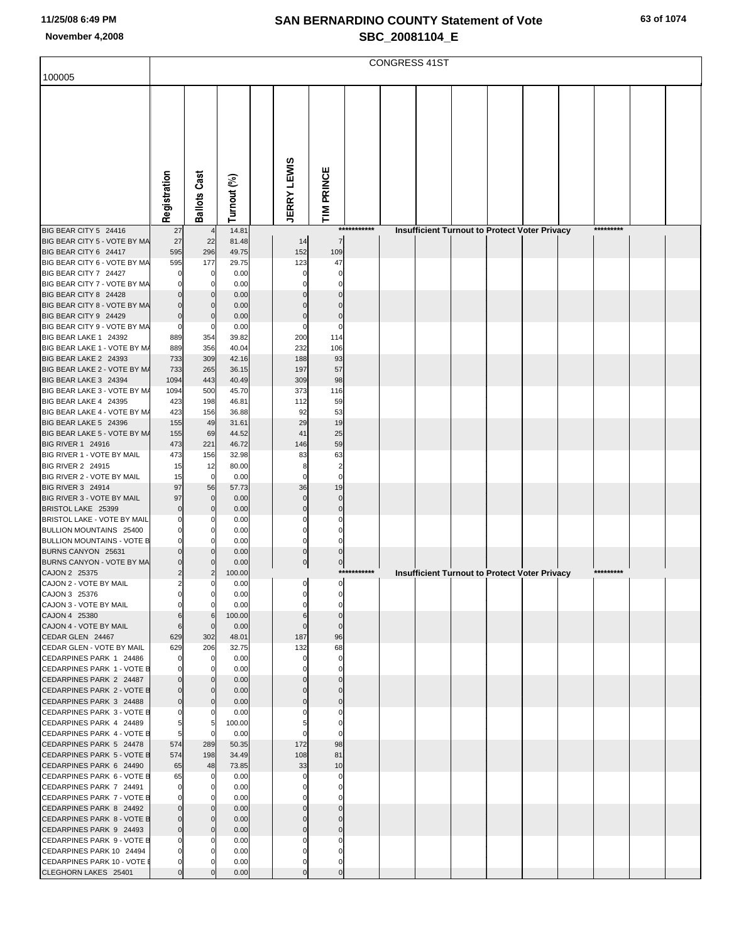| 100005                                                   |              |                               |                |                               |                      |             | <b>CONGRESS 41ST</b> |  |                                                      |           |  |
|----------------------------------------------------------|--------------|-------------------------------|----------------|-------------------------------|----------------------|-------------|----------------------|--|------------------------------------------------------|-----------|--|
|                                                          | Registration | <b>Ballots Cast</b>           | Turnout (%)    | <b>JERRY LEWIS</b>            | TIM PRINCE           |             |                      |  |                                                      |           |  |
| BIG BEAR CITY 5 24416                                    | 27           | $\overline{4}$                | 14.81          |                               |                      | *********** |                      |  | <b>Insufficient Turnout to Protect Voter Privacy</b> | ********* |  |
| BIG BEAR CITY 5 - VOTE BY MA                             | 27           | 22                            | 81.48          | 14                            | $\overline{7}$       |             |                      |  |                                                      |           |  |
| BIG BEAR CITY 6 24417<br>BIG BEAR CITY 6 - VOTE BY MA    | 595<br>595   | 296<br>177                    | 49.75<br>29.75 | 152<br>123                    | 109<br>47            |             |                      |  |                                                      |           |  |
| BIG BEAR CITY 7 24427                                    |              | 0                             | 0.00           | $\mathbf 0$                   | $\Omega$             |             |                      |  |                                                      |           |  |
| BIG BEAR CITY 7 - VOTE BY MA                             |              | 0                             | 0.00           | 0                             | $\Omega$             |             |                      |  |                                                      |           |  |
| BIG BEAR CITY 8 24428<br>BIG BEAR CITY 8 - VOTE BY MA    |              | $\mathbf 0$<br>$\mathbf 0$    | 0.00<br>0.00   | $\overline{0}$<br>$\mathbf 0$ | $\Omega$<br>$\Omega$ |             |                      |  |                                                      |           |  |
| BIG BEAR CITY 9 24429                                    |              | $\Omega$                      | 0.00           | $\mathbf 0$                   | $\Omega$             |             |                      |  |                                                      |           |  |
| BIG BEAR CITY 9 - VOTE BY MA                             | $\Omega$     | 0                             | 0.00           | $\mathbf 0$                   | $\Omega$             |             |                      |  |                                                      |           |  |
| BIG BEAR LAKE 1 24392<br>BIG BEAR LAKE 1 - VOTE BY M/    | 889<br>889   | 354<br>356                    | 39.82<br>40.04 | 200<br>232                    | 114                  |             |                      |  |                                                      |           |  |
| BIG BEAR LAKE 2 24393                                    | 733          | 309                           | 42.16          | 188                           | 106<br>93            |             |                      |  |                                                      |           |  |
| BIG BEAR LAKE 2 - VOTE BY M/                             | 733          | 265                           | 36.15          | 197                           | 57                   |             |                      |  |                                                      |           |  |
| BIG BEAR LAKE 3 24394                                    | 1094         | 443                           | 40.49          | 309                           | 98                   |             |                      |  |                                                      |           |  |
| BIG BEAR LAKE 3 - VOTE BY M/<br>BIG BEAR LAKE 4 24395    | 1094<br>423  | 500<br>198                    | 45.70<br>46.81 | 373<br>112                    | 116<br>59            |             |                      |  |                                                      |           |  |
| BIG BEAR LAKE 4 - VOTE BY M/                             | 423          | 156                           | 36.88          | 92                            | 53                   |             |                      |  |                                                      |           |  |
| BIG BEAR LAKE 5 24396                                    | 155          | 49                            | 31.61          | 29                            | 19                   |             |                      |  |                                                      |           |  |
| BIG BEAR LAKE 5 - VOTE BY M/<br><b>BIG RIVER 1 24916</b> | 155<br>473   | 69<br>221                     | 44.52<br>46.72 | 41<br>146                     | 25<br>59             |             |                      |  |                                                      |           |  |
| BIG RIVER 1 - VOTE BY MAIL                               | 473          | 156                           | 32.98          | 83                            | 63                   |             |                      |  |                                                      |           |  |
| <b>BIG RIVER 2 24915</b>                                 | 15           | 12                            | 80.00          | 8                             | $\overline{2}$       |             |                      |  |                                                      |           |  |
| BIG RIVER 2 - VOTE BY MAIL<br>BIG RIVER 3 24914          | 15<br>97     | $\mathbf 0$<br>56             | 0.00<br>57.73  | $\mathbf 0$<br>36             | $\mathbf 0$<br>19    |             |                      |  |                                                      |           |  |
| BIG RIVER 3 - VOTE BY MAIL                               | 97           | $\bf 0$                       | 0.00           | $\pmb{0}$                     | $\mathbf 0$          |             |                      |  |                                                      |           |  |
| BRISTOL LAKE 25399                                       | O            | $\mathbf 0$                   | 0.00           | $\mathbf 0$                   | $\mathbf{0}$         |             |                      |  |                                                      |           |  |
| BRISTOL LAKE - VOTE BY MAIL<br>BULLION MOUNTAINS 25400   |              | 0<br>0                        | 0.00<br>0.00   | $\mathbf 0$<br>$\mathbf 0$    | 0<br>$\Omega$        |             |                      |  |                                                      |           |  |
| <b>BULLION MOUNTAINS - VOTE B</b>                        |              | $\Omega$                      | 0.00           | $\mathbf 0$                   | $\Omega$             |             |                      |  |                                                      |           |  |
| BURNS CANYON 25631                                       |              | $\Omega$                      | 0.00           | $\pmb{0}$                     | $\Omega$             |             |                      |  |                                                      |           |  |
| BURNS CANYON - VOTE BY MA<br>CAJON 2 25375               | 2            | $\mathbf 0$<br>$\overline{c}$ | 0.00<br>100.00 | $\overline{0}$                | $\pmb{0}$            | *********** |                      |  | Insufficient Turnout to Protect Voter Privacy        | ********* |  |
| CAJON 2 - VOTE BY MAIL                                   |              |                               | 0.00           |                               | اہ                   |             |                      |  |                                                      |           |  |
| CAJON 3 25376                                            |              | 0                             | 0.00           | 0                             |                      |             |                      |  |                                                      |           |  |
| CAJON 3 - VOTE BY MAIL<br>CAJON 4 25380                  |              | 6                             | 0.00<br>100.00 | 6                             |                      |             |                      |  |                                                      |           |  |
| CAJON 4 - VOTE BY MAIL                                   |              | $\mathbf 0$                   | 0.00           | $\mathbf 0$                   | $\mathbf 0$          |             |                      |  |                                                      |           |  |
| CEDAR GLEN 24467                                         | 629          | 302                           | 48.01          | 187                           | 96                   |             |                      |  |                                                      |           |  |
| CEDAR GLEN - VOTE BY MAIL<br>CEDARPINES PARK 1 24486     | 629          | 206<br>0                      | 32.75<br>0.00  | 132<br>$\mathbf 0$            | 68<br>$\Omega$       |             |                      |  |                                                      |           |  |
| CEDARPINES PARK 1 - VOTE B                               |              | 0                             | 0.00           | $\mathbf 0$                   |                      |             |                      |  |                                                      |           |  |
| CEDARPINES PARK 2 24487                                  |              |                               | 0.00           | $\Omega$                      |                      |             |                      |  |                                                      |           |  |
| CEDARPINES PARK 2 - VOTE B<br>CEDARPINES PARK 3 24488    |              | 0<br>0                        | 0.00<br>0.00   | $\mathbf 0$<br>$\mathbf 0$    |                      |             |                      |  |                                                      |           |  |
| CEDARPINES PARK 3 - VOTE B                               |              | 0                             | 0.00           |                               |                      |             |                      |  |                                                      |           |  |
| CEDARPINES PARK 4 24489                                  |              | 5                             | 100.00         |                               |                      |             |                      |  |                                                      |           |  |
| CEDARPINES PARK 4 - VOTE B<br>CEDARPINES PARK 5 24478    | 5<br>574     | $\mathbf 0$<br>289            | 0.00<br>50.35  | $\mathbf 0$<br>172            | 98                   |             |                      |  |                                                      |           |  |
| CEDARPINES PARK 5 - VOTE B                               | 574          | 198                           | 34.49          | 108                           | 81                   |             |                      |  |                                                      |           |  |
| CEDARPINES PARK 6 24490                                  | 65           | 48                            | 73.85          | 33                            | 10                   |             |                      |  |                                                      |           |  |
| CEDARPINES PARK 6 - VOTE B<br>CEDARPINES PARK 7 24491    | 65           | 0<br>$\Omega$                 | 0.00<br>0.00   | 0<br>$\mathbf 0$              | 0                    |             |                      |  |                                                      |           |  |
| CEDARPINES PARK 7 - VOTE B                               |              |                               | 0.00           | $\mathbf 0$                   |                      |             |                      |  |                                                      |           |  |
| CEDARPINES PARK 8 24492                                  |              | $\Omega$                      | 0.00           | $\mathbf 0$                   |                      |             |                      |  |                                                      |           |  |
| CEDARPINES PARK 8 - VOTE B                               |              | 0<br>$\Omega$                 | 0.00           | $\mathbf 0$<br>$\mathbf 0$    |                      |             |                      |  |                                                      |           |  |
| CEDARPINES PARK 9 24493<br>CEDARPINES PARK 9 - VOTE B    |              | 0                             | 0.00<br>0.00   | 0                             |                      |             |                      |  |                                                      |           |  |
| CEDARPINES PARK 10 24494                                 |              |                               | 0.00           | 0                             |                      |             |                      |  |                                                      |           |  |
| CEDARPINES PARK 10 - VOTE I<br>CLEGHORN LAKES 25401      |              |                               | 0.00<br>0.00   | $\overline{0}$<br>$\pmb{0}$   | $\Omega$             |             |                      |  |                                                      |           |  |
|                                                          |              |                               |                |                               |                      |             |                      |  |                                                      |           |  |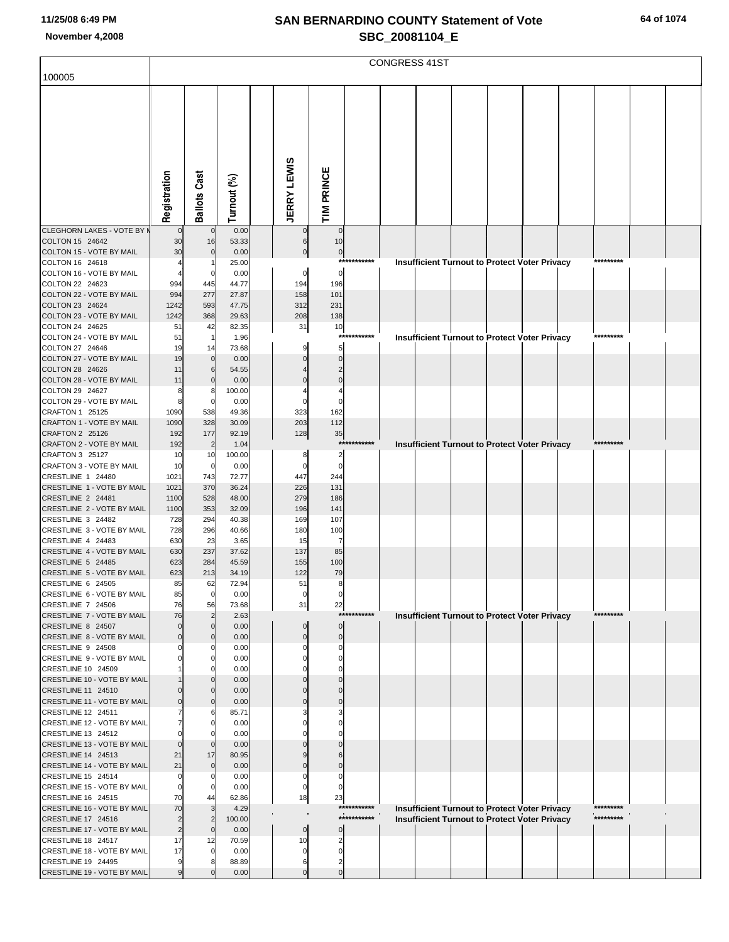| 100005                                                   |                      |                      |                |                    |                   |                            | <b>CONGRESS 41ST</b> |  |                                                                                                       |           |  |
|----------------------------------------------------------|----------------------|----------------------|----------------|--------------------|-------------------|----------------------------|----------------------|--|-------------------------------------------------------------------------------------------------------|-----------|--|
|                                                          |                      |                      |                |                    |                   |                            |                      |  |                                                                                                       |           |  |
|                                                          |                      |                      |                |                    |                   |                            |                      |  |                                                                                                       |           |  |
|                                                          |                      |                      |                |                    |                   |                            |                      |  |                                                                                                       |           |  |
|                                                          |                      |                      |                |                    |                   |                            |                      |  |                                                                                                       |           |  |
|                                                          |                      |                      |                |                    |                   |                            |                      |  |                                                                                                       |           |  |
|                                                          |                      |                      |                |                    |                   |                            |                      |  |                                                                                                       |           |  |
|                                                          |                      |                      |                |                    |                   |                            |                      |  |                                                                                                       |           |  |
|                                                          |                      |                      |                |                    |                   |                            |                      |  |                                                                                                       |           |  |
|                                                          |                      |                      |                |                    |                   |                            |                      |  |                                                                                                       |           |  |
|                                                          | Registration         | <b>Ballots Cast</b>  | Turnout (%)    | <b>JERRY LEWIS</b> | TIM PRINCE        |                            |                      |  |                                                                                                       |           |  |
|                                                          |                      |                      |                |                    |                   |                            |                      |  |                                                                                                       |           |  |
| <b>CLEGHORN LAKES - VOTE BY M</b><br>COLTON 15 24642     | $\mathbf 0$<br>30    | $\mathbf 0$<br>16    | 0.00<br>53.33  | 6                  | $\mathbf 0$<br>10 |                            |                      |  |                                                                                                       |           |  |
| COLTON 15 - VOTE BY MAIL                                 | 30                   | $\mathbf 0$          | 0.00           | $\mathbf 0$        | $\bf{0}$          |                            |                      |  |                                                                                                       |           |  |
| COLTON 16 24618                                          |                      | 1                    | 25.00          |                    |                   | ***********                |                      |  | <b>Insufficient Turnout to Protect Voter Privacy</b>                                                  | ********* |  |
| COLTON 16 - VOTE BY MAIL                                 |                      | 0                    | 0.00           | $\mathbf 0$        | $\mathbf 0$       |                            |                      |  |                                                                                                       |           |  |
| COLTON 22 24623<br>COLTON 22 - VOTE BY MAIL              | 994                  | 445<br>277           | 44.77          | 194                | 196<br>101        |                            |                      |  |                                                                                                       |           |  |
| COLTON 23 24624                                          | 994<br>1242          | 593                  | 27.87<br>47.75 | 158<br>312         | 231               |                            |                      |  |                                                                                                       |           |  |
| COLTON 23 - VOTE BY MAIL                                 | 1242                 | 368                  | 29.63          | 208                | 138               |                            |                      |  |                                                                                                       |           |  |
| COLTON 24 24625                                          | 51                   | 42                   | 82.35          | 31                 | 10                |                            |                      |  |                                                                                                       |           |  |
| COLTON 24 - VOTE BY MAIL<br>COLTON 27 24646              | 51<br>19             | $\mathbf{1}$<br>14   | 1.96<br>73.68  |                    | $***$<br>5        | *******                    |                      |  | <b>Insufficient Turnout to Protect Voter Privacy</b>                                                  | ********* |  |
| COLTON 27 - VOTE BY MAIL                                 | 19                   | $\mathbf 0$          | 0.00           |                    | $\Omega$          |                            |                      |  |                                                                                                       |           |  |
| COLTON 28 24626                                          | 11                   | $\,$ 6               | 54.55          |                    | $\overline{2}$    |                            |                      |  |                                                                                                       |           |  |
| COLTON 28 - VOTE BY MAIL                                 | 11                   | $\mathbf 0$          | 0.00           |                    | $\mathbf 0$       |                            |                      |  |                                                                                                       |           |  |
| COLTON 29 24627<br>COLTON 29 - VOTE BY MAIL              | 8<br>8               | 8<br>$\mathbf 0$     | 100.00<br>0.00 | $\Omega$           | 4<br>$\mathbf 0$  |                            |                      |  |                                                                                                       |           |  |
| CRAFTON 1 25125                                          | 1090                 | 538                  | 49.36          | 323                | 162               |                            |                      |  |                                                                                                       |           |  |
| CRAFTON 1 - VOTE BY MAIL                                 | 1090                 | 328                  | 30.09          | 203                | 112               |                            |                      |  |                                                                                                       |           |  |
| CRAFTON 2 25126                                          | 192                  | 177                  | 92.19          | 128                | 35                |                            |                      |  |                                                                                                       |           |  |
| CRAFTON 2 - VOTE BY MAIL<br>CRAFTON 3 25127              | 192<br>10            | $\overline{2}$<br>10 | 1.04<br>100.00 | 8                  | $\overline{2}$    | ***********                |                      |  | Insufficient Turnout to Protect Voter Privacy                                                         | ********* |  |
| CRAFTON 3 - VOTE BY MAIL                                 | 10                   | 0                    | 0.00           | 0                  | $\mathbf 0$       |                            |                      |  |                                                                                                       |           |  |
| CRESTLINE 1 24480                                        | 1021                 | 743                  | 72.77          | 447                | 244               |                            |                      |  |                                                                                                       |           |  |
| CRESTLINE 1 - VOTE BY MAIL                               | 1021                 | 370                  | 36.24          | 226                | 131               |                            |                      |  |                                                                                                       |           |  |
| CRESTLINE 2 24481<br>CRESTLINE 2 - VOTE BY MAIL          | 1100<br>1100         | 528<br>353           | 48.00<br>32.09 | 279<br>196         | 186<br>141        |                            |                      |  |                                                                                                       |           |  |
| CRESTLINE 3 24482                                        | 728                  | 294                  | 40.38          | 169                | 107               |                            |                      |  |                                                                                                       |           |  |
| CRESTLINE 3 - VOTE BY MAIL                               | 728                  | 296                  | 40.66          | 180                | 100               |                            |                      |  |                                                                                                       |           |  |
| CRESTLINE 4 24483                                        | 630                  | 23                   | 3.65           | 15                 | 7                 |                            |                      |  |                                                                                                       |           |  |
| CRESTLINE 4 - VOTE BY MAIL<br>CRESTLINE 5 24485          | 630<br>623           | 237<br>284           | 37.62<br>45.59 | 137<br>155         | 85<br>100         |                            |                      |  |                                                                                                       |           |  |
| CRESTLINE 5 - VOTE BY MAIL                               | 623                  | 213                  | 34.19          | 122                | 79                |                            |                      |  |                                                                                                       |           |  |
| CRESTLINE 6 24505                                        | 85                   | 62                   | 72.94          | 51                 | 8                 |                            |                      |  |                                                                                                       |           |  |
| CRESTLINE 6 - VOTE BY MAIL                               | 85                   | $\overline{0}$       | 0.00           | $\pmb{0}$          | $\mathbf 0$       |                            |                      |  |                                                                                                       |           |  |
| CRESTLINE 7 24506<br>CRESTLINE 7 - VOTE BY MAIL          | 76<br>76             | 56<br>$\overline{2}$ | 73.68<br>2.63  | 31                 | 22                | ***********                |                      |  | Insufficient Turnout to Protect Voter Privacy                                                         | ********* |  |
| CRESTLINE 8 24507                                        | $\mathbf 0$          | $\mathbf 0$          | 0.00           |                    | $\mathbf 0$       |                            |                      |  |                                                                                                       |           |  |
| CRESTLINE 8 - VOTE BY MAIL                               |                      | $\mathbf 0$          | 0.00           | $\Omega$           | $\mathbf 0$       |                            |                      |  |                                                                                                       |           |  |
| CRESTLINE 9 24508<br>CRESTLINE 9 - VOTE BY MAIL          |                      | 0<br>0               | 0.00<br>0.00   |                    | $\Omega$          |                            |                      |  |                                                                                                       |           |  |
| CRESTLINE 10 24509                                       |                      | 0                    | 0.00           |                    |                   |                            |                      |  |                                                                                                       |           |  |
| CRESTLINE 10 - VOTE BY MAIL                              |                      | $\Omega$             | 0.00           |                    |                   |                            |                      |  |                                                                                                       |           |  |
| CRESTLINE 11 24510                                       |                      | $\mathbf 0$          | 0.00           |                    |                   |                            |                      |  |                                                                                                       |           |  |
| <b>CRESTLINE 11 - VOTE BY MAIL</b><br>CRESTLINE 12 24511 |                      | $\mathbf 0$<br>6     | 0.00<br>85.71  |                    |                   |                            |                      |  |                                                                                                       |           |  |
| CRESTLINE 12 - VOTE BY MAIL                              |                      | 0                    | 0.00           |                    |                   |                            |                      |  |                                                                                                       |           |  |
| CRESTLINE 13 24512                                       |                      | 0                    | 0.00           |                    |                   |                            |                      |  |                                                                                                       |           |  |
| CRESTLINE 13 - VOTE BY MAIL                              |                      | $\mathbf 0$          | 0.00           |                    |                   |                            |                      |  |                                                                                                       |           |  |
| CRESTLINE 14 24513<br>CRESTLINE 14 - VOTE BY MAIL        | 21<br>21             | 17<br>$\mathbf 0$    | 80.95<br>0.00  |                    | $\sqrt{ }$        |                            |                      |  |                                                                                                       |           |  |
| CRESTLINE 15 24514                                       | $\Omega$             | 0                    | 0.00           |                    | $\Omega$          |                            |                      |  |                                                                                                       |           |  |
| CRESTLINE 15 - VOTE BY MAIL                              |                      | 0                    | 0.00           |                    | C                 |                            |                      |  |                                                                                                       |           |  |
| CRESTLINE 16 24515                                       | 70                   | 44                   | 62.86          | 18                 | 23                |                            |                      |  |                                                                                                       |           |  |
| CRESTLINE 16 - VOTE BY MAIL<br>CRESTLINE 17 24516        | 70<br>$\overline{2}$ | 3<br>$\overline{2}$  | 4.29<br>100.00 |                    |                   | ***********<br>*********** |                      |  | Insufficient Turnout to Protect Voter Privacy<br><b>Insufficient Turnout to Protect Voter Privacy</b> | ********* |  |
| CRESTLINE 17 - VOTE BY MAIL                              | $\overline{2}$       | $\mathbf 0$          | 0.00           | $\mathbf 0$        |                   |                            |                      |  |                                                                                                       |           |  |
| CRESTLINE 18 24517                                       | 17                   | 12                   | 70.59          | 10                 | 2                 |                            |                      |  |                                                                                                       |           |  |
| CRESTLINE 18 - VOTE BY MAIL                              | 17                   | $\Omega$             | 0.00           |                    |                   |                            |                      |  |                                                                                                       |           |  |
| CRESTLINE 19 24495<br>CRESTLINE 19 - VOTE BY MAIL        |                      | 8<br>$\mathbf 0$     | 88.89<br>0.00  | 6<br>$\Omega$      | 2<br>$\mathbf 0$  |                            |                      |  |                                                                                                       |           |  |
|                                                          |                      |                      |                |                    |                   |                            |                      |  |                                                                                                       |           |  |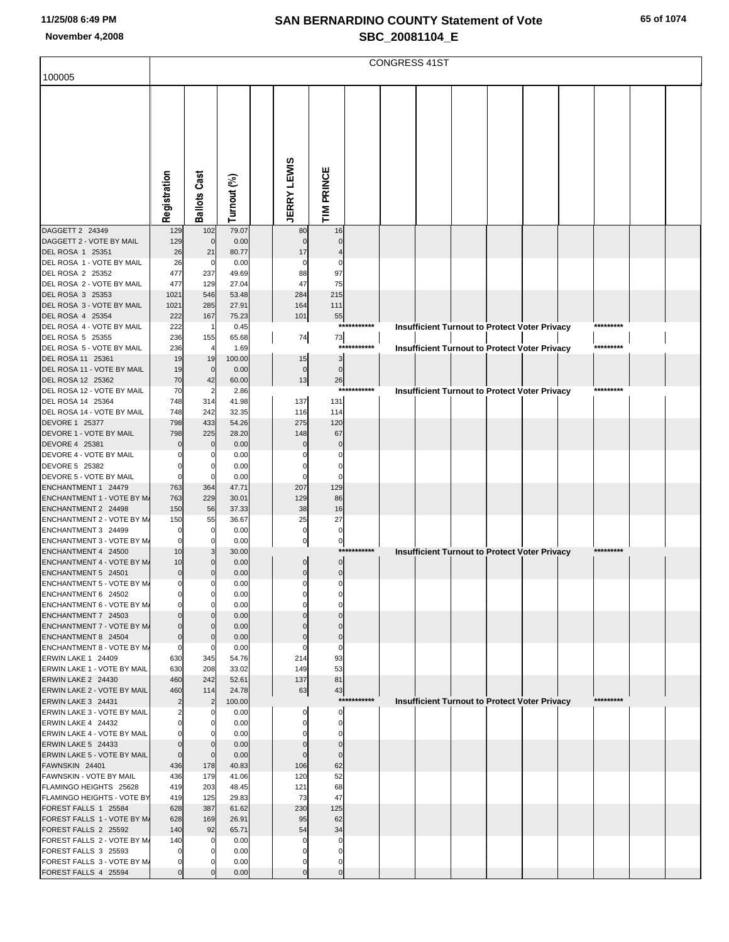| 100005                                               |                      |                      |                |                    |                 |             | <b>CONGRESS 41ST</b> |  |                                                      |           |  |
|------------------------------------------------------|----------------------|----------------------|----------------|--------------------|-----------------|-------------|----------------------|--|------------------------------------------------------|-----------|--|
|                                                      |                      |                      |                |                    |                 |             |                      |  |                                                      |           |  |
|                                                      |                      |                      |                |                    |                 |             |                      |  |                                                      |           |  |
|                                                      |                      |                      |                |                    |                 |             |                      |  |                                                      |           |  |
|                                                      |                      |                      |                |                    |                 |             |                      |  |                                                      |           |  |
|                                                      |                      |                      |                |                    |                 |             |                      |  |                                                      |           |  |
|                                                      |                      |                      |                |                    |                 |             |                      |  |                                                      |           |  |
|                                                      |                      |                      |                |                    |                 |             |                      |  |                                                      |           |  |
|                                                      |                      |                      |                |                    |                 |             |                      |  |                                                      |           |  |
|                                                      |                      |                      |                |                    |                 |             |                      |  |                                                      |           |  |
|                                                      |                      |                      |                |                    |                 |             |                      |  |                                                      |           |  |
|                                                      | Registration         | <b>Ballots Cast</b>  | Turnout (%)    | <b>JERRY LEWIS</b> | TIM PRINCE      |             |                      |  |                                                      |           |  |
| DAGGETT 2 24349                                      | 129                  | 102                  | 79.07          | 80                 | 16              |             |                      |  |                                                      |           |  |
| DAGGETT 2 - VOTE BY MAIL                             | 129                  | $\mathbf 0$          | 0.00           |                    |                 |             |                      |  |                                                      |           |  |
| DEL ROSA 1 25351                                     | 26                   | 21                   | 80.77          | 17                 |                 |             |                      |  |                                                      |           |  |
| DEL ROSA 1 - VOTE BY MAIL                            | 26                   | $\mathbf 0$          | 0.00           |                    | 0               |             |                      |  |                                                      |           |  |
| DEL ROSA 2 25352                                     | 477                  | 237                  | 49.69          | 88                 | 97              |             |                      |  |                                                      |           |  |
| DEL ROSA 2 - VOTE BY MAIL<br>DEL ROSA 3 25353        | 477<br>1021          | 129<br>546           | 27.04<br>53.48 | 47<br>284          | 75<br>215       |             |                      |  |                                                      |           |  |
| DEL ROSA 3 - VOTE BY MAIL                            | 1021                 | 285                  | 27.91          | 164                | 111             |             |                      |  |                                                      |           |  |
| DEL ROSA 4 25354                                     | 222                  | 167                  | 75.23          | 101                | 55              |             |                      |  |                                                      |           |  |
| DEL ROSA 4 - VOTE BY MAIL                            | 222                  | $\overline{1}$       | 0.45           |                    |                 | *********** |                      |  | <b>Insufficient Turnout to Protect Voter Privacy</b> | ********* |  |
| DEL ROSA 5 25355                                     | 236                  | 155                  | 65.68          | 74                 | 73              |             |                      |  |                                                      |           |  |
| DEL ROSA 5 - VOTE BY MAIL<br>DEL ROSA 11 25361       | 236<br>19            | $\overline{4}$<br>19 | 1.69<br>100.00 |                    | ****<br>3       |             |                      |  | Insufficient Turnout to Protect Voter Privacy        | ********* |  |
| DEL ROSA 11 - VOTE BY MAIL                           | 19                   | $\mathbf 0$          | 0.00           | 15<br>$\mathbf 0$  | $\mathbf 0$     |             |                      |  |                                                      |           |  |
| DEL ROSA 12 25362                                    | 70                   | 42                   | 60.00          | 13                 | 26              |             |                      |  |                                                      |           |  |
| DEL ROSA 12 - VOTE BY MAIL                           | 70                   | $\overline{2}$       | 2.86           |                    |                 | *********** |                      |  | Insufficient Turnout to Protect Voter Privacy        |           |  |
| DEL ROSA 14 25364                                    | 748                  | 314                  | 41.98          | 137                | 131             |             |                      |  |                                                      |           |  |
| DEL ROSA 14 - VOTE BY MAIL<br>DEVORE 1 25377         | 748<br>798           | 242<br>433           | 32.35<br>54.26 | 116<br>275         | 114<br>120      |             |                      |  |                                                      |           |  |
| DEVORE 1 - VOTE BY MAIL                              | 798                  | 225                  | 28.20          | 148                | 67              |             |                      |  |                                                      |           |  |
| DEVORE 4 25381                                       |                      | $\mathbf 0$          | 0.00           |                    |                 |             |                      |  |                                                      |           |  |
| DEVORE 4 - VOTE BY MAIL                              |                      | 0                    | 0.00           |                    |                 |             |                      |  |                                                      |           |  |
| DEVORE 5 25382                                       |                      | 0                    | 0.00           |                    | $\Omega$        |             |                      |  |                                                      |           |  |
| DEVORE 5 - VOTE BY MAIL<br>ENCHANTMENT 1 24479       | $\Omega$<br>763      | 0<br>364             | 0.00<br>47.71  | 207                | $\Omega$<br>129 |             |                      |  |                                                      |           |  |
| ENCHANTMENT 1 - VOTE BY M/                           | 763                  | 229                  | 30.01          | 129                | 86              |             |                      |  |                                                      |           |  |
| ENCHANTMENT 2 24498                                  | 150                  | 56                   | 37.33          | 38                 | 16              |             |                      |  |                                                      |           |  |
| ENCHANTMENT 2 - VOTE BY M/                           | 150                  | 55                   | 36.67          | 25                 | 27              |             |                      |  |                                                      |           |  |
| ENCHANTMENT 3 24499                                  | $\Omega$<br>$\Omega$ | 0<br>0               | 0.00           | 0                  | $\mathbf 0$     |             |                      |  |                                                      |           |  |
| ENCHANTMENT 3 - VOTE BY M/<br>ENCHANTMENT 4 24500    | 10                   | 3                    | 0.00<br>30.00  |                    | $\pmb{0}$       | *********** |                      |  | Insufficient Turnout to Protect Voter Privacy        | ********* |  |
| ENCHANTMENT 4 - VOTE BY M/                           | 10                   | $\Omega$             | 0.00           |                    | $\mathbf 0$     |             |                      |  |                                                      |           |  |
| ENCHANTMENT 5 24501                                  | $\mathbf 0$          | $\mathbf 0$          | 0.00           | $\mathbf 0$        | $\mathbf 0$     |             |                      |  |                                                      |           |  |
| ENCHANTMENT 5 - VOTE BY M/                           |                      |                      | 0.00           |                    |                 |             |                      |  |                                                      |           |  |
| ENCHANTMENT 6 24502<br>ENCHANTMENT 6 - VOTE BY M/    | $\Omega$             | 0                    | 0.00<br>0.00   |                    |                 |             |                      |  |                                                      |           |  |
| ENCHANTMENT 7 24503                                  |                      |                      | 0.00           |                    |                 |             |                      |  |                                                      |           |  |
| ENCHANTMENT 7 - VOTE BY M/                           |                      | $\Omega$             | 0.00           |                    |                 |             |                      |  |                                                      |           |  |
| ENCHANTMENT 8 24504                                  | $\Omega$             | $\Omega$             | 0.00           |                    | $\Omega$        |             |                      |  |                                                      |           |  |
| ENCHANTMENT 8 - VOTE BY M/                           | $\mathbf 0$          | C                    | 0.00           |                    | 0               |             |                      |  |                                                      |           |  |
| ERWIN LAKE 1 24409<br>ERWIN LAKE 1 - VOTE BY MAIL    | 630<br>630           | 345<br>208           | 54.76<br>33.02 | 214<br>149         | 93<br>53        |             |                      |  |                                                      |           |  |
| ERWIN LAKE 2 24430                                   | 460                  | 242                  | 52.61          | 137                | 81              |             |                      |  |                                                      |           |  |
| ERWIN LAKE 2 - VOTE BY MAIL                          | 460                  | 114                  | 24.78          | 63                 | 43              |             |                      |  |                                                      |           |  |
| ERWIN LAKE 3 24431                                   | $\overline{2}$       | $\overline{2}$       | 100.00         |                    |                 | *********** |                      |  | Insufficient Turnout to Protect Voter Privacy        | ********* |  |
| ERWIN LAKE 3 - VOTE BY MAIL                          | 2                    | 0                    | 0.00           |                    | $\Omega$        |             |                      |  |                                                      |           |  |
| ERWIN LAKE 4 24432<br>ERWIN LAKE 4 - VOTE BY MAIL    |                      | 0                    | 0.00<br>0.00   |                    |                 |             |                      |  |                                                      |           |  |
| ERWIN LAKE 5 24433                                   | $\Omega$             |                      | 0.00           |                    | $\Omega$        |             |                      |  |                                                      |           |  |
| ERWIN LAKE 5 - VOTE BY MAIL                          | $\mathbf 0$          | 0                    | 0.00           |                    |                 |             |                      |  |                                                      |           |  |
| FAWNSKIN 24401                                       | 436                  | 178                  | 40.83          | 106                | 62              |             |                      |  |                                                      |           |  |
| FAWNSKIN - VOTE BY MAIL                              | 436                  | 179                  | 41.06          | 120                | 52              |             |                      |  |                                                      |           |  |
| FLAMINGO HEIGHTS 25628<br>FLAMINGO HEIGHTS - VOTE BY | 419<br>419           | 203<br>125           | 48.45<br>29.83 | 121<br>73          | 68<br>47        |             |                      |  |                                                      |           |  |
| FOREST FALLS 1 25584                                 | 628                  | 387                  | 61.62          | 230                | 125             |             |                      |  |                                                      |           |  |
| FOREST FALLS 1 - VOTE BY M/                          | 628                  | 169                  | 26.91          | 95                 | 62              |             |                      |  |                                                      |           |  |
| FOREST FALLS 2 25592                                 | 140                  | 92                   | 65.71          | 54                 | 34              |             |                      |  |                                                      |           |  |
| FOREST FALLS 2 - VOTE BY M/<br>FOREST FALLS 3 25593  | 140<br>0             | 0                    | 0.00<br>0.00   |                    |                 |             |                      |  |                                                      |           |  |
| FOREST FALLS 3 - VOTE BY M/                          | 0                    |                      | 0.00           |                    |                 |             |                      |  |                                                      |           |  |
| FOREST FALLS 4 25594                                 |                      |                      | 0.00           |                    | $\mathbf 0$     |             |                      |  |                                                      |           |  |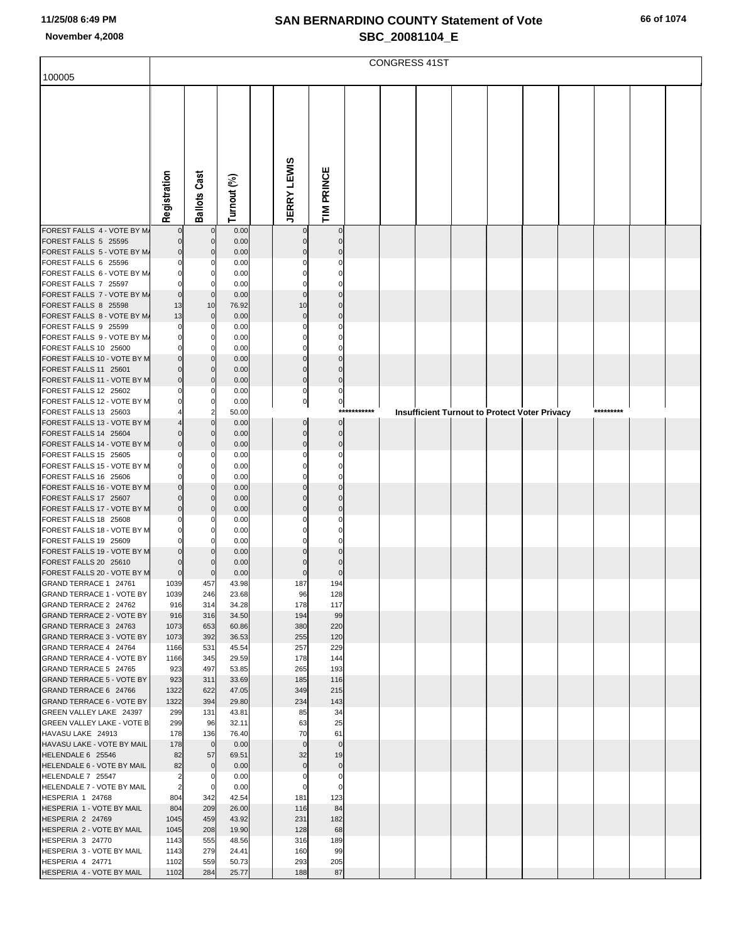| 100005                                                       |                         |                            |                |                            |                            |             | <b>CONGRESS 41ST</b> |  |                                               |           |  |
|--------------------------------------------------------------|-------------------------|----------------------------|----------------|----------------------------|----------------------------|-------------|----------------------|--|-----------------------------------------------|-----------|--|
|                                                              |                         |                            |                |                            |                            |             |                      |  |                                               |           |  |
|                                                              |                         |                            |                |                            |                            |             |                      |  |                                               |           |  |
|                                                              |                         |                            |                |                            |                            |             |                      |  |                                               |           |  |
|                                                              |                         |                            |                |                            |                            |             |                      |  |                                               |           |  |
|                                                              |                         |                            |                |                            |                            |             |                      |  |                                               |           |  |
|                                                              |                         |                            |                |                            |                            |             |                      |  |                                               |           |  |
|                                                              |                         |                            |                |                            |                            |             |                      |  |                                               |           |  |
|                                                              |                         |                            |                |                            |                            |             |                      |  |                                               |           |  |
|                                                              | Registration            | <b>Ballots Cast</b>        | Turnout (%)    | <b>JERRY LEWIS</b>         | TIM PRINCE                 |             |                      |  |                                               |           |  |
| FOREST FALLS 4 - VOTE BY M/                                  | $\Omega$                | $\mathbf 0$                | 0.00           |                            | $\mathbf 0$                |             |                      |  |                                               |           |  |
| FOREST FALLS 5 25595                                         | 0                       | 0                          | 0.00           | 0                          | $\mathbf 0$                |             |                      |  |                                               |           |  |
| FOREST FALLS 5 - VOTE BY M/<br>FOREST FALLS 6 25596          | $\mathbf 0$<br>0        | 0<br>0                     | 0.00<br>0.00   |                            | $\Omega$<br>0              |             |                      |  |                                               |           |  |
| FOREST FALLS 6 - VOTE BY M/                                  | 0                       | 0                          | 0.00           |                            | $\Omega$                   |             |                      |  |                                               |           |  |
| FOREST FALLS 7 25597                                         | 0                       | 0                          | 0.00           | C                          | $\Omega$                   |             |                      |  |                                               |           |  |
| FOREST FALLS 7 - VOTE BY M/<br>FOREST FALLS 8 25598          | $\mathbf 0$<br>13       | $\mathbf 0$<br>10          | 0.00<br>76.92  | $\Omega$<br>10             | $\Omega$<br>$\Omega$       |             |                      |  |                                               |           |  |
| FOREST FALLS 8 - VOTE BY M/                                  | 13                      | $\mathbf 0$                | 0.00           | $\mathbf{0}$               | $\Omega$                   |             |                      |  |                                               |           |  |
| FOREST FALLS 9 25599                                         | 0<br>0                  | 0                          | 0.00           | C                          | $\Omega$<br>C              |             |                      |  |                                               |           |  |
| FOREST FALLS 9 - VOTE BY M/<br>FOREST FALLS 10 25600         | 0                       | 0<br>0                     | 0.00<br>0.00   | C                          | $\Omega$                   |             |                      |  |                                               |           |  |
| FOREST FALLS 10 - VOTE BY M                                  | $\mathbf 0$             | $\mathbf 0$                | 0.00           | $\Omega$                   | $\Omega$                   |             |                      |  |                                               |           |  |
| FOREST FALLS 11 25601<br>FOREST FALLS 11 - VOTE BY M         | $\Omega$<br>0           | $\mathbf 0$<br>$\mathbf 0$ | 0.00<br>0.00   | $\mathbf 0$<br>$\mathbf 0$ | $\Omega$<br>$\mathbf 0$    |             |                      |  |                                               |           |  |
| FOREST FALLS 12 25602                                        |                         | 0                          | 0.00           | 0                          | $\mathbf 0$                |             |                      |  |                                               |           |  |
| FOREST FALLS 12 - VOTE BY M                                  |                         | 0                          | 0.00           | $\pmb{0}$                  | $\overline{0}$             | *********** |                      |  |                                               | ********* |  |
| FOREST FALLS 13 25603<br>FOREST FALLS 13 - VOTE BY M         |                         | 2<br>$\mathbf 0$           | 50.00<br>0.00  | $\mathbf 0$                | $\Omega$                   |             |                      |  | Insufficient Turnout to Protect Voter Privacy |           |  |
| FOREST FALLS 14 25604                                        | 0                       | $\mathbf 0$                | 0.00           | $\mathbf 0$                | $\mathbf 0$                |             |                      |  |                                               |           |  |
| FOREST FALLS 14 - VOTE BY M<br>FOREST FALLS 15 25605         | $\mathbf 0$             | 0<br>0                     | 0.00<br>0.00   | $\Omega$<br>C              | $\mathbf 0$<br>$\mathbf 0$ |             |                      |  |                                               |           |  |
| FOREST FALLS 15 - VOTE BY M                                  | 0                       | 0                          | 0.00           |                            | $\Omega$                   |             |                      |  |                                               |           |  |
| FOREST FALLS 16 25606                                        | 0                       | 0                          | 0.00           | C                          | $\Omega$                   |             |                      |  |                                               |           |  |
| FOREST FALLS 16 - VOTE BY M<br>FOREST FALLS 17 25607         | 0<br>$\Omega$           | $\mathbf 0$<br>$\mathbf 0$ | 0.00<br>0.00   | $\Omega$                   | $\Omega$                   |             |                      |  |                                               |           |  |
| FOREST FALLS 17 - VOTE BY M                                  | 0                       | 0                          | 0.00           | $\Omega$                   | $\Omega$                   |             |                      |  |                                               |           |  |
| FOREST FALLS 18 25608<br>FOREST FALLS 18 - VOTE BY M         | 0<br>$\Omega$           | 0<br>0                     | 0.00<br>0.00   |                            | $\Omega$                   |             |                      |  |                                               |           |  |
| FOREST FALLS 19 25609                                        | 0                       | 0                          | 0.00           |                            | 0                          |             |                      |  |                                               |           |  |
| FOREST FALLS 19 - VOTE BY M                                  | 0                       | $\Omega$                   | 0.00           |                            |                            |             |                      |  |                                               |           |  |
| FOREST FALLS 20 25610<br>FOREST FALLS 20 - VOTE BY M         | 0<br>$\mathbf 0$        | 0<br>$\Omega$              | 0.00<br>0.00   | $\mathbf 0$                | $\Omega$                   |             |                      |  |                                               |           |  |
| GRAND TERRACE 1 24761                                        | 1039                    | 457                        | 43.98          | 187                        | 194                        |             |                      |  |                                               |           |  |
| <b>GRAND TERRACE 1 - VOTE BY</b><br>GRAND TERRACE 2 24762    | 1039<br>916             | 246<br>314                 | 23.68<br>34.28 | 96<br>178                  | 128<br>117                 |             |                      |  |                                               |           |  |
| <b>GRAND TERRACE 2 - VOTE BY</b>                             | 916                     | 316                        | 34.50          | 194                        | 99                         |             |                      |  |                                               |           |  |
| GRAND TERRACE 3 24763                                        | 1073                    | 653                        | 60.86          | 380                        | 220                        |             |                      |  |                                               |           |  |
| <b>GRAND TERRACE 3 - VOTE BY</b><br>GRAND TERRACE 4 24764    | 1073<br>1166            | 392<br>531                 | 36.53<br>45.54 | 255<br>257                 | 120<br>229                 |             |                      |  |                                               |           |  |
| <b>GRAND TERRACE 4 - VOTE BY</b>                             | 1166                    | 345                        | 29.59          | 178                        | 144                        |             |                      |  |                                               |           |  |
| GRAND TERRACE 5 24765<br><b>GRAND TERRACE 5 - VOTE BY</b>    | 923<br>923              | 497<br>311                 | 53.85<br>33.69 | 265<br>185                 | 193<br>116                 |             |                      |  |                                               |           |  |
| GRAND TERRACE 6 24766                                        | 1322                    | 622                        | 47.05          | 349                        | 215                        |             |                      |  |                                               |           |  |
| <b>GRAND TERRACE 6 - VOTE BY</b>                             | 1322                    | 394                        | 29.80          | 234                        | 143                        |             |                      |  |                                               |           |  |
| GREEN VALLEY LAKE 24397<br><b>GREEN VALLEY LAKE - VOTE B</b> | 299<br>299              | 131<br>96                  | 43.81<br>32.11 | 85<br>63                   | 34<br>25                   |             |                      |  |                                               |           |  |
| HAVASU LAKE 24913                                            | 178                     | 136                        | 76.40          | 70                         | 61                         |             |                      |  |                                               |           |  |
| HAVASU LAKE - VOTE BY MAIL<br>HELENDALE 6 25546              | 178<br>82               | $\mathbf 0$<br>57          | 0.00<br>69.51  | $\mathbf 0$<br>32          | $\mathbf 0$<br>19          |             |                      |  |                                               |           |  |
| HELENDALE 6 - VOTE BY MAIL                                   | 82                      | $\mathbf 0$                | 0.00           | $\mathbf 0$                | $\pmb{0}$                  |             |                      |  |                                               |           |  |
| HELENDALE 7 25547                                            | $\overline{\mathbf{c}}$ | 0                          | 0.00           | 0                          | $\mathbf 0$                |             |                      |  |                                               |           |  |
| HELENDALE 7 - VOTE BY MAIL<br>HESPERIA 1 24768               | $\overline{c}$<br>804   | 0<br>342                   | 0.00<br>42.54  | 0<br>181                   | $\mathbf 0$<br>123         |             |                      |  |                                               |           |  |
| HESPERIA 1 - VOTE BY MAIL                                    | 804                     | 209                        | 26.00          | 116                        | 84                         |             |                      |  |                                               |           |  |
| HESPERIA 2 24769<br>HESPERIA 2 - VOTE BY MAIL                | 1045<br>1045            | 459<br>208                 | 43.92<br>19.90 | 231<br>128                 | 182<br>68                  |             |                      |  |                                               |           |  |
| HESPERIA 3 24770                                             | 1143                    | 555                        | 48.56          | 316                        | 189                        |             |                      |  |                                               |           |  |
| HESPERIA 3 - VOTE BY MAIL                                    | 1143                    | 279                        | 24.41          | 160                        | 99                         |             |                      |  |                                               |           |  |
| HESPERIA 4 24771<br>HESPERIA 4 - VOTE BY MAIL                | 1102<br>1102            | 559<br>284                 | 50.73<br>25.77 | 293<br>188                 | 205<br>87                  |             |                      |  |                                               |           |  |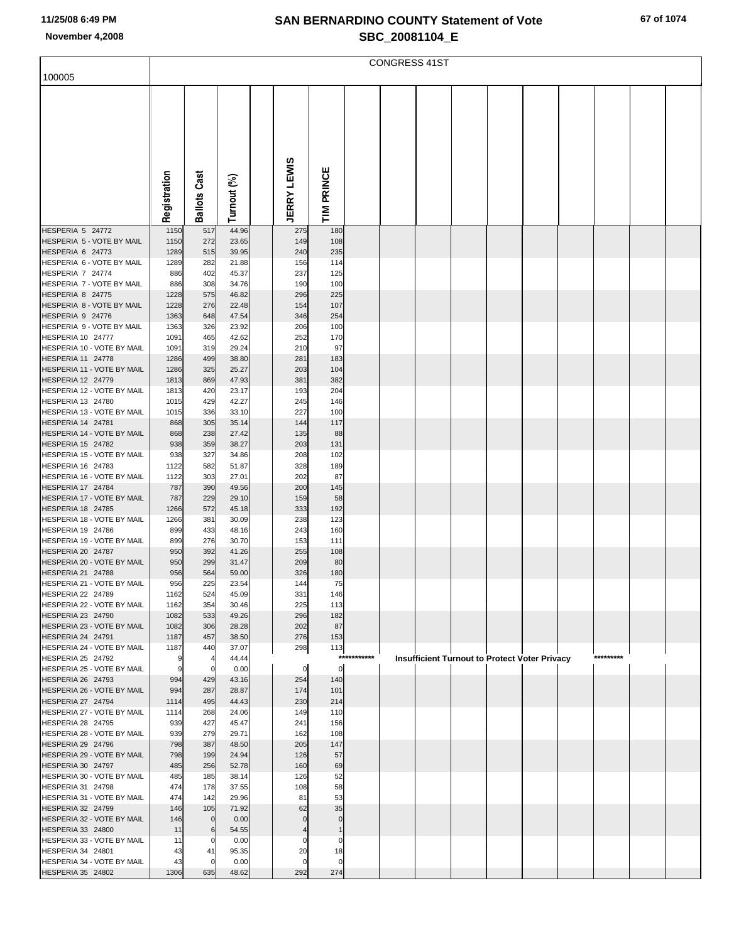| 100005                                          |              |                     |                |                      |                    |             | <b>CONGRESS 41ST</b> |  |                                               |           |  |
|-------------------------------------------------|--------------|---------------------|----------------|----------------------|--------------------|-------------|----------------------|--|-----------------------------------------------|-----------|--|
|                                                 |              |                     |                |                      |                    |             |                      |  |                                               |           |  |
|                                                 |              |                     |                |                      |                    |             |                      |  |                                               |           |  |
|                                                 |              |                     |                |                      |                    |             |                      |  |                                               |           |  |
|                                                 |              |                     |                |                      |                    |             |                      |  |                                               |           |  |
|                                                 |              |                     |                |                      |                    |             |                      |  |                                               |           |  |
|                                                 |              |                     |                |                      |                    |             |                      |  |                                               |           |  |
|                                                 |              |                     |                |                      |                    |             |                      |  |                                               |           |  |
|                                                 |              |                     |                |                      |                    |             |                      |  |                                               |           |  |
|                                                 |              |                     |                |                      |                    |             |                      |  |                                               |           |  |
|                                                 |              |                     |                |                      | PRINCE             |             |                      |  |                                               |           |  |
|                                                 |              |                     |                |                      |                    |             |                      |  |                                               |           |  |
|                                                 | Registration | <b>Ballots Cast</b> | Turnout (%)    | <b>JERRY LEWIS</b>   | ≧<br>F             |             |                      |  |                                               |           |  |
| HESPERIA 5 24772                                | 1150         | 517                 | 44.96          | 275                  | 180                |             |                      |  |                                               |           |  |
| HESPERIA 5 - VOTE BY MAIL                       | 1150         | 272                 | 23.65          | 149                  | 108                |             |                      |  |                                               |           |  |
| HESPERIA 6 24773                                | 1289         | 515                 | 39.95          | 240                  | 235                |             |                      |  |                                               |           |  |
| HESPERIA 6 - VOTE BY MAIL                       | 1289         | 282                 | 21.88          | 156                  | 114                |             |                      |  |                                               |           |  |
| HESPERIA 7 24774                                | 886          | 402                 | 45.37          | 237                  | 125                |             |                      |  |                                               |           |  |
| HESPERIA 7 - VOTE BY MAIL                       | 886          | 308                 | 34.76          | 190                  | 100                |             |                      |  |                                               |           |  |
| HESPERIA 8 24775                                | 1228         | 575                 | 46.82          | 296                  | 225                |             |                      |  |                                               |           |  |
| HESPERIA 8 - VOTE BY MAIL                       | 1228         | 276                 | 22.48          | 154                  | 107                |             |                      |  |                                               |           |  |
| HESPERIA 9 24776                                | 1363         | 648                 | 47.54          | 346                  | 254                |             |                      |  |                                               |           |  |
| HESPERIA 9 - VOTE BY MAIL                       | 1363         | 326                 | 23.92          | 206                  | 100                |             |                      |  |                                               |           |  |
| HESPERIA 10 24777<br>HESPERIA 10 - VOTE BY MAIL | 1091<br>1091 | 465<br>319          | 42.62<br>29.24 | 252<br>210           | 170<br>97          |             |                      |  |                                               |           |  |
| <b>HESPERIA 11 24778</b>                        | 1286         | 499                 | 38.80          | 281                  | 183                |             |                      |  |                                               |           |  |
| HESPERIA 11 - VOTE BY MAIL                      | 1286         | 325                 | 25.27          | 203                  | 104                |             |                      |  |                                               |           |  |
| <b>HESPERIA 12 24779</b>                        | 1813         | 869                 | 47.93          | 381                  | 382                |             |                      |  |                                               |           |  |
| HESPERIA 12 - VOTE BY MAIL                      | 1813         | 420                 | 23.17          | 193                  | 204                |             |                      |  |                                               |           |  |
| HESPERIA 13 24780                               | 1015         | 429                 | 42.27          | 245                  | 146                |             |                      |  |                                               |           |  |
| HESPERIA 13 - VOTE BY MAIL                      | 1015         | 336                 | 33.10          | 227                  | 100                |             |                      |  |                                               |           |  |
| HESPERIA 14 24781                               | 868          | 305                 | 35.14          | 144                  | 117                |             |                      |  |                                               |           |  |
| HESPERIA 14 - VOTE BY MAIL                      | 868          | 238                 | 27.42          | 135                  | 88                 |             |                      |  |                                               |           |  |
| HESPERIA 15 24782<br>HESPERIA 15 - VOTE BY MAIL | 938          | 359<br>327          | 38.27          | 203<br>208           | 131<br>102         |             |                      |  |                                               |           |  |
| HESPERIA 16 24783                               | 938<br>1122  | 582                 | 34.86<br>51.87 | 328                  | 189                |             |                      |  |                                               |           |  |
| HESPERIA 16 - VOTE BY MAIL                      | 1122         | 303                 | 27.01          | 202                  | 87                 |             |                      |  |                                               |           |  |
| HESPERIA 17 24784                               | 787          | 390                 | 49.56          | 200                  | 145                |             |                      |  |                                               |           |  |
| HESPERIA 17 - VOTE BY MAIL                      | 787          | 229                 | 29.10          | 159                  | 58                 |             |                      |  |                                               |           |  |
| <b>HESPERIA 18 24785</b>                        | 1266         | 572                 | 45.18          | 333                  | 192                |             |                      |  |                                               |           |  |
| HESPERIA 18 - VOTE BY MAIL                      | 1266         | 381                 | 30.09          | 238                  | 123                |             |                      |  |                                               |           |  |
| HESPERIA 19 24786                               | 899          | 433                 | 48.16          | 243                  | 160                |             |                      |  |                                               |           |  |
| HESPERIA 19 - VOTE BY MAIL                      | 899          | 276                 | 30.70          | 153                  | 111                |             |                      |  |                                               |           |  |
| HESPERIA 20 24787                               | 950          | 392                 | 41.26          | 255                  | 108                |             |                      |  |                                               |           |  |
| HESPERIA 20 - VOTE BY MAIL<br>HESPERIA 21 24788 | 950<br>956   | 299<br>564          | 31.47<br>59.00 | 209<br>326           | 80<br>180          |             |                      |  |                                               |           |  |
| HESPERIA 21 - VOTE BY MAIL                      | 956          | 225                 | 23.54          | 144                  | 75                 |             |                      |  |                                               |           |  |
| HESPERIA 22 24789                               | 1162         | 524                 | 45.09          | 331                  | 146                |             |                      |  |                                               |           |  |
| HESPERIA 22 - VOTE BY MAIL                      | 1162         | 354                 | 30.46          | 225                  | 113                |             |                      |  |                                               |           |  |
| HESPERIA 23 24790                               | 1082         | 533                 | 49.26          | 296                  | 182                |             |                      |  |                                               |           |  |
| HESPERIA 23 - VOTE BY MAIL                      | 1082         | 306                 | 28.28          | 202                  | 87                 |             |                      |  |                                               |           |  |
| HESPERIA 24 24791                               | 1187         | 457                 | 38.50          | 276                  | 153                |             |                      |  |                                               |           |  |
| HESPERIA 24 - VOTE BY MAIL                      | 1187         | 440                 | 37.07          | 298                  | 113                | *********** |                      |  |                                               | ********* |  |
| HESPERIA 25 24792<br>HESPERIA 25 - VOTE BY MAIL | 9<br>9       | $\mathbf 0$         | 44.44<br>0.00  | 0                    | $\mathbf 0$        |             |                      |  | Insufficient Turnout to Protect Voter Privacy |           |  |
| HESPERIA 26 24793                               | 994          | 429                 | 43.16          | 254                  | 140                |             |                      |  |                                               |           |  |
| HESPERIA 26 - VOTE BY MAIL                      | 994          | 287                 | 28.87          | 174                  | 101                |             |                      |  |                                               |           |  |
| HESPERIA 27 24794                               | 1114         | 495                 | 44.43          | 230                  | 214                |             |                      |  |                                               |           |  |
| HESPERIA 27 - VOTE BY MAIL                      | 1114         | 268                 | 24.06          | 149                  | 110                |             |                      |  |                                               |           |  |
| HESPERIA 28 24795                               | 939          | 427                 | 45.47          | 241                  | 156                |             |                      |  |                                               |           |  |
| HESPERIA 28 - VOTE BY MAIL                      | 939          | 279                 | 29.71          | 162                  | 108                |             |                      |  |                                               |           |  |
| HESPERIA 29 24796                               | 798          | 387                 | 48.50          | 205                  | 147                |             |                      |  |                                               |           |  |
| HESPERIA 29 - VOTE BY MAIL                      | 798          | 199                 | 24.94          | 126                  | 57                 |             |                      |  |                                               |           |  |
| HESPERIA 30 24797<br>HESPERIA 30 - VOTE BY MAIL | 485<br>485   | 256<br>185          | 52.78<br>38.14 | 160<br>126           | 69<br>52           |             |                      |  |                                               |           |  |
| HESPERIA 31 24798                               | 474          | 178                 | 37.55          | 108                  | 58                 |             |                      |  |                                               |           |  |
| HESPERIA 31 - VOTE BY MAIL                      | 474          | 142                 | 29.96          | 81                   | 53                 |             |                      |  |                                               |           |  |
| HESPERIA 32 24799                               | 146          | 105                 | 71.92          | 62                   | 35                 |             |                      |  |                                               |           |  |
| HESPERIA 32 - VOTE BY MAIL                      | 146          | $\mathbf 0$         | 0.00           | C                    | $\mathbf 0$        |             |                      |  |                                               |           |  |
| HESPERIA 33 24800                               | 11           | 6                   | 54.55          |                      |                    |             |                      |  |                                               |           |  |
| HESPERIA 33 - VOTE BY MAIL                      | 11           | 0                   | 0.00           | C                    | 0                  |             |                      |  |                                               |           |  |
| HESPERIA 34 24801                               | 43           | 41                  | 95.35          | 20                   | 18                 |             |                      |  |                                               |           |  |
| HESPERIA 34 - VOTE BY MAIL<br>HESPERIA 35 24802 | 43<br>1306   | $\mathbf 0$<br>635  | 0.00<br>48.62  | $\mathcal{C}$<br>292 | $\mathbf 0$<br>274 |             |                      |  |                                               |           |  |
|                                                 |              |                     |                |                      |                    |             |                      |  |                                               |           |  |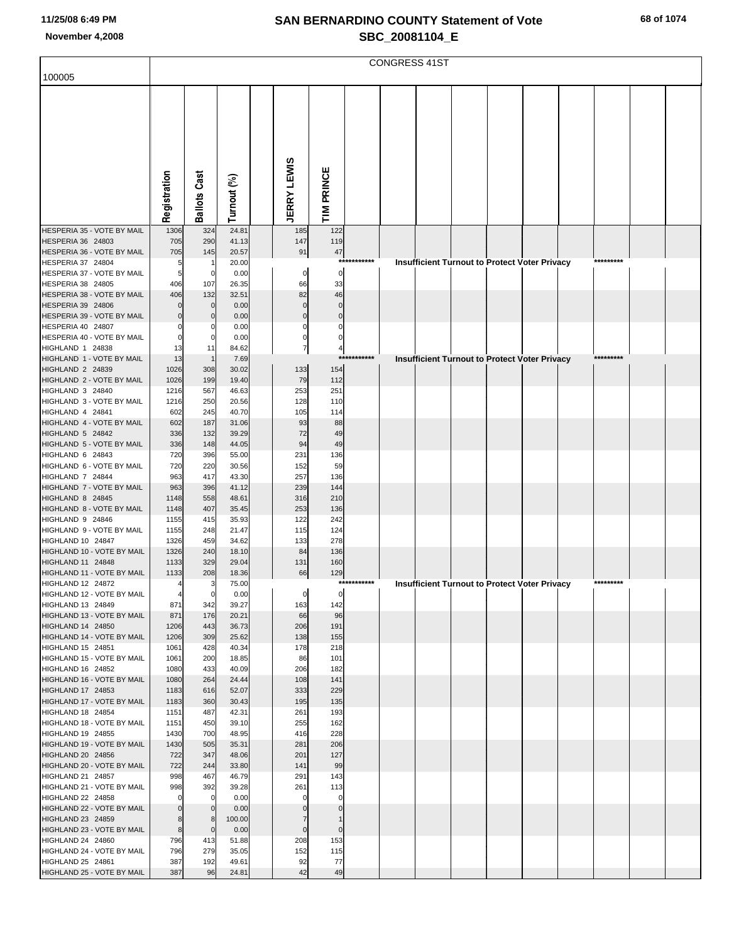|                                                 |                       |                       |                |                         |                         | <b>CONGRESS 41ST</b> |                                                      |  |           |  |
|-------------------------------------------------|-----------------------|-----------------------|----------------|-------------------------|-------------------------|----------------------|------------------------------------------------------|--|-----------|--|
| 100005                                          |                       |                       |                |                         |                         |                      |                                                      |  |           |  |
|                                                 |                       |                       |                |                         |                         |                      |                                                      |  |           |  |
|                                                 |                       |                       |                |                         |                         |                      |                                                      |  |           |  |
|                                                 |                       |                       |                |                         |                         |                      |                                                      |  |           |  |
|                                                 |                       |                       |                |                         |                         |                      |                                                      |  |           |  |
|                                                 |                       |                       |                |                         |                         |                      |                                                      |  |           |  |
|                                                 |                       |                       |                |                         |                         |                      |                                                      |  |           |  |
|                                                 |                       |                       |                |                         |                         |                      |                                                      |  |           |  |
|                                                 |                       |                       |                |                         |                         |                      |                                                      |  |           |  |
|                                                 |                       |                       |                |                         |                         |                      |                                                      |  |           |  |
|                                                 | Registration          | <b>Ballots Cast</b>   | Turnout (%)    | <b>JERRY LEWIS</b>      | TIM PRINCE              |                      |                                                      |  |           |  |
| HESPERIA 35 - VOTE BY MAIL                      | 1306                  | 324                   | 24.81          | 185                     | 122                     |                      |                                                      |  |           |  |
| HESPERIA 36 24803                               | 705                   | 290                   | 41.13          | 147                     | 119                     |                      |                                                      |  |           |  |
| HESPERIA 36 - VOTE BY MAIL                      | 705                   | 145                   | 20.57          | 91                      | 47                      |                      |                                                      |  |           |  |
| HESPERIA 37 24804<br>HESPERIA 37 - VOTE BY MAIL | 5<br>5                | $\mathbf 0$           | 20.00<br>0.00  | $\mathbf 0$             | 0                       | ***********          | Insufficient Turnout to Protect Voter Privacy        |  | ********* |  |
| <b>HESPERIA 38 24805</b>                        | 406                   | 107                   | 26.35          | 66                      | 33                      |                      |                                                      |  |           |  |
| HESPERIA 38 - VOTE BY MAIL                      | 406                   | 132                   | 32.51          | 82                      | 46                      |                      |                                                      |  |           |  |
| <b>HESPERIA 39 24806</b>                        | O                     | $\mathbf 0$           | 0.00           | $\mathbf 0$             | $\Omega$                |                      |                                                      |  |           |  |
| HESPERIA 39 - VOTE BY MAIL<br>HESPERIA 40 24807 | $\Omega$<br>0         | $\Omega$              | 0.00<br>0.00   | $\mathbf 0$<br>$\Omega$ | $\mathbf 0$<br>$\Omega$ |                      |                                                      |  |           |  |
| HESPERIA 40 - VOTE BY MAIL                      | $\Omega$              | 0<br>0                | 0.00           | 0                       | 0                       |                      |                                                      |  |           |  |
| HIGHLAND 1 24838                                | 13                    | 11                    | 84.62          | $\overline{7}$          | 4                       |                      |                                                      |  |           |  |
| HIGHLAND 1 - VOTE BY MAIL                       | 13                    | $\overline{1}$        | 7.69           |                         | ***                     | *******              | <b>Insufficient Turnout to Protect Voter Privacy</b> |  |           |  |
| HIGHLAND 2 24839                                | 1026                  | 308                   | 30.02          | 133                     | 154                     |                      |                                                      |  |           |  |
| HIGHLAND 2 - VOTE BY MAIL<br>HIGHLAND 3 24840   | 1026<br>1216          | 199<br>567            | 19.40<br>46.63 | 79<br>253               | 112<br>251              |                      |                                                      |  |           |  |
| HIGHLAND 3 - VOTE BY MAIL                       | 1216                  | 250                   | 20.56          | 128                     | 110                     |                      |                                                      |  |           |  |
| HIGHLAND 4 24841                                | 602                   | 245                   | 40.70          | 105                     | 114                     |                      |                                                      |  |           |  |
| HIGHLAND 4 - VOTE BY MAIL                       | 602                   | 187                   | 31.06          | 93                      | 88                      |                      |                                                      |  |           |  |
| HIGHLAND 5 24842<br>HIGHLAND 5 - VOTE BY MAIL   | 336<br>336            | 132<br>148            | 39.29<br>44.05 | 72<br>94                | 49<br>49                |                      |                                                      |  |           |  |
| HIGHLAND 6 24843                                | 720                   | 396                   | 55.00          | 231                     | 136                     |                      |                                                      |  |           |  |
| HIGHLAND 6 - VOTE BY MAIL                       | 720                   | 220                   | 30.56          | 152                     | 59                      |                      |                                                      |  |           |  |
| HIGHLAND 7 24844                                | 963                   | 417                   | 43.30          | 257                     | 136                     |                      |                                                      |  |           |  |
| HIGHLAND 7 - VOTE BY MAIL<br>HIGHLAND 8 24845   | 963<br>1148           | 396<br>558            | 41.12<br>48.61 | 239<br>316              | 144<br>210              |                      |                                                      |  |           |  |
| HIGHLAND 8 - VOTE BY MAIL                       | 1148                  | 407                   | 35.45          | 253                     | 136                     |                      |                                                      |  |           |  |
| HIGHLAND 9 24846                                | 1155                  | 415                   | 35.93          | 122                     | 242                     |                      |                                                      |  |           |  |
| HIGHLAND 9 - VOTE BY MAIL                       | 1155                  | 248                   | 21.47          | 115                     | 124                     |                      |                                                      |  |           |  |
| HIGHLAND 10 24847<br>HIGHLAND 10 - VOTE BY MAIL | 1326<br>1326          | 459<br>240            | 34.62<br>18.10 | 133<br>84               | 278<br>136              |                      |                                                      |  |           |  |
| HIGHLAND 11 24848                               | 1133                  | 329                   | 29.04          | 131                     | 160                     |                      |                                                      |  |           |  |
| HIGHLAND 11 - VOTE BY MAIL                      | 1133                  | 208                   | 18.36          | 66                      | 129                     |                      |                                                      |  |           |  |
| HIGHLAND 12 24872                               |                       | з                     | 75.00          |                         |                         |                      | <b>Insufficient Turnout to Protect Voter Privacy</b> |  |           |  |
| HIGHLAND 12 - VOTE BY MAIL<br>HIGHLAND 13 24849 | $\overline{a}$<br>871 | $\overline{0}$<br>342 | 0.00<br>39.27  | $\overline{0}$<br>163   | $\mathbf 0$<br>142      |                      |                                                      |  |           |  |
| HIGHLAND 13 - VOTE BY MAIL                      | 871                   | 176                   | 20.21          | 66                      | 96                      |                      |                                                      |  |           |  |
| HIGHLAND 14 24850                               | 1206                  | 443                   | 36.73          | 206                     | 191                     |                      |                                                      |  |           |  |
| HIGHLAND 14 - VOTE BY MAIL                      | 1206                  | 309                   | 25.62          | 138                     | 155                     |                      |                                                      |  |           |  |
| HIGHLAND 15 24851<br>HIGHLAND 15 - VOTE BY MAIL | 1061<br>1061          | 428<br>200            | 40.34<br>18.85 | 178<br>86               | 218<br>101              |                      |                                                      |  |           |  |
| HIGHLAND 16 24852                               | 1080                  | 433                   | 40.09          | 206                     | 182                     |                      |                                                      |  |           |  |
| HIGHLAND 16 - VOTE BY MAIL                      | 1080                  | 264                   | 24.44          | 108                     | 141                     |                      |                                                      |  |           |  |
| HIGHLAND 17 24853                               | 1183                  | 616                   | 52.07          | 333                     | 229                     |                      |                                                      |  |           |  |
| HIGHLAND 17 - VOTE BY MAIL<br>HIGHLAND 18 24854 | 1183                  | 360<br>487            | 30.43<br>42.31 | 195<br>261              | 135<br>193              |                      |                                                      |  |           |  |
| HIGHLAND 18 - VOTE BY MAIL                      | 1151<br>1151          | 450                   | 39.10          | 255                     | 162                     |                      |                                                      |  |           |  |
| HIGHLAND 19 24855                               | 1430                  | 700                   | 48.95          | 416                     | 228                     |                      |                                                      |  |           |  |
| HIGHLAND 19 - VOTE BY MAIL                      | 1430                  | 505                   | 35.31          | 281                     | 206                     |                      |                                                      |  |           |  |
| HIGHLAND 20 24856                               | 722                   | 347                   | 48.06          | 201                     | 127                     |                      |                                                      |  |           |  |
| HIGHLAND 20 - VOTE BY MAIL<br>HIGHLAND 21 24857 | 722<br>998            | 244<br>467            | 33.80<br>46.79 | 141<br>291              | 99<br>143               |                      |                                                      |  |           |  |
| HIGHLAND 21 - VOTE BY MAIL                      | 998                   | 392                   | 39.28          | 261                     | 113                     |                      |                                                      |  |           |  |
| HIGHLAND 22 24858                               | 0                     | $\mathbf 0$           | 0.00           |                         | 0                       |                      |                                                      |  |           |  |
| HIGHLAND 22 - VOTE BY MAIL                      | $\mathbf 0$           | $\mathbf{0}$          | 0.00           |                         | $\Omega$                |                      |                                                      |  |           |  |
| HIGHLAND 23 24859<br>HIGHLAND 23 - VOTE BY MAIL | 8<br>8                | 8<br>$\mathbf{0}$     | 100.00<br>0.00 | 7<br>$\mathbf 0$        | $\pmb{0}$               |                      |                                                      |  |           |  |
| HIGHLAND 24 24860                               | 796                   | 413                   | 51.88          | 208                     | 153                     |                      |                                                      |  |           |  |
| HIGHLAND 24 - VOTE BY MAIL                      | 796                   | 279                   | 35.05          | 152                     | 115                     |                      |                                                      |  |           |  |
| HIGHLAND 25 24861                               | 387                   | 192                   | 49.61          | 92<br>42                | 77                      |                      |                                                      |  |           |  |
| HIGHLAND 25 - VOTE BY MAIL                      | 387                   | 96                    | 24.81          |                         | 49                      |                      |                                                      |  |           |  |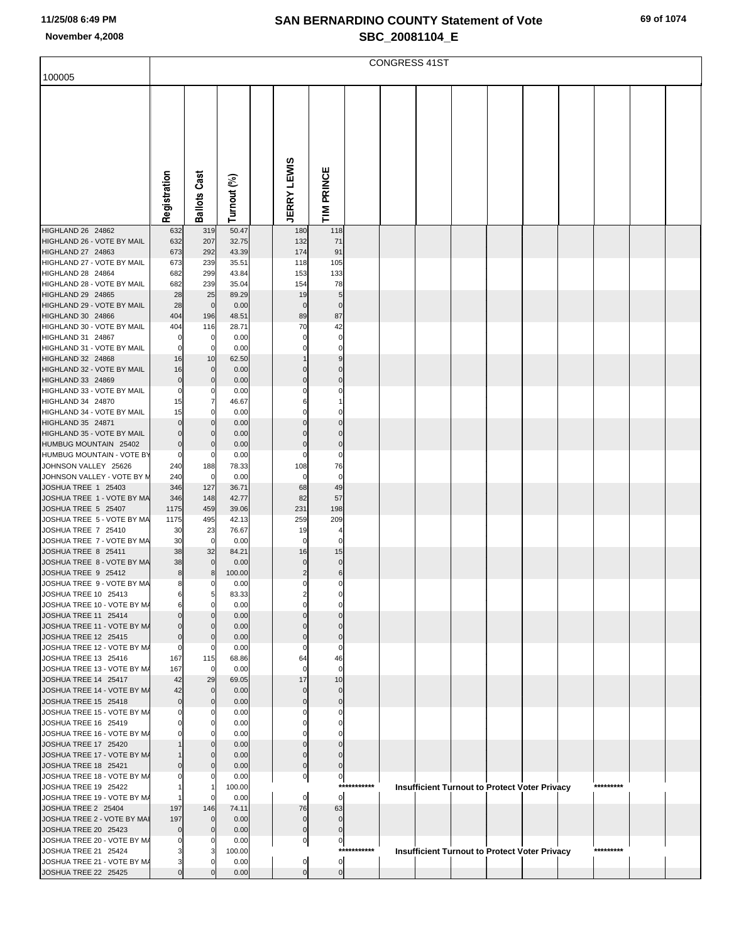|                                                                      |                                |                        |                         |                                  |                         |             | <b>CONGRESS 41ST</b> |  |                                                      |           |  |
|----------------------------------------------------------------------|--------------------------------|------------------------|-------------------------|----------------------------------|-------------------------|-------------|----------------------|--|------------------------------------------------------|-----------|--|
| 100005                                                               |                                |                        |                         |                                  |                         |             |                      |  |                                                      |           |  |
|                                                                      | Registration                   | Cast<br><b>Ballots</b> | Turnout (%)             | <b>JERRY LEWIS</b>               | TIM PRINCE              |             |                      |  |                                                      |           |  |
|                                                                      |                                |                        |                         |                                  |                         |             |                      |  |                                                      |           |  |
| HIGHLAND 26 24862<br>HIGHLAND 26 - VOTE BY MAIL<br>HIGHLAND 27 24863 | 632<br>632<br>673              | 319<br>207<br>292      | 50.47<br>32.75<br>43.39 | 180<br>132<br>174                | 118<br>71<br>91         |             |                      |  |                                                      |           |  |
| HIGHLAND 27 - VOTE BY MAIL                                           | 673                            | 239                    | 35.51                   | 118                              | 105                     |             |                      |  |                                                      |           |  |
| HIGHLAND 28 24864                                                    | 682                            | 299                    | 43.84                   | 153                              | 133                     |             |                      |  |                                                      |           |  |
| HIGHLAND 28 - VOTE BY MAIL                                           | 682                            | 239                    | 35.04                   | 154                              | 78                      |             |                      |  |                                                      |           |  |
| HIGHLAND 29 24865                                                    | 28                             | 25                     | 89.29                   | 19                               | 5                       |             |                      |  |                                                      |           |  |
| HIGHLAND 29 - VOTE BY MAIL                                           | 28                             | $\mathbf 0$            | 0.00                    | $\mathbf 0$                      | $\mathbf 0$             |             |                      |  |                                                      |           |  |
| HIGHLAND 30 24866<br>HIGHLAND 30 - VOTE BY MAIL                      | 404<br>404                     | 196<br>116             | 48.51<br>28.71          | 89<br>70                         | 87<br>42                |             |                      |  |                                                      |           |  |
| HIGHLAND 31 24867                                                    | $\Omega$                       | $\mathbf 0$            | 0.00                    | $\Omega$                         | $\mathbf 0$             |             |                      |  |                                                      |           |  |
| HIGHLAND 31 - VOTE BY MAIL                                           | $\overline{0}$                 | $\mathbf 0$            | 0.00                    | 0                                | 0                       |             |                      |  |                                                      |           |  |
| HIGHLAND 32 24868                                                    | 16                             | 10                     | 62.50                   |                                  | 9                       |             |                      |  |                                                      |           |  |
| HIGHLAND 32 - VOTE BY MAIL                                           | 16                             | $\mathbf 0$            | 0.00                    | $\Omega$                         | $\Omega$                |             |                      |  |                                                      |           |  |
| HIGHLAND 33 24869                                                    | $\overline{0}$                 | $\mathbf 0$            | 0.00                    | $\Omega$                         | $\Omega$                |             |                      |  |                                                      |           |  |
| HIGHLAND 33 - VOTE BY MAIL<br>HIGHLAND 34 24870                      | $\mathbf{0}$                   | 0<br>$\overline{7}$    | 0.00                    | 6                                | 0                       |             |                      |  |                                                      |           |  |
| HIGHLAND 34 - VOTE BY MAIL                                           | 15<br>15                       | 0                      | 46.67<br>0.00           |                                  | 0                       |             |                      |  |                                                      |           |  |
| HIGHLAND 35 24871                                                    | $\overline{0}$                 | $\mathbf 0$            | 0.00                    | $\Omega$                         | $\Omega$                |             |                      |  |                                                      |           |  |
| HIGHLAND 35 - VOTE BY MAIL                                           | $\overline{0}$                 | $\mathbf 0$            | 0.00                    | $\Omega$                         | $\Omega$                |             |                      |  |                                                      |           |  |
| HUMBUG MOUNTAIN 25402                                                | $\overline{0}$                 | $\mathbf 0$            | 0.00                    | $\Omega$                         | $\mathbf 0$             |             |                      |  |                                                      |           |  |
| HUMBUG MOUNTAIN - VOTE BY                                            | $\mathbf{0}$                   | 0                      | 0.00                    | 0                                | $\Omega$                |             |                      |  |                                                      |           |  |
| JOHNSON VALLEY 25626<br>JOHNSON VALLEY - VOTE BY M                   | 240                            | 188<br>$\mathbf 0$     | 78.33<br>0.00           | 108<br>$\mathbf 0$               | 76<br>$\mathbf 0$       |             |                      |  |                                                      |           |  |
| JOSHUA TREE 1 25403                                                  | 240<br>346                     | 127                    | 36.71                   | 68                               | 49                      |             |                      |  |                                                      |           |  |
| JOSHUA TREE 1 - VOTE BY MA                                           | 346                            | 148                    | 42.77                   | 82                               | 57                      |             |                      |  |                                                      |           |  |
| JOSHUA TREE 5 25407                                                  | 1175                           | 459                    | 39.06                   | 231                              | 198                     |             |                      |  |                                                      |           |  |
| JOSHUA TREE 5 - VOTE BY MA                                           | 1175                           | 495                    | 42.13                   | 259                              | 209                     |             |                      |  |                                                      |           |  |
| JOSHUA TREE 7 25410                                                  | 30                             | 23                     | 76.67                   | 19                               | $\overline{4}$          |             |                      |  |                                                      |           |  |
| JOSHUA TREE 7 - VOTE BY MA                                           | 30                             | $\mathbf 0$            | 0.00                    | $\Omega$                         | $\Omega$                |             |                      |  |                                                      |           |  |
| JOSHUA TREE 8 25411<br>JOSHUA TREE 8 - VOTE BY MA                    | 38<br>38                       | 32<br>$\mathbf 0$      | 84.21<br>0.00           | 16<br>$\Omega$                   | 15<br>$\mathbf 0$       |             |                      |  |                                                      |           |  |
| JOSHUA TREE 9 25412                                                  | 8                              | 8                      | 100.00                  | $\overline{2}$                   | $\,6$                   |             |                      |  |                                                      |           |  |
| JOSHUA TREE 9 - VOTE BY MA                                           | 8                              |                        | 0.00                    |                                  |                         |             |                      |  |                                                      |           |  |
| JOSHUA TREE 10 25413                                                 | 6                              | 5                      | 83.33                   |                                  |                         |             |                      |  |                                                      |           |  |
| JOSHUA TREE 10 - VOTE BY M/                                          | 6                              | $\Omega$               | 0.00                    |                                  |                         |             |                      |  |                                                      |           |  |
| JOSHUA TREE 11 25414<br>JOSHUA TREE 11 - VOTE BY M/                  | $\Omega$<br>$\Omega$           | $\Omega$<br>$\Omega$   | 0.00<br>0.00            |                                  |                         |             |                      |  |                                                      |           |  |
| JOSHUA TREE 12 25415                                                 | $\overline{0}$                 | $\mathbf 0$            | 0.00                    |                                  | $\Omega$                |             |                      |  |                                                      |           |  |
| JOSHUA TREE 12 - VOTE BY M/                                          | $\overline{0}$                 | 0                      | 0.00                    |                                  | $\Omega$                |             |                      |  |                                                      |           |  |
| JOSHUA TREE 13 25416                                                 | 167                            | 115                    | 68.86                   | 64                               | 46                      |             |                      |  |                                                      |           |  |
| JOSHUA TREE 13 - VOTE BY M/                                          | 167                            | $\mathbf 0$            | 0.00                    | $\Omega$                         | $\mathbf 0$             |             |                      |  |                                                      |           |  |
| JOSHUA TREE 14 25417<br>JOSHUA TREE 14 - VOTE BY M/                  | 42                             | 29<br>$\mathbf 0$      | 69.05                   | 17<br>$\Omega$                   | 10                      |             |                      |  |                                                      |           |  |
| JOSHUA TREE 15 25418                                                 | 42<br>$\overline{0}$           | $\mathbf 0$            | 0.00<br>0.00            | $\Omega$                         | $\mathbf 0$<br>$\Omega$ |             |                      |  |                                                      |           |  |
| JOSHUA TREE 15 - VOTE BY M/                                          | $\Omega$                       | $\Omega$               | 0.00                    |                                  |                         |             |                      |  |                                                      |           |  |
| JOSHUA TREE 16 25419                                                 |                                |                        | 0.00                    |                                  |                         |             |                      |  |                                                      |           |  |
| JOSHUA TREE 16 - VOTE BY M/                                          |                                |                        | 0.00                    |                                  |                         |             |                      |  |                                                      |           |  |
| JOSHUA TREE 17 25420                                                 |                                |                        | 0.00                    |                                  | $\Omega$                |             |                      |  |                                                      |           |  |
| JOSHUA TREE 17 - VOTE BY M/                                          | $\Omega$                       | $\Omega$               | 0.00<br>0.00            | $\Omega$<br>$\Omega$             | $\Omega$<br>$\Omega$    |             |                      |  |                                                      |           |  |
| JOSHUA TREE 18 25421<br>JOSHUA TREE 18 - VOTE BY M/                  |                                | 0                      | 0.00                    | $\overline{0}$                   | $\circ$                 |             |                      |  |                                                      |           |  |
| JOSHUA TREE 19 25422                                                 |                                |                        | 100.00                  |                                  |                         | *********** |                      |  | <b>Insufficient Turnout to Protect Voter Privacy</b> | ********* |  |
| JOSHUA TREE 19 - VOTE BY M/                                          |                                |                        | 0.00                    | $\overline{0}$                   | $\overline{0}$          |             |                      |  |                                                      |           |  |
| JOSHUA TREE 2 25404                                                  | 197                            | 146                    | 74.11                   | 76                               | 63                      |             |                      |  |                                                      |           |  |
| JOSHUA TREE 2 - VOTE BY MAI                                          | 197                            | $\mathbf 0$            | 0.00                    | $\mathbf 0$                      | $\mathbf 0$             |             |                      |  |                                                      |           |  |
| JOSHUA TREE 20 25423<br>JOSHUA TREE 20 - VOTE BY M/                  | $\overline{0}$<br>$\mathbf{0}$ | $\mathbf 0$<br>0       | 0.00<br>0.00            | $\overline{0}$<br>$\overline{0}$ | $\mathbf 0$<br>$\circ$  |             |                      |  |                                                      |           |  |
| JOSHUA TREE 21 25424                                                 | 3                              | 3                      | 100.00                  |                                  |                         | *********** |                      |  | <b>Insufficient Turnout to Protect Voter Privacy</b> | ********* |  |
| JOSHUA TREE 21 - VOTE BY M/                                          | 3                              |                        | 0.00                    | $\overline{0}$                   | $\circ$                 |             |                      |  |                                                      |           |  |
| JOSHUA TREE 22 25425                                                 | $\overline{0}$                 |                        | 0.00                    | $\overline{0}$                   | $\overline{0}$          |             |                      |  |                                                      |           |  |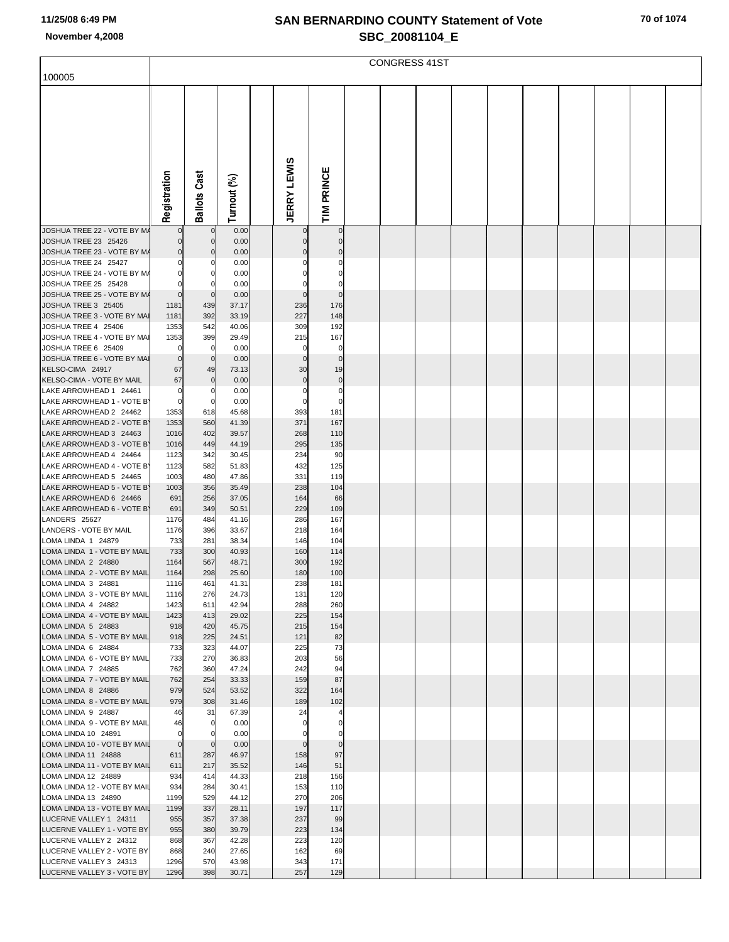|                                                      |                    |                           |                |                       |                          | <b>CONGRESS 41ST</b> |  |  |  |  |
|------------------------------------------------------|--------------------|---------------------------|----------------|-----------------------|--------------------------|----------------------|--|--|--|--|
| 100005                                               |                    |                           |                |                       |                          |                      |  |  |  |  |
|                                                      | Registration       | <b>Ballots Cast</b>       | Turnout (%)    | <b>JERRY LEWIS</b>    | TIM PRINCE               |                      |  |  |  |  |
|                                                      |                    |                           |                |                       |                          |                      |  |  |  |  |
| JOSHUA TREE 22 - VOTE BY M/                          | $\mathbf 0$        | $\mathbf 0$               | 0.00           | 0                     | $\mathbf 0$              |                      |  |  |  |  |
| JOSHUA TREE 23 25426<br>JOSHUA TREE 23 - VOTE BY M/  | 0                  | $\Omega$<br>$\mathcal{C}$ | 0.00<br>0.00   | 0<br>$\mathbf 0$      | $\mathbf 0$              |                      |  |  |  |  |
| JOSHUA TREE 24 25427                                 |                    | C                         | 0.00           | 0                     |                          |                      |  |  |  |  |
| JOSHUA TREE 24 - VOTE BY M/                          |                    | 0                         | 0.00           | $\Omega$              |                          |                      |  |  |  |  |
| JOSHUA TREE 25 25428<br>JOSHUA TREE 25 - VOTE BY M/  | $\mathbf 0$        | C<br>$\mathbf 0$          | 0.00<br>0.00   | 0<br>$\mathbf 0$      | 0<br>$\Omega$            |                      |  |  |  |  |
| JOSHUA TREE 3 25405                                  | 1181               | 439                       | 37.17          | 236                   | 176                      |                      |  |  |  |  |
| JOSHUA TREE 3 - VOTE BY MAI                          | 1181               | 392                       | 33.19          | 227                   | 148                      |                      |  |  |  |  |
| JOSHUA TREE 4 25406                                  | 1353               | 542                       | 40.06          | 309                   | 192                      |                      |  |  |  |  |
| JOSHUA TREE 4 - VOTE BY MAI<br>JOSHUA TREE 6 25409   | 1353               | 399<br>$\mathbf 0$        | 29.49<br>0.00  | 215<br>0              | 167<br>0                 |                      |  |  |  |  |
| JOSHUA TREE 6 - VOTE BY MAI                          | $\mathbf 0$        | $\mathbf 0$               | 0.00           | $\mathbf 0$           | $\mathbf{0}$             |                      |  |  |  |  |
| KELSO-CIMA 24917                                     | 67                 | 49                        | 73.13          | 30                    | 19                       |                      |  |  |  |  |
| KELSO-CIMA - VOTE BY MAIL<br>LAKE ARROWHEAD 1 24461  | 67<br>$\Omega$     | $\mathbf 0$<br>0          | 0.00<br>0.00   | $\mathbf 0$<br>0      | $\pmb{0}$<br>$\mathbf 0$ |                      |  |  |  |  |
| LAKE ARROWHEAD 1 - VOTE B'                           | $\Omega$           | $\mathbf 0$               | 0.00           | $\mathbf 0$           | $\Omega$                 |                      |  |  |  |  |
| LAKE ARROWHEAD 2 24462                               | 1353               | 618                       | 45.68          | 393                   | 181                      |                      |  |  |  |  |
| LAKE ARROWHEAD 2 - VOTE B'<br>LAKE ARROWHEAD 3 24463 | 1353<br>1016       | 560<br>402                | 41.39<br>39.57 | 371<br>268            | 167<br>110               |                      |  |  |  |  |
| LAKE ARROWHEAD 3 - VOTE B'                           | 1016               | 449                       | 44.19          | 295                   | 135                      |                      |  |  |  |  |
| LAKE ARROWHEAD 4 24464                               | 1123               | 342                       | 30.45          | 234                   | 90                       |                      |  |  |  |  |
| LAKE ARROWHEAD 4 - VOTE B'                           | 1123               | 582                       | 51.83          | 432                   | 125                      |                      |  |  |  |  |
| LAKE ARROWHEAD 5 24465<br>LAKE ARROWHEAD 5 - VOTE B' | 1003<br>1003       | 480<br>356                | 47.86<br>35.49 | 331<br>238            | 119<br>104               |                      |  |  |  |  |
| LAKE ARROWHEAD 6 24466                               | 691                | 256                       | 37.05          | 164                   | 66                       |                      |  |  |  |  |
| LAKE ARROWHEAD 6 - VOTE B'                           | 691                | 349                       | 50.51          | 229                   | 109                      |                      |  |  |  |  |
| LANDERS 25627<br>LANDERS - VOTE BY MAIL              | 1176<br>1176       | 484<br>396                | 41.16<br>33.67 | 286<br>218            | 167<br>164               |                      |  |  |  |  |
| LOMA LINDA 1 24879                                   | 733                | 281                       | 38.34          | 146                   | 104                      |                      |  |  |  |  |
| LOMA LINDA 1 - VOTE BY MAIL                          | 733                | 300                       | 40.93          | 160                   | 114                      |                      |  |  |  |  |
| LOMA LINDA 2 24880<br>LOMA LINDA 2 - VOTE BY MAIL    | 1164<br>1164       | 567<br>298                | 48.71<br>25.60 | 300<br>180            | 192<br>100               |                      |  |  |  |  |
| LOMA LINDA 3 24881                                   | 1116               | 461                       | 41.31          | 238                   | 181                      |                      |  |  |  |  |
| LOMA LINDA 3 - VOTE BY MAIL                          | 1116               | 276                       | 24.73          | 131                   | 120                      |                      |  |  |  |  |
| LOMA LINDA 4 24882                                   | 1423               | 611                       | 42.94          | 288                   | 260                      |                      |  |  |  |  |
| LOMA LINDA 4 - VOTE BY MAIL<br>LOMA LINDA 5 24883    | 1423<br>918        | 413<br>420                | 29.02<br>45.75 | 225<br>215            | 154<br>154               |                      |  |  |  |  |
| LOMA LINDA 5 - VOTE BY MAIL                          | 918                | 225                       | 24.51          | 121                   | 82                       |                      |  |  |  |  |
| LOMA LINDA 6 24884                                   | 733                | 323                       | 44.07          | 225                   | 73                       |                      |  |  |  |  |
| LOMA LINDA 6 - VOTE BY MAIL<br>LOMA LINDA 7 24885    | 733<br>762         | 270<br>360                | 36.83<br>47.24 | 203<br>242            | 56<br>94                 |                      |  |  |  |  |
| LOMA LINDA 7 - VOTE BY MAIL                          | 762                | 254                       | 33.33          | 159                   | 87                       |                      |  |  |  |  |
| LOMA LINDA 8 24886                                   | 979                | 524                       | 53.52          | 322                   | 164                      |                      |  |  |  |  |
| LOMA LINDA 8 - VOTE BY MAIL<br>LOMA LINDA 9 24887    | 979<br>46          | 308<br>31                 | 31.46<br>67.39 | 189<br>24             | 102                      |                      |  |  |  |  |
| LOMA LINDA 9 - VOTE BY MAIL                          | 46                 | $\mathbf 0$               | 0.00           | $\mathbf 0$           | $\Omega$                 |                      |  |  |  |  |
| LOMA LINDA 10 24891                                  | $\mathbf 0$        | 0                         | 0.00           | 0                     |                          |                      |  |  |  |  |
| LOMA LINDA 10 - VOTE BY MAIL<br>LOMA LINDA 11 24888  | $\mathbf 0$<br>611 | $\mathbf 0$<br>287        | 0.00<br>46.97  | $\overline{0}$<br>158 | $\pmb{0}$<br>97          |                      |  |  |  |  |
| LOMA LINDA 11 - VOTE BY MAIL                         | 611                | 217                       | 35.52          | 146                   | 51                       |                      |  |  |  |  |
| LOMA LINDA 12 24889                                  | 934                | 414                       | 44.33          | 218                   | 156                      |                      |  |  |  |  |
| LOMA LINDA 12 - VOTE BY MAIL<br>LOMA LINDA 13 24890  | 934<br>1199        | 284<br>529                | 30.41<br>44.12 | 153<br>270            | 110<br>206               |                      |  |  |  |  |
| LOMA LINDA 13 - VOTE BY MAIL                         | 1199               | 337                       | 28.11          | 197                   | 117                      |                      |  |  |  |  |
| LUCERNE VALLEY 1 24311                               | 955                | 357                       | 37.38          | 237                   | 99                       |                      |  |  |  |  |
| LUCERNE VALLEY 1 - VOTE BY                           | 955                | 380                       | 39.79          | 223                   | 134                      |                      |  |  |  |  |
| LUCERNE VALLEY 2 24312<br>LUCERNE VALLEY 2 - VOTE BY | 868<br>868         | 367<br>240                | 42.28<br>27.65 | 223<br>162            | 120<br>69                |                      |  |  |  |  |
| LUCERNE VALLEY 3 24313                               | 1296               | 570                       | 43.98          | 343                   | 171                      |                      |  |  |  |  |
| LUCERNE VALLEY 3 - VOTE BY                           | 1296               | 398                       | 30.71          | 257                   | 129                      |                      |  |  |  |  |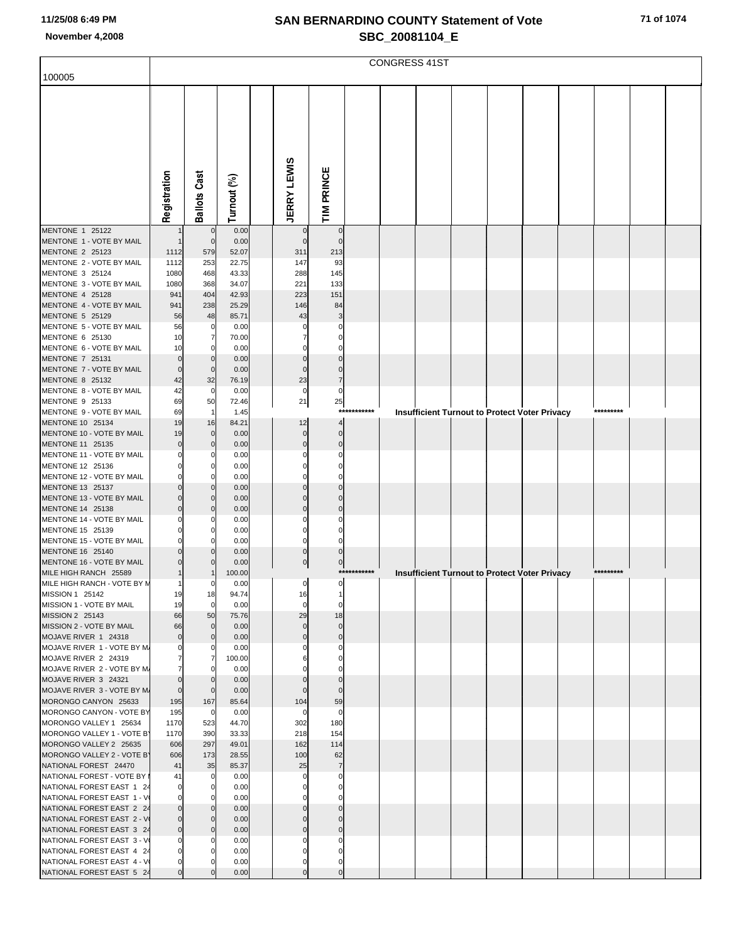|                                                         |               |                         |                |                      |                 |             | <b>CONGRESS 41ST</b> |  |                                                      |  |           |  |
|---------------------------------------------------------|---------------|-------------------------|----------------|----------------------|-----------------|-------------|----------------------|--|------------------------------------------------------|--|-----------|--|
| 100005                                                  |               |                         |                |                      |                 |             |                      |  |                                                      |  |           |  |
|                                                         | Registration  | <b>Ballots Cast</b>     | Turnout (%)    | <b>JERRY LEWIS</b>   | TIM PRINCE      |             |                      |  |                                                      |  |           |  |
|                                                         |               |                         |                |                      |                 |             |                      |  |                                                      |  |           |  |
| MENTONE 1 25122                                         |               | $\mathbf 0$             | 0.00           | 0                    | $\mathbf 0$     |             |                      |  |                                                      |  |           |  |
| MENTONE 1 - VOTE BY MAIL<br>MENTONE 2 25123             | 1112          | $\mathbf 0$<br>579      | 0.00<br>52.07  | $\mathbf 0$<br>311   | $\Omega$<br>213 |             |                      |  |                                                      |  |           |  |
| MENTONE 2 - VOTE BY MAIL                                | 1112          | 253                     | 22.75          | 147                  | 93              |             |                      |  |                                                      |  |           |  |
| MENTONE 3 25124                                         | 1080          | 468                     | 43.33          | 288                  | 145             |             |                      |  |                                                      |  |           |  |
| MENTONE 3 - VOTE BY MAIL                                | 1080          | 368                     | 34.07          | 221                  | 133             |             |                      |  |                                                      |  |           |  |
| MENTONE 4 25128<br>MENTONE 4 - VOTE BY MAIL             | 941<br>941    | 404<br>238              | 42.93<br>25.29 | 223<br>146           | 151<br>84       |             |                      |  |                                                      |  |           |  |
| MENTONE 5 25129                                         | 56            | 48                      | 85.71          | 43                   | 3               |             |                      |  |                                                      |  |           |  |
| MENTONE 5 - VOTE BY MAIL                                | 56            | 0                       | 0.00           | 0                    |                 |             |                      |  |                                                      |  |           |  |
| MENTONE 6 25130                                         | 10            | 7                       | 70.00          |                      |                 |             |                      |  |                                                      |  |           |  |
| MENTONE 6 - VOTE BY MAIL                                | 10            | 0                       | 0.00           | 0<br>$\mathbf 0$     |                 |             |                      |  |                                                      |  |           |  |
| MENTONE 7 25131<br>MENTONE 7 - VOTE BY MAIL             | $\Omega$<br>O | $\mathbf 0$<br>$\Omega$ | 0.00<br>0.00   | $\mathbf 0$          | $\Omega$        |             |                      |  |                                                      |  |           |  |
| MENTONE 8 25132                                         | 42            | 32                      | 76.19          | 23                   | $\overline{7}$  |             |                      |  |                                                      |  |           |  |
| MENTONE 8 - VOTE BY MAIL                                | 42            | 0                       | 0.00           | 0                    | 0               |             |                      |  |                                                      |  |           |  |
| MENTONE 9 25133                                         | 69            | 50                      | 72.46          | 21                   | 25              | *********** |                      |  |                                                      |  | ********* |  |
| MENTONE 9 - VOTE BY MAIL<br>MENTONE 10 25134            | 69<br>19      | -1<br>16                | 1.45<br>84.21  | 12                   | $\overline{4}$  |             |                      |  | Insufficient Turnout to Protect Voter Privacy        |  |           |  |
| MENTONE 10 - VOTE BY MAIL                               | 19            | $\mathbf 0$             | 0.00           | $\pmb{0}$            | $\mathbf 0$     |             |                      |  |                                                      |  |           |  |
| MENTONE 11 25135                                        |               | $\Omega$                | 0.00           | $\mathbf 0$          | $\Omega$        |             |                      |  |                                                      |  |           |  |
| MENTONE 11 - VOTE BY MAIL                               |               | -C                      | 0.00           | $\Omega$             | n               |             |                      |  |                                                      |  |           |  |
| MENTONE 12 25136<br>MENTONE 12 - VOTE BY MAIL           |               | C<br>C                  | 0.00           | $\Omega$<br>$\Omega$ | n               |             |                      |  |                                                      |  |           |  |
| MENTONE 13 25137                                        |               | $\Omega$                | 0.00<br>0.00   | $\Omega$             |                 |             |                      |  |                                                      |  |           |  |
| MENTONE 13 - VOTE BY MAIL                               |               | $\Omega$                | 0.00           | $\Omega$             | $\Omega$        |             |                      |  |                                                      |  |           |  |
| MENTONE 14 25138                                        |               | C                       | 0.00           | $\Omega$             | $\Omega$        |             |                      |  |                                                      |  |           |  |
| MENTONE 14 - VOTE BY MAIL                               |               | -C                      | 0.00           | 0                    |                 |             |                      |  |                                                      |  |           |  |
| MENTONE 15 25139<br>MENTONE 15 - VOTE BY MAIL           |               | C                       | 0.00<br>0.00   | $\Omega$<br>0        |                 |             |                      |  |                                                      |  |           |  |
| MENTONE 16 25140                                        |               |                         | 0.00           | $\mathbf 0$          | $\Omega$        |             |                      |  |                                                      |  |           |  |
| MENTONE 16 - VOTE BY MAIL                               |               | C                       | 0.00           | $\bf{0}$             | $\mathbf 0$     |             |                      |  |                                                      |  |           |  |
| MILE HIGH RANCH 25589                                   |               |                         | 100.00         |                      |                 | *********** |                      |  | <b>Insufficient Turnout to Protect Voter Privacy</b> |  | ********* |  |
| MILE HIGH RANCH - VOTE BY M                             |               |                         | 0.00           | ⊿                    | ⊿               |             |                      |  |                                                      |  |           |  |
| MISSION 1 25142<br>MISSION 1 - VOTE BY MAIL             | 19<br>19      | 18<br>$\mathbf 0$       | 94.74<br>0.00  | 16<br>$\mathbf 0$    |                 |             |                      |  |                                                      |  |           |  |
| MISSION 2 25143                                         | 66            | 50                      | 75.76          | 29                   | 18              |             |                      |  |                                                      |  |           |  |
| MISSION 2 - VOTE BY MAIL                                | 66            | $\mathbf 0$             | 0.00           | $\mathbf 0$          | $\mathbf 0$     |             |                      |  |                                                      |  |           |  |
| MOJAVE RIVER 1 24318                                    | $\Omega$      | $\Omega$                | 0.00           | $\mathbf 0$          | $\mathbf{0}$    |             |                      |  |                                                      |  |           |  |
| MOJAVE RIVER 1 - VOTE BY M.<br>MOJAVE RIVER 2 24319     |               | 0<br>7                  | 0.00<br>100.00 |                      |                 |             |                      |  |                                                      |  |           |  |
| MOJAVE RIVER 2 - VOTE BY M.                             |               | 0                       | 0.00           |                      |                 |             |                      |  |                                                      |  |           |  |
| MOJAVE RIVER 3 24321                                    |               | $\Omega$                | 0.00           | $\Omega$             |                 |             |                      |  |                                                      |  |           |  |
| MOJAVE RIVER 3 - VOTE BY M.                             | $\Omega$      | $\Omega$                | 0.00           | $\Omega$             | $\Omega$        |             |                      |  |                                                      |  |           |  |
| MORONGO CANYON 25633<br>MORONGO CANYON - VOTE BY        | 195<br>195    | 167<br>0                | 85.64<br>0.00  | 104<br>0             | 59<br>0         |             |                      |  |                                                      |  |           |  |
| MORONGO VALLEY 1 25634                                  | 1170          | 523                     | 44.70          | 302                  | 180             |             |                      |  |                                                      |  |           |  |
| MORONGO VALLEY 1 - VOTE B'                              | 1170          | 390                     | 33.33          | 218                  | 154             |             |                      |  |                                                      |  |           |  |
| MORONGO VALLEY 2 25635                                  | 606           | 297                     | 49.01          | 162                  | 114             |             |                      |  |                                                      |  |           |  |
| MORONGO VALLEY 2 - VOTE B'                              | 606           | 173                     | 28.55          | 100                  | 62              |             |                      |  |                                                      |  |           |  |
| NATIONAL FOREST 24470<br>NATIONAL FOREST - VOTE BY I    | 41<br>41      | 35<br>0                 | 85.37<br>0.00  | 25<br>0              | $\overline{7}$  |             |                      |  |                                                      |  |           |  |
| NATIONAL FOREST EAST 1 24                               |               | $\Omega$                | 0.00           | 0                    |                 |             |                      |  |                                                      |  |           |  |
| NATIONAL FOREST EAST 1 - V                              |               | n                       | 0.00           |                      |                 |             |                      |  |                                                      |  |           |  |
| NATIONAL FOREST EAST 2 24                               |               | $\Omega$                | 0.00           | $\mathbf{0}$         |                 |             |                      |  |                                                      |  |           |  |
| NATIONAL FOREST EAST 2 - V                              |               | $\Omega$<br>$\Omega$    | 0.00           | 0<br>$\mathbf 0$     |                 |             |                      |  |                                                      |  |           |  |
| NATIONAL FOREST EAST 3 24<br>NATIONAL FOREST EAST 3 - V | 0             | 0                       | 0.00<br>0.00   | $\Omega$             |                 |             |                      |  |                                                      |  |           |  |
| NATIONAL FOREST EAST 4 24                               |               |                         | 0.00           | $\Omega$             |                 |             |                      |  |                                                      |  |           |  |
| NATIONAL FOREST EAST 4 - V                              |               |                         | 0.00           | 0                    |                 |             |                      |  |                                                      |  |           |  |
| NATIONAL FOREST EAST 5 24                               |               |                         | 0.00           | $\pmb{0}$            | $\mathbf 0$     |             |                      |  |                                                      |  |           |  |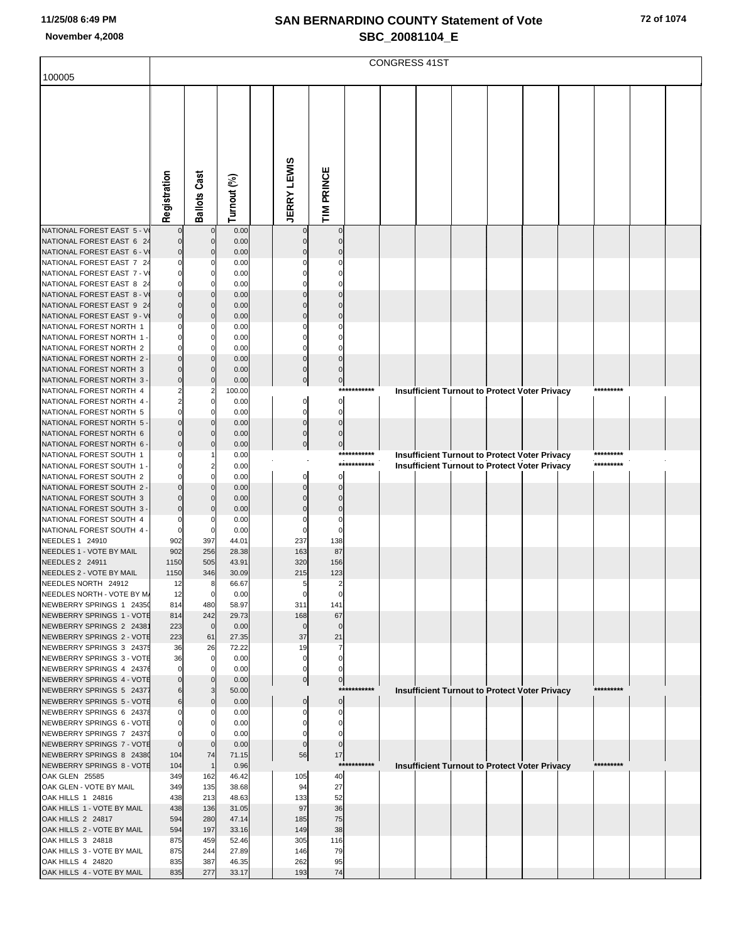|                                                         |                      |                      |                |                          |                            |                            | <b>CONGRESS 41ST</b> |                                                                                                       |  |  |                        |  |
|---------------------------------------------------------|----------------------|----------------------|----------------|--------------------------|----------------------------|----------------------------|----------------------|-------------------------------------------------------------------------------------------------------|--|--|------------------------|--|
| 100005                                                  |                      |                      |                |                          |                            |                            |                      |                                                                                                       |  |  |                        |  |
|                                                         |                      |                      |                |                          |                            |                            |                      |                                                                                                       |  |  |                        |  |
|                                                         |                      |                      |                |                          |                            |                            |                      |                                                                                                       |  |  |                        |  |
|                                                         |                      |                      |                |                          |                            |                            |                      |                                                                                                       |  |  |                        |  |
|                                                         |                      |                      |                |                          |                            |                            |                      |                                                                                                       |  |  |                        |  |
|                                                         |                      |                      |                |                          |                            |                            |                      |                                                                                                       |  |  |                        |  |
|                                                         |                      |                      |                |                          |                            |                            |                      |                                                                                                       |  |  |                        |  |
|                                                         | Registration         | <b>Ballots Cast</b>  | Turnout (%)    | <b>JERRY LEWIS</b>       | TIM PRINCE                 |                            |                      |                                                                                                       |  |  |                        |  |
|                                                         |                      |                      |                |                          |                            |                            |                      |                                                                                                       |  |  |                        |  |
| NATIONAL FOREST EAST 5 - V<br>NATIONAL FOREST EAST 6 24 | $\Omega$<br>$\Omega$ | $\mathbf 0$<br>0     | 0.00<br>0.00   | $\mathbf 0$<br>$\Omega$  | $\mathbf 0$<br>$\mathbf 0$ |                            |                      |                                                                                                       |  |  |                        |  |
| NATIONAL FOREST EAST 6 - V                              | $\overline{0}$       | $\Omega$             | 0.00           |                          | $\Omega$                   |                            |                      |                                                                                                       |  |  |                        |  |
| NATIONAL FOREST EAST 7 24<br>NATIONAL FOREST EAST 7 - V | $\Omega$<br>$\Omega$ | 0<br>0               | 0.00<br>0.00   |                          | C                          |                            |                      |                                                                                                       |  |  |                        |  |
| NATIONAL FOREST EAST 8 24                               | $\Omega$             | $\Omega$             | 0.00           |                          |                            |                            |                      |                                                                                                       |  |  |                        |  |
| NATIONAL FOREST EAST 8 - V<br>NATIONAL FOREST EAST 9 24 | $\Omega$<br>$\Omega$ | $\Omega$<br>0        | 0.00<br>0.00   | n                        | $\Omega$<br>$\Omega$       |                            |                      |                                                                                                       |  |  |                        |  |
| NATIONAL FOREST EAST 9 - V                              | $\overline{0}$       | $\Omega$             | 0.00           |                          | $\Omega$                   |                            |                      |                                                                                                       |  |  |                        |  |
| NATIONAL FOREST NORTH 1<br>NATIONAL FOREST NORTH 1      | 0<br>$\Omega$        | 0<br>0               | 0.00<br>0.00   |                          | $\Omega$<br>C              |                            |                      |                                                                                                       |  |  |                        |  |
| NATIONAL FOREST NORTH 2                                 | $\mathbf{0}$         | $\Omega$             | 0.00           | $\Omega$                 | $\Omega$                   |                            |                      |                                                                                                       |  |  |                        |  |
| NATIONAL FOREST NORTH 2<br>NATIONAL FOREST NORTH 3      | $\Omega$<br>0        | $\Omega$<br>$\Omega$ | 0.00<br>0.00   | $\Omega$<br>$\mathbf 0$  | $\Omega$<br>$\mathbf 0$    |                            |                      |                                                                                                       |  |  |                        |  |
| NATIONAL FOREST NORTH 3                                 | $\overline{0}$       | $\Omega$             | 0.00           | $\mathbf 0$              | $\overline{0}$             |                            |                      |                                                                                                       |  |  |                        |  |
| NATIONAL FOREST NORTH 4<br>NATIONAL FOREST NORTH 4      | 2<br>$\overline{2}$  | 2<br>0               | 100.00<br>0.00 | $\Omega$                 | $\mathbf 0$                | ***********                |                      | <b>Insufficient Turnout to Protect Voter Privacy</b>                                                  |  |  | *********              |  |
| NATIONAL FOREST NORTH 5                                 | $\mathbf{0}$         | $\Omega$             | 0.00           | $\Omega$                 | 0                          |                            |                      |                                                                                                       |  |  |                        |  |
| NATIONAL FOREST NORTH 5<br>NATIONAL FOREST NORTH 6      | $\Omega$<br>$\Omega$ | $\Omega$<br>0        | 0.00<br>0.00   | $\mathbf 0$<br>$\pmb{0}$ | $\Omega$<br>$\Omega$       |                            |                      |                                                                                                       |  |  |                        |  |
| NATIONAL FOREST NORTH 6                                 | $\overline{0}$       | 0                    | 0.00           | $\overline{0}$           | $\pmb{0}$                  |                            |                      |                                                                                                       |  |  |                        |  |
| NATIONAL FOREST SOUTH 1<br>NATIONAL FOREST SOUTH 1      | 0<br>0               | 2                    | 0.00<br>0.00   |                          |                            | ***********<br>*********** |                      | Insufficient Turnout to Protect Voter Privacy<br><b>Insufficient Turnout to Protect Voter Privacy</b> |  |  | *********<br>********* |  |
| NATIONAL FOREST SOUTH 2                                 | $\Omega$             | $\Omega$             | 0.00           | $\Omega$                 | $\Omega$                   |                            |                      |                                                                                                       |  |  |                        |  |
| NATIONAL FOREST SOUTH 2<br>NATIONAL FOREST SOUTH 3      | O<br>0               | $\Omega$<br>$\Omega$ | 0.00<br>0.00   | $\Omega$                 | $\Omega$<br>$\Omega$       |                            |                      |                                                                                                       |  |  |                        |  |
| NATIONAL FOREST SOUTH 3                                 | $\overline{0}$       | 0                    | 0.00           |                          | $\Omega$                   |                            |                      |                                                                                                       |  |  |                        |  |
| NATIONAL FOREST SOUTH 4                                 | 0<br>$\Omega$        | 0                    | 0.00<br>0.00   | 0                        | 0<br>$\Omega$              |                            |                      |                                                                                                       |  |  |                        |  |
| NATIONAL FOREST SOUTH 4 -<br>NEEDLES 1 24910            | 902                  | 0<br>397             | 44.01          | 237                      | 138                        |                            |                      |                                                                                                       |  |  |                        |  |
| NEEDLES 1 - VOTE BY MAIL                                | 902                  | 256                  | 28.38          | 163                      | 87                         |                            |                      |                                                                                                       |  |  |                        |  |
| NEEDLES 2 24911<br>NEEDLES 2 - VOTE BY MAIL             | 1150<br>1150         | 505<br>346           | 43.91<br>30.09 | 320<br>215               | 156<br>123                 |                            |                      |                                                                                                       |  |  |                        |  |
| NEEDLES NORTH 24912                                     | 12                   | 8                    | 66.67          |                          |                            |                            |                      |                                                                                                       |  |  |                        |  |
| NEEDLES NORTH - VOTE BY M/<br>NEWBERRY SPRINGS 1 24350  | 12<br>814            | 0<br>480             | 0.00<br>58.97  | 0<br>311                 | 0<br>141                   |                            |                      |                                                                                                       |  |  |                        |  |
| NEWBERRY SPRINGS 1 - VOTE                               | 814                  | 242                  | 29.73          | 168                      | 67                         |                            |                      |                                                                                                       |  |  |                        |  |
| NEWBERRY SPRINGS 2 24381<br>NEWBERRY SPRINGS 2 - VOTE   | 223<br>223           | $\mathbf 0$<br>61    | 0.00<br>27.35  | $\mathbf 0$<br>37        | $\Omega$<br>21             |                            |                      |                                                                                                       |  |  |                        |  |
| NEWBERRY SPRINGS 3 24375                                | 36                   | 26                   | 72.22          | 19                       | 7                          |                            |                      |                                                                                                       |  |  |                        |  |
| NEWBERRY SPRINGS 3 - VOTE<br>NEWBERRY SPRINGS 4 24376   | 36<br>$\Omega$       | 0<br>0               | 0.00<br>0.00   | $\Omega$<br>$\Omega$     | $\mathbf 0$<br>0           |                            |                      |                                                                                                       |  |  |                        |  |
| NEWBERRY SPRINGS 4 - VOTE                               | $\Omega$             | 0                    | 0.00           | $\overline{0}$           | $\overline{0}$             | ***********                |                      |                                                                                                       |  |  | *********              |  |
| NEWBERRY SPRINGS 5 24377<br>NEWBERRY SPRINGS 5 - VOTE   | 6<br>6               | 3<br>0               | 50.00<br>0.00  | $\mathbf 0$              | $\pmb{0}$                  |                            |                      | <b>Insufficient Turnout to Protect Voter Privacy</b>                                                  |  |  |                        |  |
| NEWBERRY SPRINGS 6 24378                                |                      | 0                    | 0.00           |                          | 0                          |                            |                      |                                                                                                       |  |  |                        |  |
| NEWBERRY SPRINGS 6 - VOTE<br>NEWBERRY SPRINGS 7 24379   | 0                    |                      | 0.00<br>0.00   |                          | 0<br>0                     |                            |                      |                                                                                                       |  |  |                        |  |
| NEWBERRY SPRINGS 7 - VOTE                               | $\mathbf{0}$         | $\Omega$             | 0.00           | $\mathbf 0$              | $\mathbf 0$                |                            |                      |                                                                                                       |  |  |                        |  |
| NEWBERRY SPRINGS 8 24380<br>NEWBERRY SPRINGS 8 - VOTE   | 104<br>104           | 74<br>$\overline{1}$ | 71.15<br>0.96  | 56                       | 17<br>$***$                | *******                    |                      | <b>Insufficient Turnout to Protect Voter Privacy</b>                                                  |  |  | *********              |  |
| OAK GLEN 25585                                          | 349                  | 162                  | 46.42          | 105                      | 40                         |                            |                      |                                                                                                       |  |  |                        |  |
| OAK GLEN - VOTE BY MAIL<br>OAK HILLS 1 24816            | 349<br>438           | 135<br>213           | 38.68<br>48.63 | 94<br>133                | 27<br>52                   |                            |                      |                                                                                                       |  |  |                        |  |
| OAK HILLS 1 - VOTE BY MAIL                              | 438                  | 136                  | 31.05          | 97                       | 36                         |                            |                      |                                                                                                       |  |  |                        |  |
| OAK HILLS 2 24817<br>OAK HILLS 2 - VOTE BY MAIL         | 594<br>594           | 280<br>197           | 47.14<br>33.16 | 185<br>149               | 75<br>38                   |                            |                      |                                                                                                       |  |  |                        |  |
| OAK HILLS 3 24818                                       | 875                  | 459                  | 52.46          | 305                      | 116                        |                            |                      |                                                                                                       |  |  |                        |  |
| OAK HILLS 3 - VOTE BY MAIL<br>OAK HILLS 4 24820         | 875<br>835           | 244<br>387           | 27.89<br>46.35 | 146<br>262               | 79<br>95                   |                            |                      |                                                                                                       |  |  |                        |  |
| OAK HILLS 4 - VOTE BY MAIL                              | 835                  | 277                  | 33.17          | 193                      | 74                         |                            |                      |                                                                                                       |  |  |                        |  |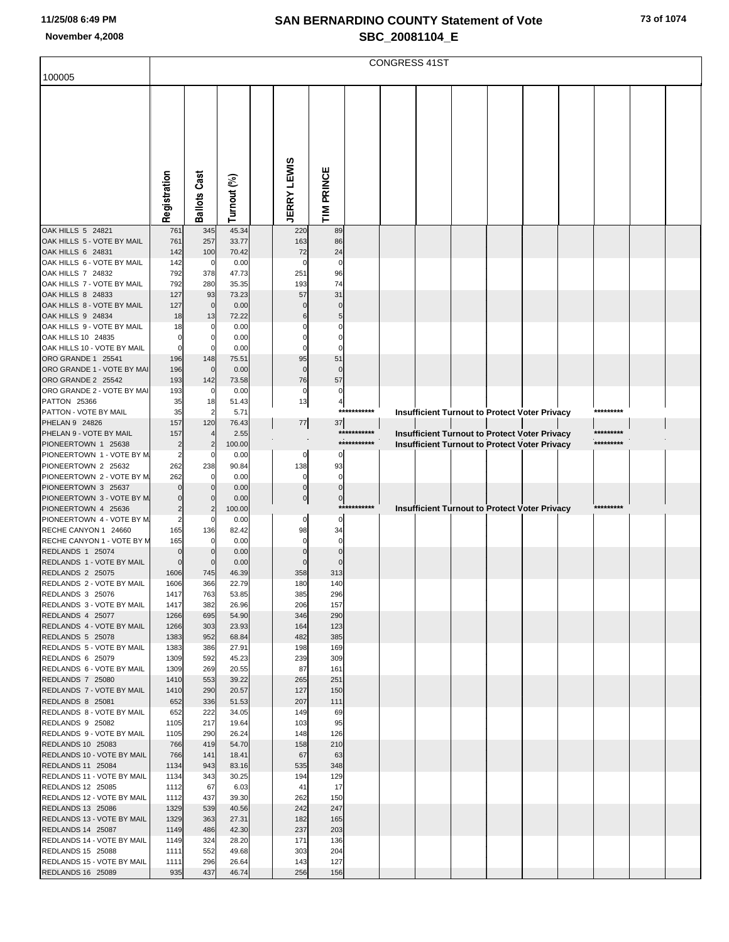|                                                        | <b>CONGRESS 41ST</b> |                               |                |  |                    |                |             |  |  |  |  |                                               |  |           |  |  |
|--------------------------------------------------------|----------------------|-------------------------------|----------------|--|--------------------|----------------|-------------|--|--|--|--|-----------------------------------------------|--|-----------|--|--|
| 100005                                                 |                      |                               |                |  |                    |                |             |  |  |  |  |                                               |  |           |  |  |
|                                                        | Registration         | <b>Ballots Cast</b>           | Turnout (%)    |  | <b>JERRY LEWIS</b> | TIM PRINCE     |             |  |  |  |  |                                               |  |           |  |  |
| OAK HILLS 5 24821                                      | 761                  | 345                           | 45.34          |  | 220                | 89             |             |  |  |  |  |                                               |  |           |  |  |
| OAK HILLS 5 - VOTE BY MAIL<br>OAK HILLS 6 24831        | 761<br>142           | 257<br>100                    | 33.77<br>70.42 |  | 163<br>72          | 86<br>24       |             |  |  |  |  |                                               |  |           |  |  |
| OAK HILLS 6 - VOTE BY MAIL                             | 142                  | 0                             | 0.00           |  | $\Omega$           | 0              |             |  |  |  |  |                                               |  |           |  |  |
| OAK HILLS 7 24832<br>OAK HILLS 7 - VOTE BY MAIL        | 792<br>792           | 378<br>280                    | 47.73<br>35.35 |  | 251<br>193         | 96<br>74       |             |  |  |  |  |                                               |  |           |  |  |
| <b>OAK HILLS 8 24833</b>                               | 127                  | 93                            | 73.23          |  | 57                 | 31             |             |  |  |  |  |                                               |  |           |  |  |
| OAK HILLS 8 - VOTE BY MAIL                             | 127                  | $\mathbf 0$                   | 0.00           |  |                    | $\Omega$       |             |  |  |  |  |                                               |  |           |  |  |
| <b>OAK HILLS 9 24834</b><br>OAK HILLS 9 - VOTE BY MAIL | 18<br>18             | 13<br>0                       | 72.22<br>0.00  |  | 6                  |                |             |  |  |  |  |                                               |  |           |  |  |
| OAK HILLS 10 24835                                     | $\Omega$             | $\Omega$                      | 0.00           |  |                    |                |             |  |  |  |  |                                               |  |           |  |  |
| OAK HILLS 10 - VOTE BY MAIL                            | $\mathbf 0$          | 0                             | 0.00           |  | $\Omega$           | $\Omega$       |             |  |  |  |  |                                               |  |           |  |  |
| ORO GRANDE 1 25541                                     | 196                  | 148                           | 75.51          |  | 95                 | 51             |             |  |  |  |  |                                               |  |           |  |  |
| ORO GRANDE 1 - VOTE BY MAI<br>ORO GRANDE 2 25542       | 196<br>193           | $\mathbf 0$<br>142            | 0.00<br>73.58  |  | $\Omega$<br>76     | $\Omega$<br>57 |             |  |  |  |  |                                               |  |           |  |  |
| ORO GRANDE 2 - VOTE BY MAI                             | 193                  | 0                             | 0.00           |  | 0                  | 0              |             |  |  |  |  |                                               |  |           |  |  |
| <b>PATTON 25366</b>                                    | 35                   | 18                            | 51.43          |  | 13                 | 4              |             |  |  |  |  |                                               |  |           |  |  |
| PATTON - VOTE BY MAIL<br>PHELAN 9 24826                | 35<br>157            | $\overline{2}$<br>120         | 5.71<br>76.43  |  | $77\,$             | 37             | *********** |  |  |  |  | Insufficient Turnout to Protect Voter Privacy |  | ********* |  |  |
| PHELAN 9 - VOTE BY MAIL                                | 157                  | $\overline{4}$                | 2.55           |  |                    |                | *********** |  |  |  |  | Insufficient Turnout to Protect Voter Privacy |  | ********* |  |  |
| PIONEERTOWN 1 25638                                    | $\overline{2}$       | $\overline{2}$                | 100.00         |  |                    |                | *********** |  |  |  |  | Insufficient Turnout to Protect Voter Privacy |  | ********* |  |  |
| PIONEERTOWN 1 - VOTE BY M<br>PIONEERTOWN 2 25632       | 2<br>262             | 0<br>238                      | 0.00<br>90.84  |  | 0<br>138           | 0<br>93        |             |  |  |  |  |                                               |  |           |  |  |
| PIONEERTOWN 2 - VOTE BY M                              | 262                  | $\Omega$                      | 0.00           |  | 0                  | $\mathbf 0$    |             |  |  |  |  |                                               |  |           |  |  |
| PIONEERTOWN 3 25637                                    | $\Omega$             | $\Omega$                      | 0.00           |  | $\Omega$           | $\Omega$       |             |  |  |  |  |                                               |  |           |  |  |
| PIONEERTOWN 3 - VOTE BY M<br>PIONEERTOWN 4 25636       | 0<br>$\overline{2}$  | $\mathbf 0$<br>$\overline{2}$ | 0.00           |  | $\bf{0}$           | $\bf{0}$       | *********** |  |  |  |  |                                               |  | ********* |  |  |
| PIONEERTOWN 4 - VOTE BY M                              | $\overline{2}$       | 0                             | 100.00<br>0.00 |  | 0                  | $\Omega$       |             |  |  |  |  | Insufficient Turnout to Protect Voter Privacy |  |           |  |  |
| RECHE CANYON 1 24660                                   | 165                  | 136                           | 82.42          |  | 98                 | 34             |             |  |  |  |  |                                               |  |           |  |  |
| RECHE CANYON 1 - VOTE BY M                             | 165                  | 0                             | 0.00           |  | 0                  | 0              |             |  |  |  |  |                                               |  |           |  |  |
| REDLANDS 1 25074<br>REDLANDS 1 - VOTE BY MAIL          | $\Omega$<br>$\Omega$ | $\Omega$<br>$\Omega$          | 0.00<br>0.00   |  |                    | $\Omega$       |             |  |  |  |  |                                               |  |           |  |  |
| REDLANDS 2 25075                                       | 1606                 | 745                           | 46.39          |  | 358                | 313            |             |  |  |  |  |                                               |  |           |  |  |
| REDLANDS 2 - VOTE BY MAIL                              | 1606                 | 366                           | 22.79          |  | 180                | 140            |             |  |  |  |  |                                               |  |           |  |  |
| REDLANDS 3 25076<br>REDLANDS 3 - VOTE BY MAIL          | 1417<br>1417         | 763<br>382                    | 53.85<br>26.96 |  | 385<br>206         | 296<br>157     |             |  |  |  |  |                                               |  |           |  |  |
| REDLANDS 4 25077                                       | 1266                 | 695                           | 54.90          |  | 346                | 290            |             |  |  |  |  |                                               |  |           |  |  |
| REDLANDS 4 - VOTE BY MAIL                              | 1266                 | 303                           | 23.93          |  | 164                | 123            |             |  |  |  |  |                                               |  |           |  |  |
| REDLANDS 5 25078<br>REDLANDS 5 - VOTE BY MAIL          | 1383<br>1383         | 952<br>386                    | 68.84<br>27.91 |  | 482<br>198         | 385<br>169     |             |  |  |  |  |                                               |  |           |  |  |
| REDLANDS 6 25079                                       | 1309                 | 592                           | 45.23          |  | 239                | 309            |             |  |  |  |  |                                               |  |           |  |  |
| REDLANDS 6 - VOTE BY MAIL                              | 1309                 | 269                           | 20.55          |  | 87                 | 161            |             |  |  |  |  |                                               |  |           |  |  |
| REDLANDS 7 25080<br>REDLANDS 7 - VOTE BY MAIL          | 1410<br>1410         | 553<br>290                    | 39.22<br>20.57 |  | 265<br>127         | 251<br>150     |             |  |  |  |  |                                               |  |           |  |  |
| REDLANDS 8 25081                                       | 652                  | 336                           | 51.53          |  | 207                | 111            |             |  |  |  |  |                                               |  |           |  |  |
| REDLANDS 8 - VOTE BY MAIL                              | 652                  | 222                           | 34.05          |  | 149                | 69             |             |  |  |  |  |                                               |  |           |  |  |
| REDLANDS 9 25082<br>REDLANDS 9 - VOTE BY MAIL          | 1105<br>1105         | 217<br>290                    | 19.64<br>26.24 |  | 103<br>148         | 95<br>126      |             |  |  |  |  |                                               |  |           |  |  |
| <b>REDLANDS 10 25083</b>                               | 766                  | 419                           | 54.70          |  | 158                | 210            |             |  |  |  |  |                                               |  |           |  |  |
| REDLANDS 10 - VOTE BY MAIL                             | 766                  | 141                           | 18.41          |  | 67                 | 63             |             |  |  |  |  |                                               |  |           |  |  |
| REDLANDS 11 25084                                      | 1134                 | 943                           | 83.16          |  | 535                | 348            |             |  |  |  |  |                                               |  |           |  |  |
| REDLANDS 11 - VOTE BY MAIL<br>REDLANDS 12 25085        | 1134<br>1112         | 343<br>67                     | 30.25<br>6.03  |  | 194<br>41          | 129<br>17      |             |  |  |  |  |                                               |  |           |  |  |
| REDLANDS 12 - VOTE BY MAIL                             | 1112                 | 437                           | 39.30          |  | 262                | 150            |             |  |  |  |  |                                               |  |           |  |  |
| REDLANDS 13 25086                                      | 1329                 | 539                           | 40.56          |  | 242                | 247            |             |  |  |  |  |                                               |  |           |  |  |
| REDLANDS 13 - VOTE BY MAIL<br>REDLANDS 14 25087        | 1329<br>1149         | 363<br>486                    | 27.31<br>42.30 |  | 182<br>237         | 165<br>203     |             |  |  |  |  |                                               |  |           |  |  |
| REDLANDS 14 - VOTE BY MAIL                             | 1149                 | 324                           | 28.20          |  | 171                | 136            |             |  |  |  |  |                                               |  |           |  |  |
| REDLANDS 15 25088                                      | 1111                 | 552                           | 49.68          |  | 303                | 204            |             |  |  |  |  |                                               |  |           |  |  |
| REDLANDS 15 - VOTE BY MAIL<br>REDLANDS 16 25089        | 1111<br>935          | 296<br>437                    | 26.64<br>46.74 |  | 143<br>256         | 127<br>156     |             |  |  |  |  |                                               |  |           |  |  |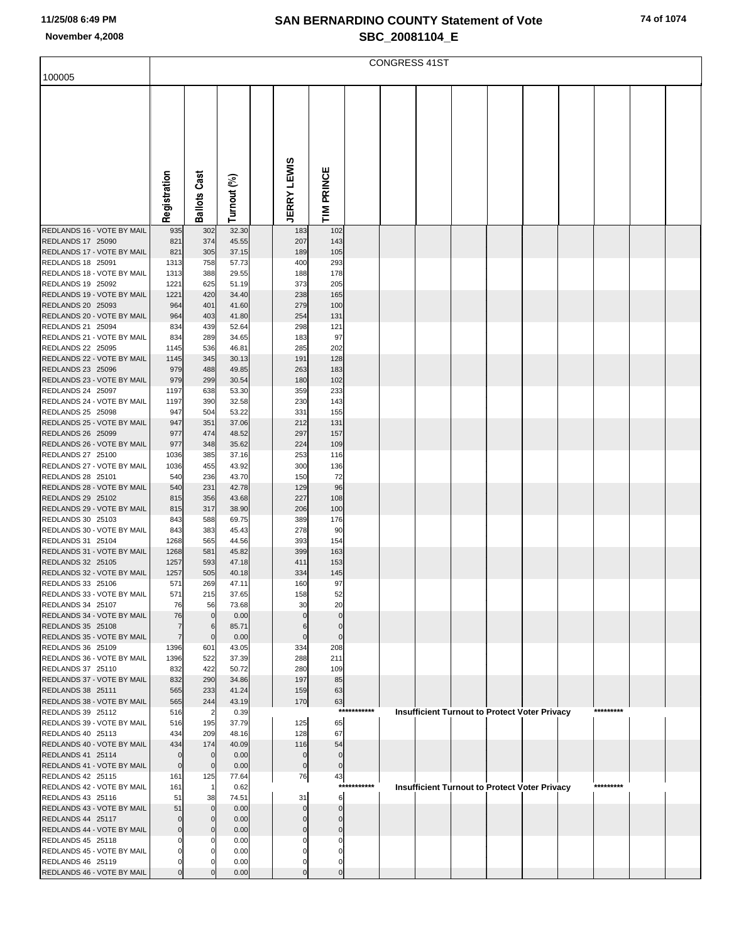|                                                        | <b>CONGRESS 41ST</b>     |                             |                |  |                         |                            |             |  |  |  |  |                                                      |  |           |  |  |
|--------------------------------------------------------|--------------------------|-----------------------------|----------------|--|-------------------------|----------------------------|-------------|--|--|--|--|------------------------------------------------------|--|-----------|--|--|
| 100005                                                 |                          |                             |                |  |                         |                            |             |  |  |  |  |                                                      |  |           |  |  |
|                                                        |                          |                             |                |  |                         |                            |             |  |  |  |  |                                                      |  |           |  |  |
|                                                        |                          |                             |                |  |                         |                            |             |  |  |  |  |                                                      |  |           |  |  |
|                                                        |                          |                             |                |  |                         |                            |             |  |  |  |  |                                                      |  |           |  |  |
|                                                        |                          |                             |                |  |                         |                            |             |  |  |  |  |                                                      |  |           |  |  |
|                                                        |                          |                             |                |  |                         |                            |             |  |  |  |  |                                                      |  |           |  |  |
|                                                        |                          |                             |                |  | ທ                       |                            |             |  |  |  |  |                                                      |  |           |  |  |
|                                                        |                          |                             |                |  |                         |                            |             |  |  |  |  |                                                      |  |           |  |  |
|                                                        |                          |                             |                |  |                         |                            |             |  |  |  |  |                                                      |  |           |  |  |
|                                                        | Registration             | <b>Ballots Cast</b>         | Turnout (%)    |  | <b>JERRY LEWI</b>       | TIM PRINCE                 |             |  |  |  |  |                                                      |  |           |  |  |
|                                                        |                          |                             |                |  |                         |                            |             |  |  |  |  |                                                      |  |           |  |  |
| REDLANDS 16 - VOTE BY MAIL<br>REDLANDS 17 25090        | 935<br>821               | 302<br>374                  | 32.30<br>45.55 |  | 183<br>207              | 102<br>143                 |             |  |  |  |  |                                                      |  |           |  |  |
| REDLANDS 17 - VOTE BY MAIL                             | 821                      | 305                         | 37.15          |  | 189                     | 105                        |             |  |  |  |  |                                                      |  |           |  |  |
| <b>REDLANDS 18 25091</b>                               | 1313                     | 758                         | 57.73          |  | 400                     | 293                        |             |  |  |  |  |                                                      |  |           |  |  |
| REDLANDS 18 - VOTE BY MAIL                             | 1313                     | 388                         | 29.55          |  | 188                     | 178                        |             |  |  |  |  |                                                      |  |           |  |  |
| REDLANDS 19 25092<br>REDLANDS 19 - VOTE BY MAIL        | 1221<br>1221             | 625<br>420                  | 51.19<br>34.40 |  | 373<br>238              | 205<br>165                 |             |  |  |  |  |                                                      |  |           |  |  |
| REDLANDS 20 25093                                      | 964                      | 401                         | 41.60          |  | 279                     | 100                        |             |  |  |  |  |                                                      |  |           |  |  |
| REDLANDS 20 - VOTE BY MAIL                             | 964                      | 403                         | 41.80          |  | 254                     | 131                        |             |  |  |  |  |                                                      |  |           |  |  |
| REDLANDS 21 25094                                      | 834                      | 439                         | 52.64          |  | 298                     | 121                        |             |  |  |  |  |                                                      |  |           |  |  |
| REDLANDS 21 - VOTE BY MAIL<br>REDLANDS 22 25095        | 834<br>1145              | 289<br>536                  | 34.65<br>46.81 |  | 183<br>285              | 97<br>202                  |             |  |  |  |  |                                                      |  |           |  |  |
| REDLANDS 22 - VOTE BY MAIL                             | 1145                     | 345                         | 30.13          |  | 191                     | 128                        |             |  |  |  |  |                                                      |  |           |  |  |
| REDLANDS 23 25096                                      | 979                      | 488                         | 49.85          |  | 263                     | 183                        |             |  |  |  |  |                                                      |  |           |  |  |
| REDLANDS 23 - VOTE BY MAIL                             | 979                      | 299                         | 30.54          |  | 180                     | 102                        |             |  |  |  |  |                                                      |  |           |  |  |
| REDLANDS 24 25097<br>REDLANDS 24 - VOTE BY MAIL        | 1197<br>1197             | 638<br>390                  | 53.30<br>32.58 |  | 359<br>230              | 233<br>143                 |             |  |  |  |  |                                                      |  |           |  |  |
| REDLANDS 25 25098                                      | 947                      | 504                         | 53.22          |  | 331                     | 155                        |             |  |  |  |  |                                                      |  |           |  |  |
| REDLANDS 25 - VOTE BY MAIL                             | 947                      | 351                         | 37.06          |  | 212                     | 131                        |             |  |  |  |  |                                                      |  |           |  |  |
| REDLANDS 26 25099                                      | 977                      | 474                         | 48.52          |  | 297                     | 157                        |             |  |  |  |  |                                                      |  |           |  |  |
| REDLANDS 26 - VOTE BY MAIL<br><b>REDLANDS 27 25100</b> | 977<br>1036              | 348<br>385                  | 35.62<br>37.16 |  | 224<br>253              | 109<br>116                 |             |  |  |  |  |                                                      |  |           |  |  |
| REDLANDS 27 - VOTE BY MAIL                             | 1036                     | 455                         | 43.92          |  | 300                     | 136                        |             |  |  |  |  |                                                      |  |           |  |  |
| REDLANDS 28 25101                                      | 540                      | 236                         | 43.70          |  | 150                     | 72                         |             |  |  |  |  |                                                      |  |           |  |  |
| REDLANDS 28 - VOTE BY MAIL                             | 540                      | 231                         | 42.78          |  | 129                     | 96                         |             |  |  |  |  |                                                      |  |           |  |  |
| REDLANDS 29 25102<br>REDLANDS 29 - VOTE BY MAIL        | 815<br>815               | 356<br>317                  | 43.68<br>38.90 |  | 227<br>206              | 108<br>100                 |             |  |  |  |  |                                                      |  |           |  |  |
| <b>REDLANDS 30 25103</b>                               | 843                      | 588                         | 69.75          |  | 389                     | 176                        |             |  |  |  |  |                                                      |  |           |  |  |
| REDLANDS 30 - VOTE BY MAIL                             | 843                      | 383                         | 45.43          |  | 278                     | 90                         |             |  |  |  |  |                                                      |  |           |  |  |
| REDLANDS 31 25104                                      | 1268                     | 565                         | 44.56          |  | 393                     | 154                        |             |  |  |  |  |                                                      |  |           |  |  |
| REDLANDS 31 - VOTE BY MAIL<br>REDLANDS 32 25105        | 1268<br>1257             | 581<br>593                  | 45.82<br>47.18 |  | 399<br>411              | 163<br>153                 |             |  |  |  |  |                                                      |  |           |  |  |
| REDLANDS 32 - VOTE BY MAIL                             | 1257                     | 505                         | 40.18          |  | 334                     | 145                        |             |  |  |  |  |                                                      |  |           |  |  |
| REDLANDS 33 25106                                      | 571                      | 269                         | 47.11          |  | 160                     | 97                         |             |  |  |  |  |                                                      |  |           |  |  |
| REDLANDS 33 - VOTE BY MAIL                             | 571                      | 215                         | 37.65          |  | 158                     | 52                         |             |  |  |  |  |                                                      |  |           |  |  |
| REDLANDS 34 25107<br>REDLANDS 34 - VOTE BY MAIL        | 76<br>76                 | 56<br>$\Omega$              | 73.68<br>0.00  |  | 30                      | 20                         |             |  |  |  |  |                                                      |  |           |  |  |
| REDLANDS 35 25108                                      | 7                        | 6                           | 85.71          |  | 6                       | $\Omega$                   |             |  |  |  |  |                                                      |  |           |  |  |
| REDLANDS 35 - VOTE BY MAIL                             | $\overline{7}$           | $\Omega$                    | 0.00           |  | $\Omega$                | $\mathbf 0$                |             |  |  |  |  |                                                      |  |           |  |  |
| REDLANDS 36 25109                                      | 1396                     | 601                         | 43.05          |  | 334                     | 208                        |             |  |  |  |  |                                                      |  |           |  |  |
| REDLANDS 36 - VOTE BY MAIL<br>REDLANDS 37 25110        | 1396<br>832              | 522<br>422                  | 37.39<br>50.72 |  | 288<br>280              | 211<br>109                 |             |  |  |  |  |                                                      |  |           |  |  |
| REDLANDS 37 - VOTE BY MAIL                             | 832                      | 290                         | 34.86          |  | 197                     | 85                         |             |  |  |  |  |                                                      |  |           |  |  |
| REDLANDS 38 25111                                      | 565                      | 233                         | 41.24          |  | 159                     | 63                         |             |  |  |  |  |                                                      |  |           |  |  |
| REDLANDS 38 - VOTE BY MAIL                             | 565                      | 244                         | 43.19          |  | 170                     | 63                         | *********** |  |  |  |  |                                                      |  | ********* |  |  |
| REDLANDS 39 25112<br>REDLANDS 39 - VOTE BY MAIL        | 516<br>516               | $\overline{2}$<br>195       | 0.39<br>37.79  |  | 125                     | 65                         |             |  |  |  |  | <b>Insufficient Turnout to Protect Voter Privacy</b> |  |           |  |  |
| REDLANDS 40 25113                                      | 434                      | 209                         | 48.16          |  | 128                     | 67                         |             |  |  |  |  |                                                      |  |           |  |  |
| REDLANDS 40 - VOTE BY MAIL                             | 434                      | 174                         | 40.09          |  | 116                     | 54                         |             |  |  |  |  |                                                      |  |           |  |  |
| REDLANDS 41 25114<br>REDLANDS 41 - VOTE BY MAIL        | $\Omega$<br>$\mathbf{0}$ | $\mathbf{0}$<br>$\mathbf 0$ | 0.00<br>0.00   |  | $\Omega$<br>$\mathbf 0$ | $\mathbf 0$<br>$\mathbf 0$ |             |  |  |  |  |                                                      |  |           |  |  |
| REDLANDS 42 25115                                      | 161                      | 125                         | 77.64          |  | 76                      | 43                         |             |  |  |  |  |                                                      |  |           |  |  |
| REDLANDS 42 - VOTE BY MAIL                             | 161                      | -1                          | 0.62           |  |                         |                            | *********** |  |  |  |  | Insufficient Turnout to Protect Voter Privacy        |  | ********* |  |  |
| REDLANDS 43 25116                                      | 51                       | 38                          | 74.51          |  | 31                      | 6                          |             |  |  |  |  |                                                      |  |           |  |  |
| REDLANDS 43 - VOTE BY MAIL<br>REDLANDS 44 25117        | 51                       | $\mathbf 0$<br>$\Omega$     | 0.00<br>0.00   |  |                         |                            |             |  |  |  |  |                                                      |  |           |  |  |
| REDLANDS 44 - VOTE BY MAIL                             | $\Omega$                 |                             | 0.00           |  | 0                       |                            |             |  |  |  |  |                                                      |  |           |  |  |
| REDLANDS 45 25118                                      |                          |                             | 0.00           |  |                         |                            |             |  |  |  |  |                                                      |  |           |  |  |
| REDLANDS 45 - VOTE BY MAIL                             |                          |                             | 0.00           |  |                         |                            |             |  |  |  |  |                                                      |  |           |  |  |
| REDLANDS 46 25119<br>REDLANDS 46 - VOTE BY MAIL        |                          |                             | 0.00<br>0.00   |  | $\mathbf 0$             | 0                          |             |  |  |  |  |                                                      |  |           |  |  |
|                                                        |                          |                             |                |  |                         |                            |             |  |  |  |  |                                                      |  |           |  |  |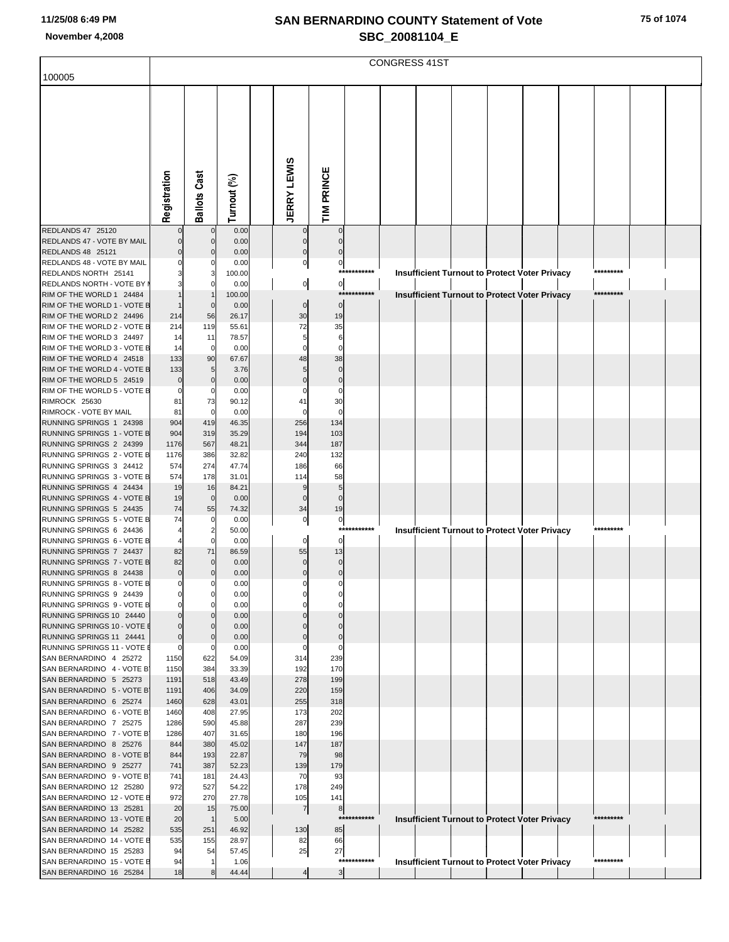|                                                         | <b>CONGRESS 41ST</b>             |                         |                |  |                         |                      |             |  |  |  |  |                                                      |  |           |  |  |
|---------------------------------------------------------|----------------------------------|-------------------------|----------------|--|-------------------------|----------------------|-------------|--|--|--|--|------------------------------------------------------|--|-----------|--|--|
| 100005                                                  |                                  |                         |                |  |                         |                      |             |  |  |  |  |                                                      |  |           |  |  |
|                                                         |                                  |                         |                |  |                         |                      |             |  |  |  |  |                                                      |  |           |  |  |
|                                                         |                                  |                         |                |  |                         |                      |             |  |  |  |  |                                                      |  |           |  |  |
|                                                         |                                  |                         |                |  |                         |                      |             |  |  |  |  |                                                      |  |           |  |  |
|                                                         |                                  |                         |                |  |                         |                      |             |  |  |  |  |                                                      |  |           |  |  |
|                                                         |                                  |                         |                |  |                         |                      |             |  |  |  |  |                                                      |  |           |  |  |
|                                                         |                                  |                         |                |  |                         |                      |             |  |  |  |  |                                                      |  |           |  |  |
|                                                         |                                  |                         |                |  |                         |                      |             |  |  |  |  |                                                      |  |           |  |  |
|                                                         | Registration                     | Ballots Cast            | Turnout (%)    |  | <b>JERRY LEWIS</b>      | TIM PRINCE           |             |  |  |  |  |                                                      |  |           |  |  |
|                                                         |                                  |                         |                |  |                         |                      |             |  |  |  |  |                                                      |  |           |  |  |
| REDLANDS 47 25120                                       | $\Omega$                         | $\mathbf 0$             | 0.00           |  | $\mathbf 0$             | $\mathbf 0$          |             |  |  |  |  |                                                      |  |           |  |  |
| REDLANDS 47 - VOTE BY MAIL<br>REDLANDS 48 25121         | 0<br>$\Omega$                    | 0<br>0                  | 0.00<br>0.00   |  | $\mathbf 0$<br>$\Omega$ | $\mathbf 0$<br>n     |             |  |  |  |  |                                                      |  |           |  |  |
| REDLANDS 48 - VOTE BY MAIL                              |                                  | 0                       | 0.00           |  | $\pmb{0}$               | $\circ$              |             |  |  |  |  |                                                      |  |           |  |  |
| REDLANDS NORTH 25141<br>REDLANDS NORTH - VOTE BY I      | 3                                | 3<br>0                  | 100.00<br>0.00 |  | $\overline{0}$          | $\circ$              | *********** |  |  |  |  | <b>Insufficient Turnout to Protect Voter Privacy</b> |  | ********* |  |  |
| RIM OF THE WORLD 1 24484                                |                                  | $\mathbf{1}$            | 100.00         |  |                         |                      | *******     |  |  |  |  | <b>Insufficient Turnout to Protect Voter Privacy</b> |  | ********* |  |  |
| RIM OF THE WORLD 1 - VOTE B                             |                                  | $\mathbf 0$             | 0.00           |  | $\overline{0}$          | $\mathbf 0$          |             |  |  |  |  |                                                      |  |           |  |  |
| RIM OF THE WORLD 2 24496<br>RIM OF THE WORLD 2 - VOTE B | 214<br>214                       | 56<br>119               | 26.17<br>55.61 |  | 30<br>72                | 19<br>35             |             |  |  |  |  |                                                      |  |           |  |  |
| RIM OF THE WORLD 3 24497                                | 14                               | 11                      | 78.57          |  | 5                       | 6                    |             |  |  |  |  |                                                      |  |           |  |  |
| RIM OF THE WORLD 3 - VOTE B<br>RIM OF THE WORLD 4 24518 | 14<br>133                        | 0<br>90                 | 0.00<br>67.67  |  | $\mathbf 0$<br>48       | $\Omega$<br>38       |             |  |  |  |  |                                                      |  |           |  |  |
| RIM OF THE WORLD 4 - VOTE B                             | 133                              | 5                       | 3.76           |  | 5                       | $\mathbf 0$          |             |  |  |  |  |                                                      |  |           |  |  |
| RIM OF THE WORLD 5 24519                                | 0                                | $\mathbf 0$             | 0.00           |  | $\Omega$                | $\mathbf 0$          |             |  |  |  |  |                                                      |  |           |  |  |
| RIM OF THE WORLD 5 - VOTE B<br>RIMROCK 25630            | 0<br>81                          | 0<br>73                 | 0.00<br>90.12  |  | 41                      | 0<br>30              |             |  |  |  |  |                                                      |  |           |  |  |
| RIMROCK - VOTE BY MAIL                                  | 81                               | 0                       | 0.00           |  | $\Omega$                | $\Omega$             |             |  |  |  |  |                                                      |  |           |  |  |
| RUNNING SPRINGS 1 24398                                 | 904                              | 419                     | 46.35          |  | 256                     | 134                  |             |  |  |  |  |                                                      |  |           |  |  |
| RUNNING SPRINGS 1 - VOTE B<br>RUNNING SPRINGS 2 24399   | 904<br>1176                      | 319<br>567              | 35.29<br>48.21 |  | 194<br>344              | 103<br>187           |             |  |  |  |  |                                                      |  |           |  |  |
| RUNNING SPRINGS 2 - VOTE B                              | 1176                             | 386                     | 32.82          |  | 240                     | 132                  |             |  |  |  |  |                                                      |  |           |  |  |
| RUNNING SPRINGS 3 24412<br>RUNNING SPRINGS 3 - VOTE B   | 574<br>574                       | 274<br>178              | 47.74<br>31.01 |  | 186<br>114              | 66<br>58             |             |  |  |  |  |                                                      |  |           |  |  |
| RUNNING SPRINGS 4 24434                                 | 19                               | 16                      | 84.21          |  | 9                       | 5                    |             |  |  |  |  |                                                      |  |           |  |  |
| RUNNING SPRINGS 4 - VOTE B                              | 19                               | $\mathbf 0$             | 0.00           |  | $\Omega$                | $\mathbf 0$          |             |  |  |  |  |                                                      |  |           |  |  |
| RUNNING SPRINGS 5 24435<br>RUNNING SPRINGS 5 - VOTE B   | 74<br>74                         | 55<br>0                 | 74.32<br>0.00  |  | 34<br>0                 | 19<br>$\overline{0}$ |             |  |  |  |  |                                                      |  |           |  |  |
| RUNNING SPRINGS 6 24436                                 | 4                                | $\overline{\mathbf{c}}$ | 50.00          |  |                         | $***$                | *******     |  |  |  |  | <b>Insufficient Turnout to Protect Voter Privacy</b> |  | ********* |  |  |
| RUNNING SPRINGS 6 - VOTE B<br>RUNNING SPRINGS 7 24437   | 82                               | 0<br>71                 | 0.00<br>86.59  |  | 0<br>55                 | 0<br>13              |             |  |  |  |  |                                                      |  |           |  |  |
| RUNNING SPRINGS 7 - VOTE B                              | 82                               | 0                       | 0.00           |  | 0                       | $\mathbf 0$          |             |  |  |  |  |                                                      |  |           |  |  |
| RUNNING SPRINGS 8 24438                                 | $\overline{0}$                   | $\Omega$                | 0.00           |  | $\Omega$                | $\Omega$             |             |  |  |  |  |                                                      |  |           |  |  |
| RUNNING SPRINGS 8 - VOTE B<br>RUNNING SPRINGS 9 24439   | $\mathbf{0}$                     | 0                       | 0.00<br>0.00   |  |                         |                      |             |  |  |  |  |                                                      |  |           |  |  |
| RUNNING SPRINGS 9 - VOTE B                              | $\mathbf{0}$                     | $\Omega$                | 0.00           |  |                         |                      |             |  |  |  |  |                                                      |  |           |  |  |
| RUNNING SPRINGS 10 24440                                | $\mathbf 0$                      | 0                       | 0.00           |  |                         |                      |             |  |  |  |  |                                                      |  |           |  |  |
| RUNNING SPRINGS 10 - VOTE E<br>RUNNING SPRINGS 11 24441 | $\overline{0}$<br>$\overline{0}$ | 0<br>0                  | 0.00<br>0.00   |  |                         | 0                    |             |  |  |  |  |                                                      |  |           |  |  |
| RUNNING SPRINGS 11 - VOTE E                             | $\mathbf{0}$                     | 0                       | 0.00           |  |                         | 0                    |             |  |  |  |  |                                                      |  |           |  |  |
| SAN BERNARDINO 4 25272<br>SAN BERNARDINO 4 - VOTE B     | 1150<br>1150                     | 622<br>384              | 54.09<br>33.39 |  | 314<br>192              | 239<br>170           |             |  |  |  |  |                                                      |  |           |  |  |
| SAN BERNARDINO 5 25273                                  | 1191                             | 518                     | 43.49          |  | 278                     | 199                  |             |  |  |  |  |                                                      |  |           |  |  |
| SAN BERNARDINO 5 - VOTE B                               | 1191                             | 406                     | 34.09          |  | 220                     | 159                  |             |  |  |  |  |                                                      |  |           |  |  |
| SAN BERNARDINO 6 25274<br>SAN BERNARDINO 6 - VOTE B     | 1460<br>1460                     | 628<br>408              | 43.01<br>27.95 |  | 255<br>173              | 318<br>202           |             |  |  |  |  |                                                      |  |           |  |  |
| SAN BERNARDINO 7 25275                                  | 1286                             | 590                     | 45.88          |  | 287                     | 239                  |             |  |  |  |  |                                                      |  |           |  |  |
| SAN BERNARDINO 7 - VOTE B                               | 1286                             | 407                     | 31.65          |  | 180                     | 196                  |             |  |  |  |  |                                                      |  |           |  |  |
| SAN BERNARDINO 8 25276<br>SAN BERNARDINO 8 - VOTE B     | 844<br>844                       | 380<br>193              | 45.02<br>22.87 |  | 147<br>79               | 187<br>98            |             |  |  |  |  |                                                      |  |           |  |  |
| SAN BERNARDINO 9 25277                                  | 741                              | 387                     | 52.23          |  | 139                     | 179                  |             |  |  |  |  |                                                      |  |           |  |  |
| SAN BERNARDINO 9 - VOTE B<br>SAN BERNARDINO 12 25280    | 741<br>972                       | 181<br>527              | 24.43<br>54.22 |  | 70<br>178               | 93<br>249            |             |  |  |  |  |                                                      |  |           |  |  |
| SAN BERNARDINO 12 - VOTE E                              | 972                              | 270                     | 27.78          |  | 105                     | 141                  |             |  |  |  |  |                                                      |  |           |  |  |
| SAN BERNARDINO 13 25281                                 | 20                               | 15                      | 75.00          |  | $\overline{7}$          | 8                    | *********** |  |  |  |  |                                                      |  | ********* |  |  |
| SAN BERNARDINO 13 - VOTE E<br>SAN BERNARDINO 14 25282   | 20<br>535                        | $\mathbf{1}$<br>251     | 5.00<br>46.92  |  | 130                     | 85                   |             |  |  |  |  | Insufficient Turnout to Protect Voter Privacy        |  |           |  |  |
| SAN BERNARDINO 14 - VOTE E                              | 535                              | 155                     | 28.97          |  | 82                      | 66                   |             |  |  |  |  |                                                      |  |           |  |  |
| SAN BERNARDINO 15 25283<br>SAN BERNARDINO 15 - VOTE E   | 94<br>94                         | 54<br>$\mathbf{1}$      | 57.45<br>1.06  |  | 25                      | 27                   | *********** |  |  |  |  | Insufficient Turnout to Protect Voter Privacy        |  | ********* |  |  |
| SAN BERNARDINO 16 25284                                 | 18                               | 8                       | 44.44          |  | 4                       | $\mathbf{3}$         |             |  |  |  |  |                                                      |  |           |  |  |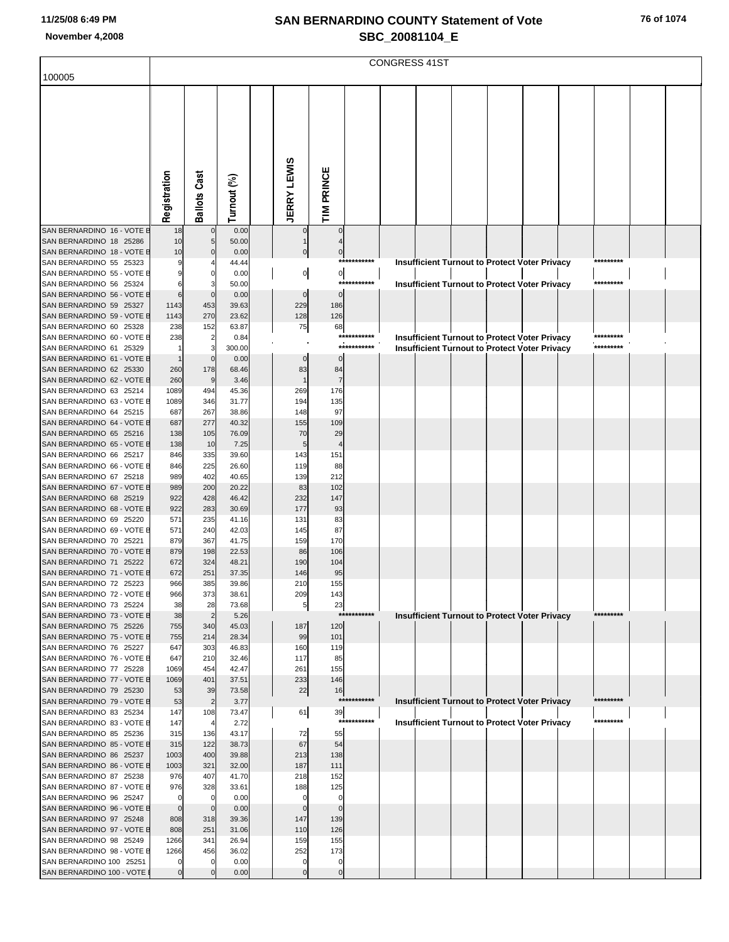|                                                        | <b>CONGRESS 41ST</b> |                         |                |                    |                       |             |  |                                                      |  |  |  |  |           |  |  |
|--------------------------------------------------------|----------------------|-------------------------|----------------|--------------------|-----------------------|-------------|--|------------------------------------------------------|--|--|--|--|-----------|--|--|
| 100005                                                 |                      |                         |                |                    |                       |             |  |                                                      |  |  |  |  |           |  |  |
|                                                        |                      |                         |                |                    |                       |             |  |                                                      |  |  |  |  |           |  |  |
|                                                        |                      |                         |                |                    |                       |             |  |                                                      |  |  |  |  |           |  |  |
|                                                        |                      |                         |                |                    |                       |             |  |                                                      |  |  |  |  |           |  |  |
|                                                        |                      |                         |                |                    |                       |             |  |                                                      |  |  |  |  |           |  |  |
|                                                        |                      |                         |                |                    |                       |             |  |                                                      |  |  |  |  |           |  |  |
|                                                        |                      |                         |                |                    |                       |             |  |                                                      |  |  |  |  |           |  |  |
|                                                        | Registration         | Ballots Cast            | Turnout (%)    | <b>JERRY LEWIS</b> | TIM PRINCE            |             |  |                                                      |  |  |  |  |           |  |  |
|                                                        |                      |                         |                |                    |                       |             |  |                                                      |  |  |  |  |           |  |  |
|                                                        |                      |                         |                |                    |                       |             |  |                                                      |  |  |  |  |           |  |  |
| SAN BERNARDINO 16 - VOTE E                             | 18                   | $\mathbf 0$             | 0.00           | 0                  | 0                     |             |  |                                                      |  |  |  |  |           |  |  |
| SAN BERNARDINO 18 25286<br>SAN BERNARDINO 18 - VOTE E  | 10<br>10             | 5<br>0                  | 50.00<br>0.00  | 0                  | 0                     |             |  |                                                      |  |  |  |  |           |  |  |
| SAN BERNARDINO 55 25323                                |                      |                         | 44.44          |                    |                       | *********** |  | Insufficient Turnout to Protect Voter Privacy        |  |  |  |  | ********* |  |  |
| SAN BERNARDINO 55 - VOTE E<br>SAN BERNARDINO 56 25324  |                      | 0<br>3                  | 0.00<br>50.00  | $\overline{0}$     | $\overline{0}$<br>*** | *******     |  | <b>Insufficient Turnout to Protect Voter Privacy</b> |  |  |  |  | ********* |  |  |
| SAN BERNARDINO 56 - VOTE E                             | 6                    | $\mathbf 0$             | 0.00           | $\mathbf 0$        | $\mathbf 0$           |             |  |                                                      |  |  |  |  |           |  |  |
| SAN BERNARDINO 59 25327                                | 1143                 | 453                     | 39.63          | 229                | 186                   |             |  |                                                      |  |  |  |  |           |  |  |
| SAN BERNARDINO 59 - VOTE E<br>SAN BERNARDINO 60 25328  | 1143<br>238          | 270<br>152              | 23.62<br>63.87 | 128<br>75          | 126<br>68             |             |  |                                                      |  |  |  |  |           |  |  |
| SAN BERNARDINO 60 - VOTE E                             | 238                  | $\overline{\mathbf{c}}$ | 0.84           |                    | ***                   | ******      |  | <b>Insufficient Turnout to Protect Voter Privacy</b> |  |  |  |  | ********* |  |  |
| SAN BERNARDINO 61 25329                                |                      | 3<br>$\mathbf 0$        | 300.00         | $\Omega$           | $\mathbf 0$           | *********** |  | <b>Insufficient Turnout to Protect Voter Privacy</b> |  |  |  |  | ********* |  |  |
| SAN BERNARDINO 61 - VOTE E<br>SAN BERNARDINO 62 25330  | 260                  | 178                     | 0.00<br>68.46  | 83                 | 84                    |             |  |                                                      |  |  |  |  |           |  |  |
| SAN BERNARDINO 62 - VOTE E                             | 260                  | 9                       | 3.46           |                    | $\overline{7}$        |             |  |                                                      |  |  |  |  |           |  |  |
| SAN BERNARDINO 63 25214<br>SAN BERNARDINO 63 - VOTE E  | 1089<br>1089         | 494<br>346              | 45.36<br>31.77 | 269<br>194         | 176<br>135            |             |  |                                                      |  |  |  |  |           |  |  |
| SAN BERNARDINO 64 25215                                | 687                  | 267                     | 38.86          | 148                | 97                    |             |  |                                                      |  |  |  |  |           |  |  |
| SAN BERNARDINO 64 - VOTE E                             | 687                  | 277                     | 40.32          | 155                | 109                   |             |  |                                                      |  |  |  |  |           |  |  |
| SAN BERNARDINO 65 25216<br>SAN BERNARDINO 65 - VOTE E  | 138<br>138           | 105<br>10               | 76.09<br>7.25  | 70<br>5            | 29<br>$\overline{4}$  |             |  |                                                      |  |  |  |  |           |  |  |
| SAN BERNARDINO 66 25217                                | 846                  | 335                     | 39.60          | 143                | 151                   |             |  |                                                      |  |  |  |  |           |  |  |
| SAN BERNARDINO 66 - VOTE E                             | 846                  | 225                     | 26.60          | 119                | 88                    |             |  |                                                      |  |  |  |  |           |  |  |
| SAN BERNARDINO 67 25218<br>SAN BERNARDINO 67 - VOTE E  | 989<br>989           | 402<br>200              | 40.65<br>20.22 | 139<br>83          | 212<br>102            |             |  |                                                      |  |  |  |  |           |  |  |
| SAN BERNARDINO 68 25219                                | 922                  | 428                     | 46.42          | 232                | 147                   |             |  |                                                      |  |  |  |  |           |  |  |
| SAN BERNARDINO 68 - VOTE E<br>SAN BERNARDINO 69 25220  | 922<br>571           | 283<br>235              | 30.69<br>41.16 | 177<br>131         | 93<br>83              |             |  |                                                      |  |  |  |  |           |  |  |
| SAN BERNARDINO 69 - VOTE E                             | 571                  | 240                     | 42.03          | 145                | 87                    |             |  |                                                      |  |  |  |  |           |  |  |
| SAN BERNARDINO 70 25221                                | 879                  | 367                     | 41.75          | 159                | 170                   |             |  |                                                      |  |  |  |  |           |  |  |
| SAN BERNARDINO 70 - VOTE E<br>SAN BERNARDINO 71 25222  | 879<br>672           | 198<br>324              | 22.53<br>48.21 | 86<br>190          | 106<br>104            |             |  |                                                      |  |  |  |  |           |  |  |
| SAN BERNARDINO 71 - VOTE E                             | 672                  | 251                     | 37.35          | 146                | 95                    |             |  |                                                      |  |  |  |  |           |  |  |
| SAN BERNARDINO 72 25223<br>SAN BERNARDINO 72 - VOTE E  | 966                  | 385                     | 39.86          | 210<br>209         | 155                   |             |  |                                                      |  |  |  |  |           |  |  |
| SAN BERNARDINO 73 25224                                | 966<br>38            | 373<br>28               | 38.61<br>73.68 | 5                  | 143<br>23             |             |  |                                                      |  |  |  |  |           |  |  |
| SAN BERNARDINO 73 - VOTE E                             | 38                   | $\overline{2}$          | 5.26           |                    | $***$                 | *******     |  | Insufficient Turnout to Protect Voter Privacy        |  |  |  |  | ********* |  |  |
| SAN BERNARDINO 75 25226<br>SAN BERNARDINO 75 - VOTE E  | 755<br>755           | 340<br>214              | 45.03<br>28.34 | 187<br>99          | 120<br>101            |             |  |                                                      |  |  |  |  |           |  |  |
| SAN BERNARDINO 76 25227                                | 647                  | 303                     | 46.83          | 160                | 119                   |             |  |                                                      |  |  |  |  |           |  |  |
| SAN BERNARDINO 76 - VOTE E<br>SAN BERNARDINO 77 25228  | 647                  | 210                     | 32.46          | 117                | 85<br>155             |             |  |                                                      |  |  |  |  |           |  |  |
| SAN BERNARDINO 77 - VOTE E                             | 1069<br>1069         | 454<br>401              | 42.47<br>37.51 | 261<br>233         | 146                   |             |  |                                                      |  |  |  |  |           |  |  |
| SAN BERNARDINO 79 25230                                | 53                   | 39                      | 73.58          | 22                 | 16                    |             |  |                                                      |  |  |  |  |           |  |  |
| SAN BERNARDINO 79 - VOTE E<br>SAN BERNARDINO 83 25234  | 53<br>147            | $\overline{2}$<br>108   | 3.77<br>73.47  | 61                 | $***$<br>39           | *******     |  | <b>Insufficient Turnout to Protect Voter Privacy</b> |  |  |  |  | ********* |  |  |
| SAN BERNARDINO 83 - VOTE E                             | 147                  | 4                       | 2.72           |                    | $***$                 |             |  | <b>Insufficient Turnout to Protect Voter Privacy</b> |  |  |  |  | ********* |  |  |
| SAN BERNARDINO 85 25236                                | 315                  | 136                     | 43.17          | 72                 | 55                    |             |  |                                                      |  |  |  |  |           |  |  |
| SAN BERNARDINO 85 - VOTE E<br>SAN BERNARDINO 86 25237  | 315<br>1003          | 122<br>400              | 38.73<br>39.88 | 67<br>213          | 54<br>138             |             |  |                                                      |  |  |  |  |           |  |  |
| SAN BERNARDINO 86 - VOTE E                             | 1003                 | 321                     | 32.00          | 187                | 111                   |             |  |                                                      |  |  |  |  |           |  |  |
| SAN BERNARDINO 87 25238<br>SAN BERNARDINO 87 - VOTE E  | 976<br>976           | 407<br>328              | 41.70<br>33.61 | 218<br>188         | 152<br>125            |             |  |                                                      |  |  |  |  |           |  |  |
| SAN BERNARDINO 96 25247                                |                      | 0                       | 0.00           | 0                  | 0                     |             |  |                                                      |  |  |  |  |           |  |  |
| SAN BERNARDINO 96 - VOTE E                             | $\Omega$             | $\mathbf 0$             | 0.00           | $\Omega$           | $\mathbf 0$           |             |  |                                                      |  |  |  |  |           |  |  |
| SAN BERNARDINO 97 25248<br>SAN BERNARDINO 97 - VOTE E  | 808<br>808           | 318<br>251              | 39.36<br>31.06 | 147<br>110         | 139<br>126            |             |  |                                                      |  |  |  |  |           |  |  |
| SAN BERNARDINO 98 25249                                | 1266                 | 341                     | 26.94          | 159                | 155                   |             |  |                                                      |  |  |  |  |           |  |  |
| SAN BERNARDINO 98 - VOTE E<br>SAN BERNARDINO 100 25251 | 1266<br>0            | 456<br>0                | 36.02<br>0.00  | 252<br>0           | 173<br>0              |             |  |                                                      |  |  |  |  |           |  |  |
| SAN BERNARDINO 100 - VOTE                              | 0                    | $\mathbf 0$             | 0.00           | $\mathbf 0$        | $\mathbf 0$           |             |  |                                                      |  |  |  |  |           |  |  |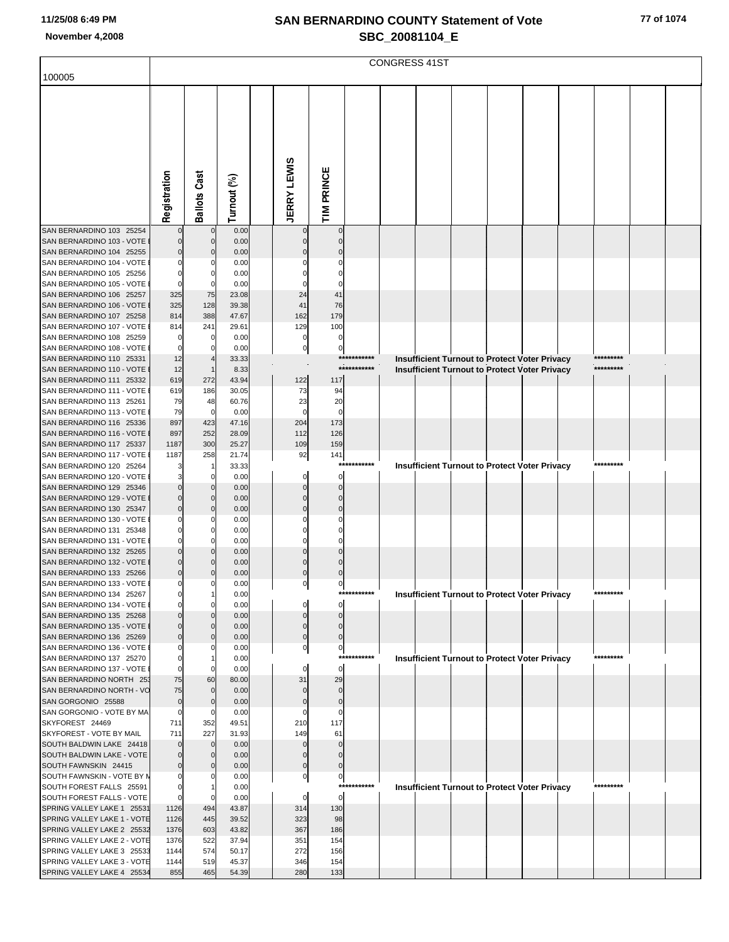|                                                           | <b>CONGRESS 41ST</b>             |                     |                |  |                         |                   |             |  |                                                      |  |  |  |  |           |  |  |
|-----------------------------------------------------------|----------------------------------|---------------------|----------------|--|-------------------------|-------------------|-------------|--|------------------------------------------------------|--|--|--|--|-----------|--|--|
| 100005                                                    |                                  |                     |                |  |                         |                   |             |  |                                                      |  |  |  |  |           |  |  |
|                                                           |                                  |                     |                |  |                         |                   |             |  |                                                      |  |  |  |  |           |  |  |
|                                                           |                                  |                     |                |  |                         |                   |             |  |                                                      |  |  |  |  |           |  |  |
|                                                           |                                  |                     |                |  |                         |                   |             |  |                                                      |  |  |  |  |           |  |  |
|                                                           |                                  |                     |                |  |                         |                   |             |  |                                                      |  |  |  |  |           |  |  |
|                                                           |                                  |                     |                |  |                         |                   |             |  |                                                      |  |  |  |  |           |  |  |
|                                                           |                                  |                     |                |  |                         |                   |             |  |                                                      |  |  |  |  |           |  |  |
|                                                           |                                  |                     |                |  |                         |                   |             |  |                                                      |  |  |  |  |           |  |  |
|                                                           | Registration                     | <b>Ballots Cast</b> | Turnout (%)    |  | <b>JERRY LEWIS</b>      | TIM PRINCE        |             |  |                                                      |  |  |  |  |           |  |  |
| SAN BERNARDINO 103 25254                                  |                                  | $\mathbf 0$         | 0.00           |  |                         | $\Omega$          |             |  |                                                      |  |  |  |  |           |  |  |
| SAN BERNARDINO 103 - VOTE                                 |                                  | $\Omega$            | 0.00           |  |                         |                   |             |  |                                                      |  |  |  |  |           |  |  |
| SAN BERNARDINO 104 25255<br>SAN BERNARDINO 104 - VOTE     | $\Omega$<br>$\Omega$             |                     | 0.00           |  |                         |                   |             |  |                                                      |  |  |  |  |           |  |  |
| SAN BERNARDINO 105 25256                                  | $\Omega$                         | n                   | 0.00<br>0.00   |  |                         |                   |             |  |                                                      |  |  |  |  |           |  |  |
| SAN BERNARDINO 105 - VOTE                                 | $\Omega$                         |                     | 0.00           |  |                         |                   |             |  |                                                      |  |  |  |  |           |  |  |
| SAN BERNARDINO 106 25257<br>SAN BERNARDINO 106 - VOTE     | 325<br>325                       | 75<br>128           | 23.08<br>39.38 |  | 24<br>41                | 41<br>76          |             |  |                                                      |  |  |  |  |           |  |  |
| SAN BERNARDINO 107 25258                                  | 814                              | 388                 | 47.67          |  | 162                     | 179               |             |  |                                                      |  |  |  |  |           |  |  |
| SAN BERNARDINO 107 - VOTE                                 | 814                              | 241<br>0            | 29.61<br>0.00  |  | 129<br>0                | 100<br>0          |             |  |                                                      |  |  |  |  |           |  |  |
| SAN BERNARDINO 108 25259<br>SAN BERNARDINO 108 - VOTE     | $\Omega$                         | 0                   | 0.00           |  | 0                       | 0                 |             |  |                                                      |  |  |  |  |           |  |  |
| SAN BERNARDINO 110 25331                                  | 12                               |                     | 33.33          |  |                         |                   | *********** |  | <b>Insufficient Turnout to Protect Voter Privacy</b> |  |  |  |  | ********* |  |  |
| SAN BERNARDINO 110 - VOTE<br>SAN BERNARDINO 111 25332     | 12<br>619                        | 272                 | 8.33<br>43.94  |  | 122                     | 117               | *********** |  | Insufficient Turnout to Protect Voter Privacy        |  |  |  |  | ********* |  |  |
| SAN BERNARDINO 111 - VOTE                                 | 619                              | 186                 | 30.05          |  | 73                      | 94                |             |  |                                                      |  |  |  |  |           |  |  |
| SAN BERNARDINO 113 25261<br>SAN BERNARDINO 113 - VOTE     | 79                               | 48<br>$\mathbf 0$   | 60.76<br>0.00  |  | 23<br>$\Omega$          | 20<br>$\mathbf 0$ |             |  |                                                      |  |  |  |  |           |  |  |
| SAN BERNARDINO 116 25336                                  | 79<br>897                        | 423                 | 47.16          |  | 204                     | 173               |             |  |                                                      |  |  |  |  |           |  |  |
| SAN BERNARDINO 116 - VOTE                                 | 897                              | 252                 | 28.09          |  | 112                     | 126               |             |  |                                                      |  |  |  |  |           |  |  |
| SAN BERNARDINO 117 25337<br>SAN BERNARDINO 117 - VOTE     | 1187<br>1187                     | 300<br>258          | 25.27<br>21.74 |  | 109<br>92               | 159<br>141        |             |  |                                                      |  |  |  |  |           |  |  |
| SAN BERNARDINO 120 25264                                  | 3                                |                     | 33.33          |  |                         | ***               | ******      |  | Insufficient Turnout to Protect Voter Privacy        |  |  |  |  | ********* |  |  |
| SAN BERNARDINO 120 - VOTE<br>SAN BERNARDINO 129 25346     | 3<br>$\Omega$                    | 0<br>$\Omega$       | 0.00<br>0.00   |  | 0                       | 0<br>$\Omega$     |             |  |                                                      |  |  |  |  |           |  |  |
| SAN BERNARDINO 129 - VOTE                                 | 0                                | 0                   | 0.00           |  | $\Omega$                | 0                 |             |  |                                                      |  |  |  |  |           |  |  |
| SAN BERNARDINO 130 25347                                  | $\overline{0}$                   |                     | 0.00           |  | $\Omega$                | $\Omega$          |             |  |                                                      |  |  |  |  |           |  |  |
| SAN BERNARDINO 130 - VOTE<br>SAN BERNARDINO 131 25348     | 0<br>$\Omega$                    |                     | 0.00<br>0.00   |  |                         |                   |             |  |                                                      |  |  |  |  |           |  |  |
| SAN BERNARDINO 131 - VOTE                                 | 0                                |                     | 0.00           |  |                         |                   |             |  |                                                      |  |  |  |  |           |  |  |
| SAN BERNARDINO 132 25265                                  | $\Omega$<br>0                    |                     | 0.00           |  |                         |                   |             |  |                                                      |  |  |  |  |           |  |  |
| SAN BERNARDINO 132 - VOTE<br>SAN BERNARDINO 133 25266     | $\overline{0}$                   | $\Omega$            | 0.00<br>0.00   |  | $\Omega$                | $\Omega$          |             |  |                                                      |  |  |  |  |           |  |  |
| SAN BERNARDINO 133 - VOTE                                 |                                  |                     | 0.00           |  |                         | υĮ                |             |  |                                                      |  |  |  |  |           |  |  |
| SAN BERNARDINO 134 25267<br>SAN BERNARDINO 134 - VOTE     | $\mathbf{0}$<br>$\mathbf{0}$     |                     | 0.00<br>0.00   |  |                         | 0                 | *********** |  | <b>Insufficient Turnout to Protect Voter Privacy</b> |  |  |  |  | ********* |  |  |
| SAN BERNARDINO 135 25268                                  | $\Omega$                         |                     | 0.00           |  |                         |                   |             |  |                                                      |  |  |  |  |           |  |  |
| SAN BERNARDINO 135 - VOTE I<br>SAN BERNARDINO 136 25269   | 0<br>$\overline{0}$              | $\Omega$            | 0.00<br>0.00   |  | $\Omega$<br>$\mathbf 0$ | $\Omega$          |             |  |                                                      |  |  |  |  |           |  |  |
| SAN BERNARDINO 136 - VOTE I                               | 0                                |                     | 0.00           |  | $\overline{0}$          | $\overline{0}$    |             |  |                                                      |  |  |  |  |           |  |  |
| SAN BERNARDINO 137 25270                                  | $\Omega$                         |                     | 0.00           |  |                         |                   | *********** |  | Insufficient Turnout to Protect Voter Privacy        |  |  |  |  | ********* |  |  |
| SAN BERNARDINO 137 - VOTE I<br>SAN BERNARDINO NORTH 253   | $\mathbf{0}$<br>75               | 60                  | 0.00<br>80.00  |  | $\Omega$<br>31          | 0<br>29           |             |  |                                                      |  |  |  |  |           |  |  |
| SAN BERNARDINO NORTH - VC                                 | 75                               | $\mathbf 0$         | 0.00           |  |                         | $\mathbf 0$       |             |  |                                                      |  |  |  |  |           |  |  |
| SAN GORGONIO 25588<br>SAN GORGONIO - VOTE BY MA           | $\overline{0}$<br>$\overline{0}$ | 0                   | 0.00<br>0.00   |  |                         | $\mathbf 0$<br>0  |             |  |                                                      |  |  |  |  |           |  |  |
| SKYFOREST 24469                                           | 711                              | 352                 | 49.51          |  | 210                     | 117               |             |  |                                                      |  |  |  |  |           |  |  |
| SKYFOREST - VOTE BY MAIL<br>SOUTH BALDWIN LAKE 24418      | 711                              | 227<br>$\mathbf 0$  | 31.93<br>0.00  |  | 149                     | 61                |             |  |                                                      |  |  |  |  |           |  |  |
| SOUTH BALDWIN LAKE - VOTE                                 | $\Omega$                         | $\Omega$            | 0.00           |  |                         |                   |             |  |                                                      |  |  |  |  |           |  |  |
| SOUTH FAWNSKIN 24415                                      | $\overline{0}$                   |                     | 0.00           |  |                         | $\mathbf 0$       |             |  |                                                      |  |  |  |  |           |  |  |
| SOUTH FAWNSKIN - VOTE BY M<br>SOUTH FOREST FALLS 25591    | $\Omega$<br>$\Omega$             |                     | 0.00<br>0.00   |  | 0                       | $\circ$           | *********** |  | Insufficient Turnout to Protect Voter Privacy        |  |  |  |  | ********* |  |  |
| SOUTH FOREST FALLS - VOTE                                 | $\overline{0}$                   |                     | 0.00           |  | 0                       | $\mathbf 0$       |             |  |                                                      |  |  |  |  |           |  |  |
| SPRING VALLEY LAKE 1 25531<br>SPRING VALLEY LAKE 1 - VOTE | 1126<br>1126                     | 494<br>445          | 43.87<br>39.52 |  | 314<br>323              | 130<br>98         |             |  |                                                      |  |  |  |  |           |  |  |
| SPRING VALLEY LAKE 2 25532                                | 1376                             | 603                 | 43.82          |  | 367                     | 186               |             |  |                                                      |  |  |  |  |           |  |  |
| SPRING VALLEY LAKE 2 - VOTE                               | 1376                             | 522                 | 37.94          |  | 351                     | 154               |             |  |                                                      |  |  |  |  |           |  |  |
| SPRING VALLEY LAKE 3 25533<br>SPRING VALLEY LAKE 3 - VOTE | 1144<br>1144                     | 574<br>519          | 50.17<br>45.37 |  | 272<br>346              | 156<br>154        |             |  |                                                      |  |  |  |  |           |  |  |
| SPRING VALLEY LAKE 4 25534                                | 855                              | 465                 | 54.39          |  | 280                     | 133               |             |  |                                                      |  |  |  |  |           |  |  |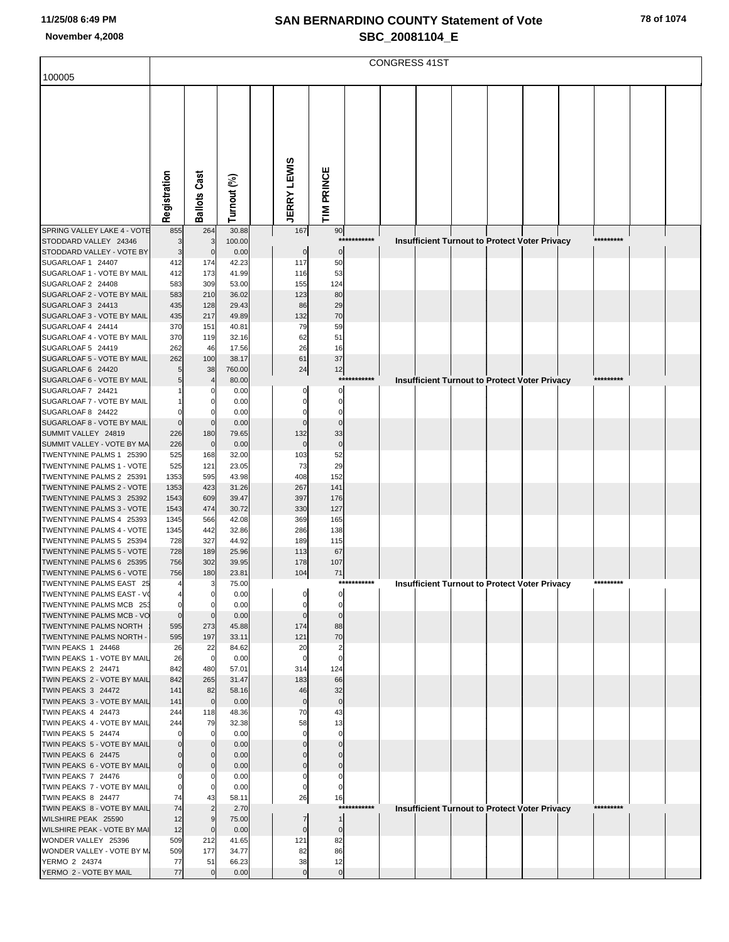|                                                        | <b>CONGRESS 41ST</b> |                      |                |                    |                                             |             |  |  |  |  |                                                      |  |           |  |  |
|--------------------------------------------------------|----------------------|----------------------|----------------|--------------------|---------------------------------------------|-------------|--|--|--|--|------------------------------------------------------|--|-----------|--|--|
|                                                        |                      |                      |                |                    |                                             |             |  |  |  |  |                                                      |  |           |  |  |
| 100005                                                 |                      |                      |                |                    |                                             |             |  |  |  |  |                                                      |  |           |  |  |
|                                                        |                      |                      |                |                    |                                             |             |  |  |  |  |                                                      |  |           |  |  |
|                                                        |                      |                      |                |                    |                                             |             |  |  |  |  |                                                      |  |           |  |  |
|                                                        |                      |                      |                |                    |                                             |             |  |  |  |  |                                                      |  |           |  |  |
|                                                        |                      |                      |                |                    |                                             |             |  |  |  |  |                                                      |  |           |  |  |
|                                                        |                      |                      |                |                    |                                             |             |  |  |  |  |                                                      |  |           |  |  |
|                                                        |                      |                      |                |                    |                                             |             |  |  |  |  |                                                      |  |           |  |  |
|                                                        |                      |                      |                |                    |                                             |             |  |  |  |  |                                                      |  |           |  |  |
|                                                        |                      |                      |                |                    |                                             |             |  |  |  |  |                                                      |  |           |  |  |
|                                                        |                      |                      |                |                    |                                             |             |  |  |  |  |                                                      |  |           |  |  |
|                                                        | Registration         | <b>Ballots Cast</b>  | Turnout (%)    | <b>JERRY LEWIS</b> | TIM PRINCE                                  |             |  |  |  |  |                                                      |  |           |  |  |
|                                                        |                      |                      |                |                    |                                             |             |  |  |  |  |                                                      |  |           |  |  |
| SPRING VALLEY LAKE 4 - VOTE                            | 855                  | 264                  | 30.88          |                    | 167<br>90                                   | *********** |  |  |  |  |                                                      |  | ********* |  |  |
| STODDARD VALLEY 24346<br>STODDARD VALLEY - VOTE BY     | 3<br>3               | 3<br>$\mathbf 0$     | 100.00<br>0.00 |                    | $\pmb{0}$<br>$\pmb{0}$                      |             |  |  |  |  | <b>Insufficient Turnout to Protect Voter Privacy</b> |  |           |  |  |
| SUGARLOAF 1 24407                                      | 412                  | 174                  | 42.23          |                    | 117<br>50                                   |             |  |  |  |  |                                                      |  |           |  |  |
| SUGARLOAF 1 - VOTE BY MAIL                             | 412                  | 173                  | 41.99          |                    | 53<br>116                                   |             |  |  |  |  |                                                      |  |           |  |  |
| SUGARLOAF 2 24408                                      | 583                  | 309                  | 53.00          |                    | 155<br>124                                  |             |  |  |  |  |                                                      |  |           |  |  |
| SUGARLOAF 2 - VOTE BY MAIL                             | 583                  | 210                  | 36.02          |                    | 80<br>123                                   |             |  |  |  |  |                                                      |  |           |  |  |
| SUGARLOAF 3 24413                                      | 435                  | 128<br>217           | 29.43<br>49.89 |                    | 86<br>29<br>132<br>70                       |             |  |  |  |  |                                                      |  |           |  |  |
| SUGARLOAF 3 - VOTE BY MAIL<br>SUGARLOAF 4 24414        | 435<br>370           | 151                  | 40.81          |                    | 79<br>59                                    |             |  |  |  |  |                                                      |  |           |  |  |
| SUGARLOAF 4 - VOTE BY MAIL                             | 370                  | 119                  | 32.16          |                    | 51<br>62                                    |             |  |  |  |  |                                                      |  |           |  |  |
| SUGARLOAF 5 24419                                      | 262                  | 46                   | 17.56          |                    | 26<br>16                                    |             |  |  |  |  |                                                      |  |           |  |  |
| SUGARLOAF 5 - VOTE BY MAIL                             | 262                  | 100                  | 38.17          |                    | 61<br>37                                    |             |  |  |  |  |                                                      |  |           |  |  |
| SUGARLOAF 6 24420                                      | 5                    | 38                   | 760.00         |                    | 24<br>12                                    | *********** |  |  |  |  |                                                      |  | ********* |  |  |
| SUGARLOAF 6 - VOTE BY MAIL<br>SUGARLOAF 7 24421        | 5                    | 4<br>-0              | 80.00<br>0.00  |                    | $\Omega$<br>$\Omega$                        |             |  |  |  |  | <b>Insufficient Turnout to Protect Voter Privacy</b> |  |           |  |  |
| SUGARLOAF 7 - VOTE BY MAIL                             |                      | C                    | 0.00           |                    | $\Omega$<br>$\Omega$                        |             |  |  |  |  |                                                      |  |           |  |  |
| SUGARLOAF 8 24422                                      |                      | $\epsilon$           | 0.00           |                    | $\Omega$<br>$\Omega$                        |             |  |  |  |  |                                                      |  |           |  |  |
| SUGARLOAF 8 - VOTE BY MAIL                             | $\Omega$             | $\mathsf{C}$         | 0.00           |                    | $\mathbf 0$<br>$\Omega$                     |             |  |  |  |  |                                                      |  |           |  |  |
| SUMMIT VALLEY 24819                                    | 226                  | 180                  | 79.65          |                    | 132<br>33                                   |             |  |  |  |  |                                                      |  |           |  |  |
| SUMMIT VALLEY - VOTE BY MA                             | 226                  | $\mathbf 0$          | 0.00           |                    | $\mathbf 0$<br>$\pmb{0}$                    |             |  |  |  |  |                                                      |  |           |  |  |
| TWENTYNINE PALMS 1 25390<br>TWENTYNINE PALMS 1 - VOTE  | 525<br>525           | 168<br>121           | 32.00<br>23.05 |                    | 52<br>103<br>29<br>73                       |             |  |  |  |  |                                                      |  |           |  |  |
| TWENTYNINE PALMS 2 25391                               | 1353                 | 595                  | 43.98          |                    | 408<br>152                                  |             |  |  |  |  |                                                      |  |           |  |  |
| TWENTYNINE PALMS 2 - VOTE                              | 1353                 | 423                  | 31.26          |                    | 267<br>141                                  |             |  |  |  |  |                                                      |  |           |  |  |
| TWENTYNINE PALMS 3 25392                               | 1543                 | 609                  | 39.47          |                    | 397<br>176                                  |             |  |  |  |  |                                                      |  |           |  |  |
| TWENTYNINE PALMS 3 - VOTE                              | 1543                 | 474                  | 30.72          |                    | 127<br>330                                  |             |  |  |  |  |                                                      |  |           |  |  |
| TWENTYNINE PALMS 4 25393<br>TWENTYNINE PALMS 4 - VOTE  | 1345<br>1345         | 566<br>442           | 42.08<br>32.86 |                    | 369<br>165<br>286<br>138                    |             |  |  |  |  |                                                      |  |           |  |  |
| TWENTYNINE PALMS 5 25394                               | 728                  | 327                  | 44.92          |                    | 115<br>189                                  |             |  |  |  |  |                                                      |  |           |  |  |
| TWENTYNINE PALMS 5 - VOTE                              | 728                  | 189                  | 25.96          |                    | 113<br>67                                   |             |  |  |  |  |                                                      |  |           |  |  |
| TWENTYNINE PALMS 6 25395                               | 756                  | 302                  | 39.95          |                    | 178<br>107                                  |             |  |  |  |  |                                                      |  |           |  |  |
| TWENTYNINE PALMS 6 - VOTE                              | 756                  | 180                  | 23.81          |                    | 104<br>71                                   |             |  |  |  |  |                                                      |  |           |  |  |
| TWENTYNINE PALMS EAST 25                               |                      | 3                    | 75.00          |                    |                                             | *********** |  |  |  |  | <b>Insufficient Turnout to Protect Voter Privacy</b> |  | ********* |  |  |
| TWENTYNINE PALMS EAST - VO<br>TWENTYNINE PALMS MCB 253 | $\Omega$             | $\mathbf 0$          | 0.00<br>0.00   |                    | $\mathbf 0$<br>0<br>$\mathbf 0$<br>$\Omega$ |             |  |  |  |  |                                                      |  |           |  |  |
| TWENTYNINE PALMS MCB - VO                              | $\mathbf 0$          | $\mathsf{C}$         | 0.00           |                    | $\mathbf 0$<br>$\Omega$                     |             |  |  |  |  |                                                      |  |           |  |  |
| TWENTYNINE PALMS NORTH                                 | 595                  | 273                  | 45.88          |                    | 174<br>88                                   |             |  |  |  |  |                                                      |  |           |  |  |
| TWENTYNINE PALMS NORTH -                               | 595                  | 197                  | 33.11          |                    | 70<br>121                                   |             |  |  |  |  |                                                      |  |           |  |  |
| TWIN PEAKS 1 24468                                     | 26                   | 22                   | 84.62          |                    | 20<br>$\overline{2}$                        |             |  |  |  |  |                                                      |  |           |  |  |
| TWIN PEAKS 1 - VOTE BY MAIL<br>TWIN PEAKS 2 24471      | 26<br>842            | $\mathbf 0$<br>480   | 0.00<br>57.01  |                    | $\mathbf 0$<br>$\mathbf 0$<br>314<br>124    |             |  |  |  |  |                                                      |  |           |  |  |
| TWIN PEAKS 2 - VOTE BY MAIL                            | 842                  | 265                  | 31.47          |                    | 183<br>66                                   |             |  |  |  |  |                                                      |  |           |  |  |
| TWIN PEAKS 3 24472                                     | 141                  | 82                   | 58.16          |                    | 46<br>32                                    |             |  |  |  |  |                                                      |  |           |  |  |
| TWIN PEAKS 3 - VOTE BY MAIL                            | 141                  | $\mathbf 0$          | 0.00           |                    | $\pmb{0}$<br>$\bf 0$                        |             |  |  |  |  |                                                      |  |           |  |  |
| TWIN PEAKS 4 24473                                     | 244                  | 118                  | 48.36          |                    | 70<br>43                                    |             |  |  |  |  |                                                      |  |           |  |  |
| TWIN PEAKS 4 - VOTE BY MAIL<br>TWIN PEAKS 5 24474      | 244                  | 79<br>$\Omega$       | 32.38<br>0.00  |                    | 58<br>13<br>$\mathbf 0$<br>$\Omega$         |             |  |  |  |  |                                                      |  |           |  |  |
| TWIN PEAKS 5 - VOTE BY MAIL                            |                      | C                    | 0.00           |                    |                                             |             |  |  |  |  |                                                      |  |           |  |  |
| TWIN PEAKS 6 24475                                     |                      | $\Omega$             | 0.00           |                    |                                             |             |  |  |  |  |                                                      |  |           |  |  |
| TWIN PEAKS 6 - VOTE BY MAIL                            |                      | C                    | 0.00           |                    | $\Omega$                                    |             |  |  |  |  |                                                      |  |           |  |  |
| TWIN PEAKS 7 24476                                     |                      | $\Omega$             | 0.00           |                    | $\Omega$<br>$\Omega$                        |             |  |  |  |  |                                                      |  |           |  |  |
| TWIN PEAKS 7 - VOTE BY MAIL                            | $\Omega$             | C                    | 0.00           |                    | 0                                           |             |  |  |  |  |                                                      |  |           |  |  |
| TWIN PEAKS 8 24477<br>TWIN PEAKS 8 - VOTE BY MAIL      | 74<br>74             | 43<br>$\overline{2}$ | 58.11<br>2.70  |                    | 26<br>16                                    | *********** |  |  |  |  | Insufficient Turnout to Protect Voter Privacy        |  | ********* |  |  |
| WILSHIRE PEAK 25590                                    | 12                   | 9                    | 75.00          |                    | $\mathbf{1}$<br>$\overline{7}$              |             |  |  |  |  |                                                      |  |           |  |  |
| WILSHIRE PEAK - VOTE BY MAI                            | 12                   | $\overline{0}$       | 0.00           |                    | $\pmb{0}$<br>$\pmb{0}$                      |             |  |  |  |  |                                                      |  |           |  |  |
| WONDER VALLEY 25396                                    | 509                  | 212                  | 41.65          |                    | 121<br>82                                   |             |  |  |  |  |                                                      |  |           |  |  |
| WONDER VALLEY - VOTE BY M.                             | 509                  | 177                  | 34.77          |                    | 82<br>86                                    |             |  |  |  |  |                                                      |  |           |  |  |
| YERMO 2 24374<br>YERMO 2 - VOTE BY MAIL                | 77<br>77             | 51<br>$\mathbf 0$    | 66.23<br>0.00  |                    | 12<br>38<br>$\mathbf 0$<br>$\pmb{0}$        |             |  |  |  |  |                                                      |  |           |  |  |
|                                                        |                      |                      |                |                    |                                             |             |  |  |  |  |                                                      |  |           |  |  |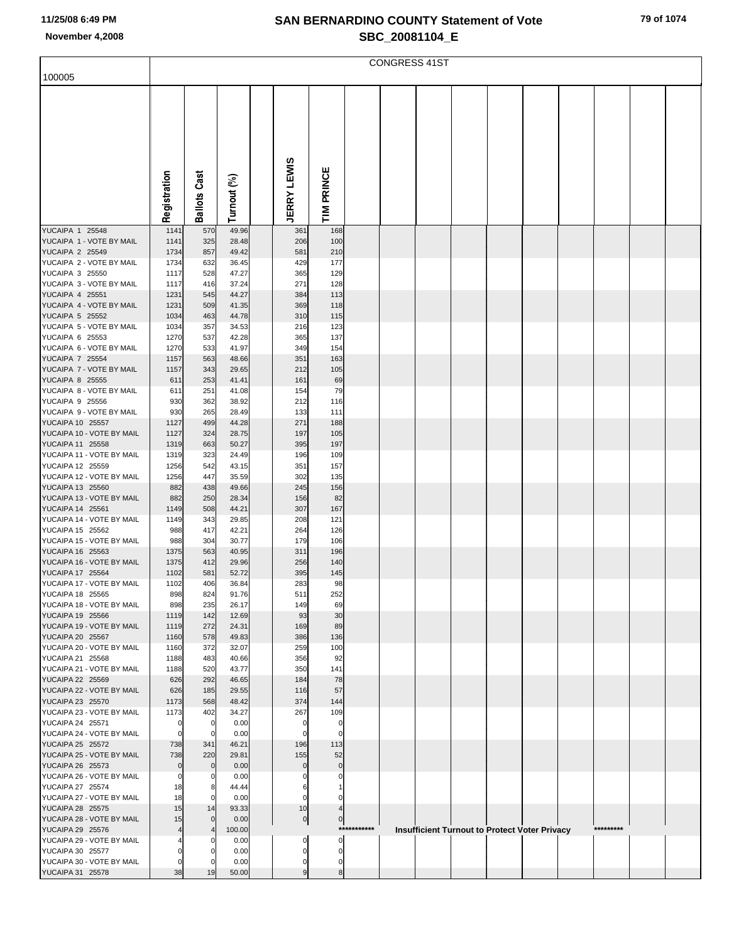| 100005                                             |                |                 |                |                    |                    |             | <b>CONGRESS 41ST</b> |  |                                               |           |  |
|----------------------------------------------------|----------------|-----------------|----------------|--------------------|--------------------|-------------|----------------------|--|-----------------------------------------------|-----------|--|
|                                                    |                |                 |                |                    |                    |             |                      |  |                                               |           |  |
|                                                    |                |                 |                |                    |                    |             |                      |  |                                               |           |  |
|                                                    |                |                 |                |                    |                    |             |                      |  |                                               |           |  |
|                                                    |                |                 |                |                    |                    |             |                      |  |                                               |           |  |
|                                                    |                |                 |                |                    |                    |             |                      |  |                                               |           |  |
|                                                    |                |                 |                |                    |                    |             |                      |  |                                               |           |  |
|                                                    |                | Cast            |                |                    |                    |             |                      |  |                                               |           |  |
|                                                    |                |                 |                |                    |                    |             |                      |  |                                               |           |  |
|                                                    | Registration   | <b>Ballots</b>  | Turnout (%)    | <b>JERRY LEWIS</b> | TIM PRINCE         |             |                      |  |                                               |           |  |
|                                                    |                |                 |                |                    |                    |             |                      |  |                                               |           |  |
| YUCAIPA 1 25548                                    | 1141           | 570             | 49.96          | 361                | 168                |             |                      |  |                                               |           |  |
| YUCAIPA 1 - VOTE BY MAIL<br><b>YUCAIPA 2 25549</b> | 1141<br>1734   | 325<br>857      | 28.48<br>49.42 | 206<br>581         | 100<br>210         |             |                      |  |                                               |           |  |
| YUCAIPA 2 - VOTE BY MAIL                           | 1734           | 632             | 36.45          | 429                | 177                |             |                      |  |                                               |           |  |
| YUCAIPA 3 25550                                    | 1117           | 528             | 47.27          | 365                | 129                |             |                      |  |                                               |           |  |
| YUCAIPA 3 - VOTE BY MAIL<br><b>YUCAIPA 4 25551</b> | 1117<br>1231   | 416<br>545      | 37.24<br>44.27 | 271<br>384         | 128<br>113         |             |                      |  |                                               |           |  |
| YUCAIPA 4 - VOTE BY MAIL                           | 1231           | 509             | 41.35          | 369                | 118                |             |                      |  |                                               |           |  |
| <b>YUCAIPA 5 25552</b>                             | 1034           | 463             | 44.78          | 310                | 115                |             |                      |  |                                               |           |  |
| YUCAIPA 5 - VOTE BY MAIL<br>YUCAIPA 6 25553        | 1034           | 357             | 34.53          | 216                | 123                |             |                      |  |                                               |           |  |
| YUCAIPA 6 - VOTE BY MAIL                           | 1270<br>1270   | 537<br>533      | 42.28<br>41.97 | 365<br>349         | 137<br>154         |             |                      |  |                                               |           |  |
| <b>YUCAIPA 7 25554</b>                             | 1157           | 563             | 48.66          | 351                | 163                |             |                      |  |                                               |           |  |
| YUCAIPA 7 - VOTE BY MAIL                           | 1157           | 343             | 29.65          | 212                | 105                |             |                      |  |                                               |           |  |
| <b>YUCAIPA 8 25555</b><br>YUCAIPA 8 - VOTE BY MAIL | 611<br>611     | 253<br>251      | 41.41<br>41.08 | 161<br>154         | 69<br>79           |             |                      |  |                                               |           |  |
| YUCAIPA 9 25556                                    | 930            | 362             | 38.92          | 212                | 116                |             |                      |  |                                               |           |  |
| YUCAIPA 9 - VOTE BY MAIL                           | 930            | 265             | 28.49          | 133                | 111                |             |                      |  |                                               |           |  |
| YUCAIPA 10 25557<br>YUCAIPA 10 - VOTE BY MAIL      | 1127<br>1127   | 499<br>324      | 44.28<br>28.75 | 271<br>197         | 188<br>105         |             |                      |  |                                               |           |  |
| YUCAIPA 11 25558                                   | 1319           | 663             | 50.27          | 395                | 197                |             |                      |  |                                               |           |  |
| YUCAIPA 11 - VOTE BY MAIL                          | 1319           | 323             | 24.49          | 196                | 109                |             |                      |  |                                               |           |  |
| YUCAIPA 12 25559<br>YUCAIPA 12 - VOTE BY MAIL      | 1256<br>1256   | 542<br>447      | 43.15<br>35.59 | 351<br>302         | 157<br>135         |             |                      |  |                                               |           |  |
| YUCAIPA 13 25560                                   | 882            | 438             | 49.66          | 245                | 156                |             |                      |  |                                               |           |  |
| YUCAIPA 13 - VOTE BY MAIL                          | 882            | 250             | 28.34          | 156                | 82                 |             |                      |  |                                               |           |  |
| YUCAIPA 14 25561<br>YUCAIPA 14 - VOTE BY MAIL      | 1149<br>1149   | 508<br>343      | 44.21<br>29.85 | 307<br>208         | 167<br>121         |             |                      |  |                                               |           |  |
| YUCAIPA 15 25562                                   | 988            | 417             | 42.21          | 264                | 126                |             |                      |  |                                               |           |  |
| YUCAIPA 15 - VOTE BY MAIL                          | 988            | 304             | 30.77          | 179                | 106                |             |                      |  |                                               |           |  |
| YUCAIPA 16 25563<br>YUCAIPA 16 - VOTE BY MAIL      | 1375<br>1375   | 563<br>412      | 40.95<br>29.96 | 311<br>256         | 196<br>140         |             |                      |  |                                               |           |  |
| YUCAIPA 17 25564                                   | 1102           | 581             | 52.72          | 395                | 145                |             |                      |  |                                               |           |  |
| YUCAIPA 17 - VOTE BY MAIL                          | 1102           | 406             | 36.84          | 283                | 98                 |             |                      |  |                                               |           |  |
| YUCAIPA 18 25565<br>YUCAIPA 18 - VOTE BY MAIL      | 898<br>898     | 824<br>235      | 91.76<br>26.17 | 511                | 252<br>69          |             |                      |  |                                               |           |  |
| YUCAIPA 19 25566                                   | 1119           | 142             | 12.69          | 149<br>93          | 30                 |             |                      |  |                                               |           |  |
| YUCAIPA 19 - VOTE BY MAIL                          | 1119           | 272             | 24.31          | 169                | 89                 |             |                      |  |                                               |           |  |
| YUCAIPA 20 25567                                   | 1160           | 578             | 49.83          | 386                | 136                |             |                      |  |                                               |           |  |
| YUCAIPA 20 - VOTE BY MAIL<br>YUCAIPA 21 25568      | 1160<br>1188   | 372<br>483      | 32.07<br>40.66 | 259<br>356         | 100<br>92          |             |                      |  |                                               |           |  |
| YUCAIPA 21 - VOTE BY MAIL                          | 1188           | 520             | 43.77          | 350                | 141                |             |                      |  |                                               |           |  |
| YUCAIPA 22 25569                                   | 626            | 292             | 46.65          | 184                | 78                 |             |                      |  |                                               |           |  |
| YUCAIPA 22 - VOTE BY MAIL<br>YUCAIPA 23 25570      | 626<br>1173    | 185<br>568      | 29.55<br>48.42 | 116<br>374         | 57<br>144          |             |                      |  |                                               |           |  |
| YUCAIPA 23 - VOTE BY MAIL                          | 1173           | 402             | 34.27          | 267                | 109                |             |                      |  |                                               |           |  |
| YUCAIPA 24 25571                                   |                | $\mathbf 0$     | 0.00           | 0                  | 0                  |             |                      |  |                                               |           |  |
| YUCAIPA 24 - VOTE BY MAIL<br>YUCAIPA 25 25572      | 738            | $\Omega$<br>341 | 0.00<br>46.21  | $\Omega$<br>196    | $\mathbf 0$<br>113 |             |                      |  |                                               |           |  |
| YUCAIPA 25 - VOTE BY MAIL                          | 738            | 220             | 29.81          | 155                | 52                 |             |                      |  |                                               |           |  |
| YUCAIPA 26 25573                                   | $\mathbf 0$    | $\mathbf 0$     | 0.00           | 0                  | $\mathbf 0$        |             |                      |  |                                               |           |  |
| YUCAIPA 26 - VOTE BY MAIL<br>YUCAIPA 27 25574      | $\Omega$<br>18 | 0<br>8          | 0.00<br>44.44  | 6                  |                    |             |                      |  |                                               |           |  |
| YUCAIPA 27 - VOTE BY MAIL                          | 18             | $\Omega$        | 0.00           | 0                  |                    |             |                      |  |                                               |           |  |
| YUCAIPA 28 25575                                   | 15             | 14              | 93.33          | 10                 |                    |             |                      |  |                                               |           |  |
| YUCAIPA 28 - VOTE BY MAIL<br>YUCAIPA 29 25576      | 15             | $\mathbf 0$     | 0.00<br>100.00 | $\overline{0}$     | $\mathbf 0$        | *********** |                      |  | Insufficient Turnout to Protect Voter Privacy | ********* |  |
| YUCAIPA 29 - VOTE BY MAIL                          |                |                 | 0.00           | 0                  | $\Omega$           |             |                      |  |                                               |           |  |
| YUCAIPA 30 25577                                   |                |                 | 0.00           | 0                  | $\Omega$           |             |                      |  |                                               |           |  |
| YUCAIPA 30 - VOTE BY MAIL<br>YUCAIPA 31 25578      | 38             | 19              | 0.00<br>50.00  | 0<br>9             | 8                  |             |                      |  |                                               |           |  |
|                                                    |                |                 |                |                    |                    |             |                      |  |                                               |           |  |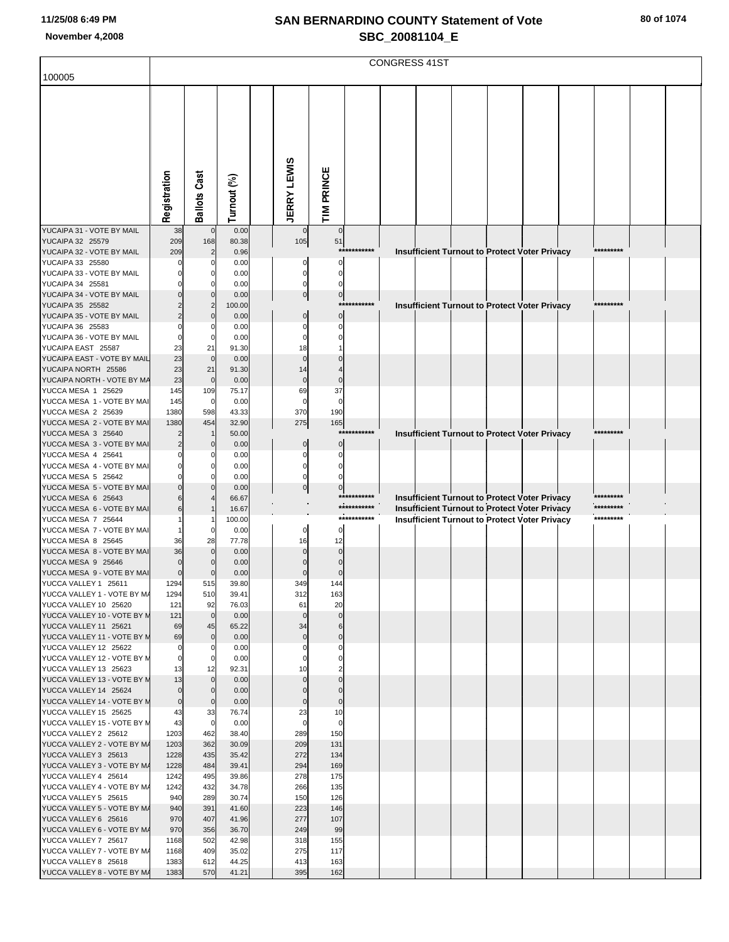|                                                      | <b>CONGRESS 41ST</b> |                            |                |                    |                |                            |  |  |  |                                                      |  |  |                        |  |  |
|------------------------------------------------------|----------------------|----------------------------|----------------|--------------------|----------------|----------------------------|--|--|--|------------------------------------------------------|--|--|------------------------|--|--|
| 100005                                               |                      |                            |                |                    |                |                            |  |  |  |                                                      |  |  |                        |  |  |
|                                                      |                      |                            |                |                    |                |                            |  |  |  |                                                      |  |  |                        |  |  |
|                                                      |                      |                            |                |                    |                |                            |  |  |  |                                                      |  |  |                        |  |  |
|                                                      |                      |                            |                |                    |                |                            |  |  |  |                                                      |  |  |                        |  |  |
|                                                      |                      |                            |                |                    |                |                            |  |  |  |                                                      |  |  |                        |  |  |
|                                                      |                      |                            |                |                    |                |                            |  |  |  |                                                      |  |  |                        |  |  |
|                                                      |                      |                            |                |                    |                |                            |  |  |  |                                                      |  |  |                        |  |  |
|                                                      |                      |                            |                |                    |                |                            |  |  |  |                                                      |  |  |                        |  |  |
|                                                      |                      |                            |                |                    |                |                            |  |  |  |                                                      |  |  |                        |  |  |
|                                                      |                      |                            |                |                    |                |                            |  |  |  |                                                      |  |  |                        |  |  |
|                                                      | Registration         | <b>Ballots Cast</b>        | Turnout (%)    | <b>JERRY LEWIS</b> | TIM PRINCE     |                            |  |  |  |                                                      |  |  |                        |  |  |
|                                                      |                      |                            |                |                    |                |                            |  |  |  |                                                      |  |  |                        |  |  |
| YUCAIPA 31 - VOTE BY MAIL                            | 38                   | $\overline{0}$             | 0.00           | $\mathbf 0$        | $\overline{0}$ |                            |  |  |  |                                                      |  |  |                        |  |  |
| YUCAIPA 32 25579                                     | 209<br>209           | 168<br>$\overline{2}$      | 80.38<br>0.96  | 105                | 51             | ***********                |  |  |  |                                                      |  |  | *********              |  |  |
| YUCAIPA 32 - VOTE BY MAIL<br>YUCAIPA 33 25580        |                      | C                          | 0.00           |                    | $\Omega$       |                            |  |  |  | Insufficient Turnout to Protect Voter Privacy        |  |  |                        |  |  |
| YUCAIPA 33 - VOTE BY MAIL                            | O                    | $\Omega$                   | 0.00           | O                  |                |                            |  |  |  |                                                      |  |  |                        |  |  |
| YUCAIPA 34 25581                                     |                      |                            | 0.00           |                    |                |                            |  |  |  |                                                      |  |  |                        |  |  |
| YUCAIPA 34 - VOTE BY MAIL                            |                      | $\Omega$                   | 0.00           | $\overline{0}$     | $\overline{0}$ | ***********                |  |  |  |                                                      |  |  | *********              |  |  |
| YUCAIPA 35 25582<br>YUCAIPA 35 - VOTE BY MAIL        |                      | $\overline{c}$<br>$\Omega$ | 100.00<br>0.00 |                    | $\Omega$       |                            |  |  |  | <b>Insufficient Turnout to Protect Voter Privacy</b> |  |  |                        |  |  |
| YUCAIPA 36 25583                                     |                      |                            | 0.00           |                    |                |                            |  |  |  |                                                      |  |  |                        |  |  |
| YUCAIPA 36 - VOTE BY MAIL                            | $\Omega$             | $\mathbf 0$                | 0.00           | 0                  |                |                            |  |  |  |                                                      |  |  |                        |  |  |
| YUCAIPA EAST 25587                                   | 23                   | 21<br>$\overline{0}$       | 91.30          | 18<br>$\Omega$     |                |                            |  |  |  |                                                      |  |  |                        |  |  |
| YUCAIPA EAST - VOTE BY MAIL<br>YUCAIPA NORTH 25586   | 23<br>23             | 21                         | 0.00<br>91.30  | 14                 |                |                            |  |  |  |                                                      |  |  |                        |  |  |
| YUCAIPA NORTH - VOTE BY MA                           | 23                   | $\overline{0}$             | 0.00           | $\mathbf 0$        | $\mathbf 0$    |                            |  |  |  |                                                      |  |  |                        |  |  |
| YUCCA MESA 1 25629                                   | 145                  | 109                        | 75.17          | 69                 | 37             |                            |  |  |  |                                                      |  |  |                        |  |  |
| YUCCA MESA 1 - VOTE BY MAI                           | 145                  | $\mathbf 0$                | 0.00           | $\Omega$           | $\Omega$       |                            |  |  |  |                                                      |  |  |                        |  |  |
| YUCCA MESA 2 25639<br>YUCCA MESA 2 - VOTE BY MAI     | 1380<br>1380         | 598<br>454                 | 43.33<br>32.90 | 370<br>275         | 190<br>165     |                            |  |  |  |                                                      |  |  |                        |  |  |
| YUCCA MESA 3 25640                                   |                      |                            | 50.00          |                    |                | ***********                |  |  |  | <b>Insufficient Turnout to Protect Voter Privacy</b> |  |  | *********              |  |  |
| YUCCA MESA 3 - VOTE BY MAI                           |                      | $\mathbf 0$                | 0.00           | $\Omega$           | $\mathbf{0}$   |                            |  |  |  |                                                      |  |  |                        |  |  |
| YUCCA MESA 4 25641                                   |                      |                            | 0.00           | C                  |                |                            |  |  |  |                                                      |  |  |                        |  |  |
| YUCCA MESA 4 - VOTE BY MAI<br>YUCCA MESA 5 25642     |                      | $\Omega$                   | 0.00<br>0.00   |                    |                |                            |  |  |  |                                                      |  |  |                        |  |  |
| YUCCA MESA 5 - VOTE BY MAI                           |                      |                            | 0.00           | $\mathbf 0$        | $\Omega$       |                            |  |  |  |                                                      |  |  |                        |  |  |
| YUCCA MESA 6 25643                                   |                      |                            | 66.67          |                    |                | ***********                |  |  |  | Insufficient Turnout to Protect Voter Privacy        |  |  | *********              |  |  |
| YUCCA MESA 6 - VOTE BY MAI                           |                      |                            | 16.67          |                    |                | ***********<br>*********** |  |  |  | <b>Insufficient Turnout to Protect Voter Privacy</b> |  |  | *********<br>********* |  |  |
| YUCCA MESA 7 25644<br>YUCCA MESA 7 - VOTE BY MAI     |                      | $\Omega$                   | 100.00<br>0.00 | 0                  | $\Omega$       |                            |  |  |  | <b>Insufficient Turnout to Protect Voter Privacy</b> |  |  |                        |  |  |
| YUCCA MESA 8 25645                                   | 36                   | 28                         | 77.78          | 16                 | 12             |                            |  |  |  |                                                      |  |  |                        |  |  |
| YUCCA MESA 8 - VOTE BY MAI                           | 36                   |                            | 0.00           |                    | $\Omega$       |                            |  |  |  |                                                      |  |  |                        |  |  |
| YUCCA MESA 9 25646                                   | $\Omega$             |                            | 0.00           |                    |                |                            |  |  |  |                                                      |  |  |                        |  |  |
| YUCCA MESA 9 - VOTE BY MAI<br>YUCCA VALLEY 1 25611   | $\mathbf 0$<br>1294  | $\mathbf 0$<br>515         | 0.00<br>39.80  | $\Omega$<br>349    | 14             |                            |  |  |  |                                                      |  |  |                        |  |  |
| YUCCA VALLEY 1 - VOTE BY M/                          | 1294                 | 510                        | 39.41          | 312                | 163            |                            |  |  |  |                                                      |  |  |                        |  |  |
| YUCCA VALLEY 10 25620                                | 121                  | 92                         | 76.03          | 61                 | 20             |                            |  |  |  |                                                      |  |  |                        |  |  |
| YUCCA VALLEY 10 - VOTE BY M                          | 121                  | $\overline{0}$             | 0.00           | $\mathbf 0$        | $\mathbf 0$    |                            |  |  |  |                                                      |  |  |                        |  |  |
| YUCCA VALLEY 11 25621<br>YUCCA VALLEY 11 - VOTE BY M | 69<br>69             | 45<br>$\mathbf 0$          | 65.22<br>0.00  | 34<br>$\mathbf 0$  | $\mathbf{0}$   |                            |  |  |  |                                                      |  |  |                        |  |  |
| YUCCA VALLEY 12 25622                                | 0                    |                            | 0.00           |                    | 0              |                            |  |  |  |                                                      |  |  |                        |  |  |
| YUCCA VALLEY 12 - VOTE BY M                          | $\overline{0}$       | $\mathbf 0$                | 0.00           |                    |                |                            |  |  |  |                                                      |  |  |                        |  |  |
| YUCCA VALLEY 13 25623                                | 13                   | 12<br>$\overline{0}$       | 92.31<br>0.00  | 10<br>$\mathbf 0$  |                |                            |  |  |  |                                                      |  |  |                        |  |  |
| YUCCA VALLEY 13 - VOTE BY N<br>YUCCA VALLEY 14 25624 | 13<br>$\overline{0}$ | $\mathbf 0$                | 0.00           |                    |                |                            |  |  |  |                                                      |  |  |                        |  |  |
| YUCCA VALLEY 14 - VOTE BY M                          | $\overline{0}$       | $\mathbf 0$                | 0.00           | $\mathbf 0$        | $\mathbf 0$    |                            |  |  |  |                                                      |  |  |                        |  |  |
| YUCCA VALLEY 15 25625                                | 43                   | 33                         | 76.74          | 23                 | 10             |                            |  |  |  |                                                      |  |  |                        |  |  |
| YUCCA VALLEY 15 - VOTE BY M                          | 43                   | $\overline{0}$             | 0.00           | $\mathbf 0$        | $\mathbf 0$    |                            |  |  |  |                                                      |  |  |                        |  |  |
| YUCCA VALLEY 2 25612<br>YUCCA VALLEY 2 - VOTE BY M/  | 1203<br>1203         | 462<br>362                 | 38.40<br>30.09 | 289<br>209         | 150<br>131     |                            |  |  |  |                                                      |  |  |                        |  |  |
| YUCCA VALLEY 3 25613                                 | 1228                 | 435                        | 35.42          | 272                | 134            |                            |  |  |  |                                                      |  |  |                        |  |  |
| YUCCA VALLEY 3 - VOTE BY M/                          | 1228                 | 484                        | 39.41          | 294                | 169            |                            |  |  |  |                                                      |  |  |                        |  |  |
| YUCCA VALLEY 4 25614                                 | 1242                 | 495<br>432                 | 39.86          | 278<br>266         | 175            |                            |  |  |  |                                                      |  |  |                        |  |  |
| YUCCA VALLEY 4 - VOTE BY M/<br>YUCCA VALLEY 5 25615  | 1242<br>940          | 289                        | 34.78<br>30.74 | 150                | 135<br>126     |                            |  |  |  |                                                      |  |  |                        |  |  |
| YUCCA VALLEY 5 - VOTE BY M/                          | 940                  | 391                        | 41.60          | 223                | 146            |                            |  |  |  |                                                      |  |  |                        |  |  |
| YUCCA VALLEY 6 25616                                 | 970                  | 407                        | 41.96          | 277                | 107            |                            |  |  |  |                                                      |  |  |                        |  |  |
| YUCCA VALLEY 6 - VOTE BY M/                          | 970                  | 356<br>502                 | 36.70<br>42.98 | 249<br>318         | 99             |                            |  |  |  |                                                      |  |  |                        |  |  |
| YUCCA VALLEY 7 25617<br>YUCCA VALLEY 7 - VOTE BY M/  | 1168<br>1168         | 409                        | 35.02          | 275                | 155<br>117     |                            |  |  |  |                                                      |  |  |                        |  |  |
| YUCCA VALLEY 8 25618                                 | 1383                 | 612                        | 44.25          | 413                | 163            |                            |  |  |  |                                                      |  |  |                        |  |  |
| YUCCA VALLEY 8 - VOTE BY M/                          | 1383                 | 570                        | 41.21          | 395                | 162            |                            |  |  |  |                                                      |  |  |                        |  |  |